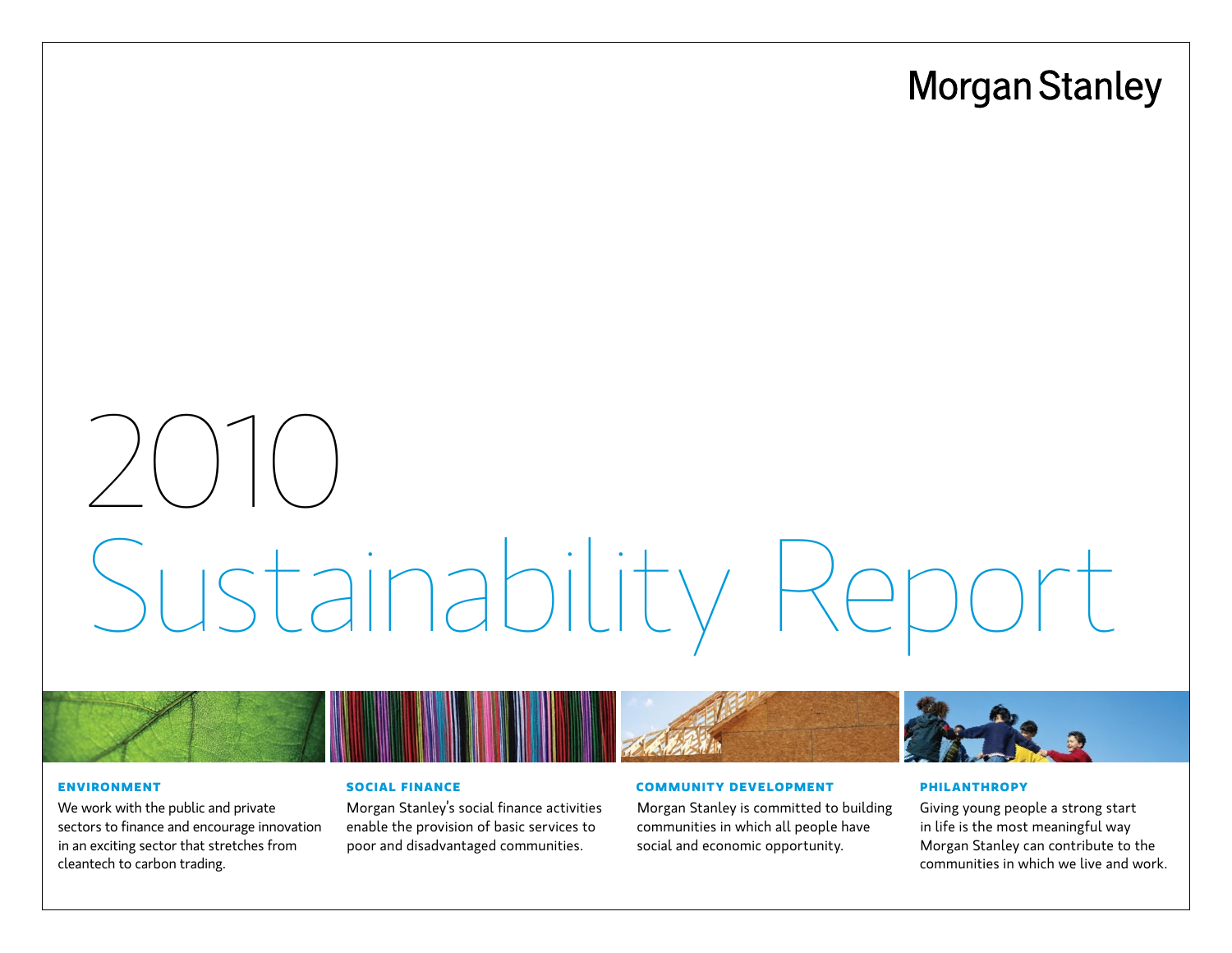# **Morgan Stanley**

# 2010 Sustainability Rep

#### **[ENVIRONMENT](#page-7-0)**

[We work with the public and private](#page-7-0)  [sectors to finance and encourage innovation](#page-7-0)  [in an exciting sector that stretches from](#page-7-0)  [cleantech to carbon trading.](#page-7-0)

# **[Social Finance](#page-14-0)**

[Morgan Stanley's social finance activities](#page-14-0)  [enable the provision of basic services to](#page-14-0)  [poor and disadvantaged communities.](#page-14-0)

### **[Community Development](#page-17-0)**

[Morgan Stanley is committed to building](#page-17-0)  [communities in which all people have](#page-17-0)  [social and economic opportunity.](#page-17-0) 

#### **[Philanthropy](#page-34-0)**

[Giving young people a strong start](#page-34-0)  [in life is the most meaningful way](#page-34-0)  [Morgan Stanley can contribute to the](#page-34-0)  [communities in which we live and work.](#page-34-0)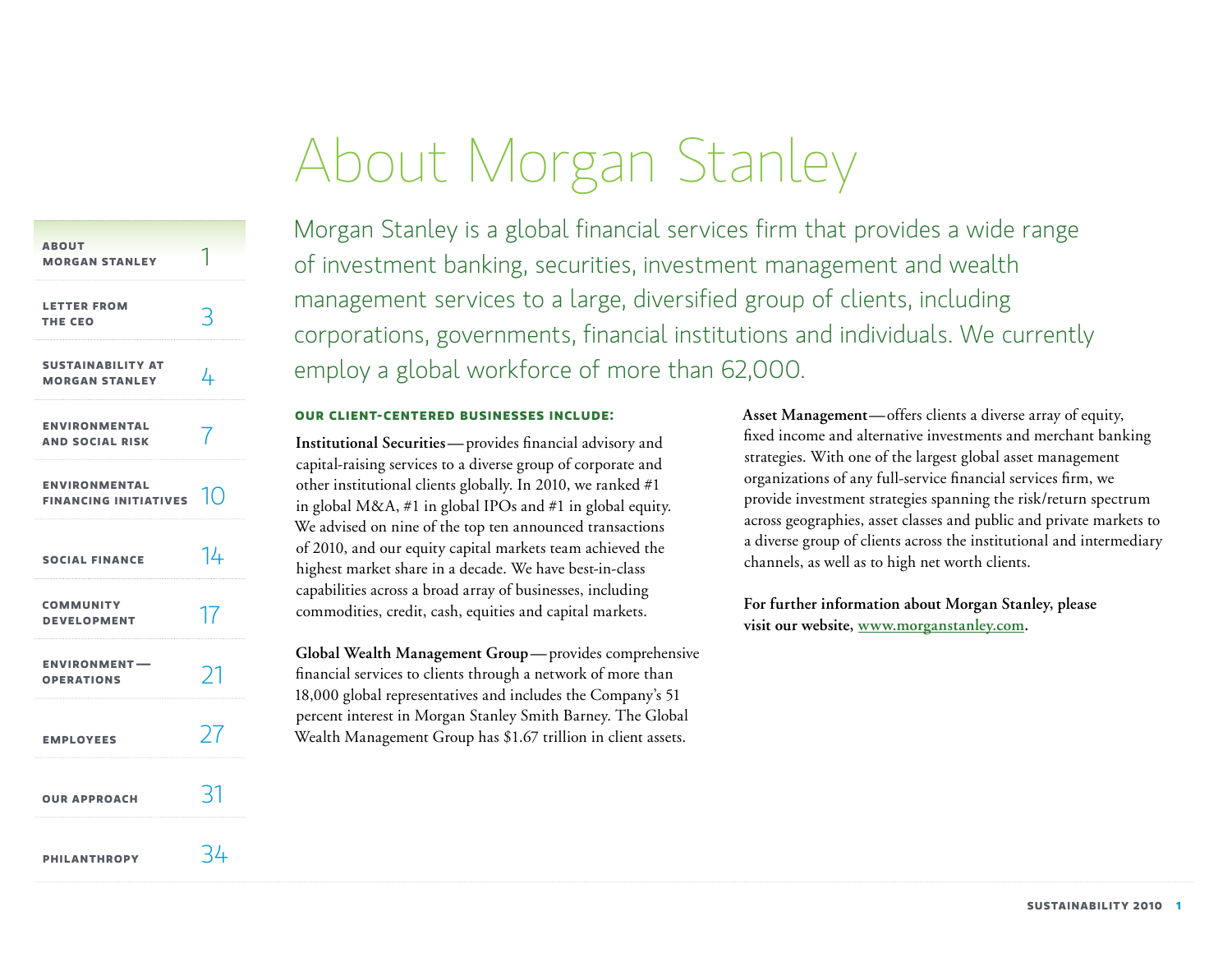# About Morgan Stanley

<span id="page-1-0"></span>

| <b>ABOUT</b><br><b>MORGAN STANLEY</b>                |                  |
|------------------------------------------------------|------------------|
| <b>LETTER FROM</b><br>THE CEO                        |                  |
| <b>SUSTAINABILITY AT</b><br><b>MORGAN STANLEY</b>    | 4                |
| <b>ENVIRONMENTAL</b><br><b>AND SOCIAL RISK</b>       |                  |
| <b>ENVIRONMENTAL</b><br><b>FINANCING INITIATIVES</b> | $\vert\vert$ ( ) |
| <b>SOCIAL FINANCE</b>                                | 14               |
| <b>COMMUNITY</b><br><b>DEVELOPMENT</b>               | 17               |
| <b>ENVIRONMENT-</b><br><b>OPERATIONS</b>             | $\mathcal{L}$    |
| <b>EMPLOYEES</b>                                     | 77               |
| <b>OUR APPROACH</b>                                  | ₹                |
| <b>PHILANTHROPY</b>                                  | ≀4               |

Morgan Stanley is a global financial services firm that provides a wide range of investment banking, securities, investment management and wealth management services to a large, diversified group of clients, including corporations, governments, financial institutions and individuals. We currently employ a global workforce of more than 62,000.

# **Our client-centered businesses include:**

**Institutional Securities—**provides financial advisory and capital-raising services to a diverse group of corporate and other institutional clients globally. In 2010, we ranked #1 in global M&A, #1 in global IPOs and #1 in global equity. We advised on nine of the top ten announced transactions of 2010, and our equity capital markets team achieved the highest market share in a decade. We have best-in-class capabilities across a broad array of businesses, including commodities, credit, cash, equities and capital markets.

**Global Wealth Management Group—**provides comprehensive financial services to clients through a network of more than 18,000 global representatives and includes the Company's 51 percent interest in Morgan Stanley Smith Barney. The Global Wealth Management Group has \$1.67 trillion in client assets.

**Asset Management—**offers clients a diverse array of equity, fixed income and alternative investments and merchant banking strategies. With one of the largest global asset management organizations of any full-service financial services firm, we provide investment strategies spanning the risk/return spectrum across geographies, asset classes and public and private markets to a diverse group of clients across the institutional and intermediary channels, as well as to high net worth clients.

**For further information about Morgan Stanley, please visit our website, [www.morganstanley.com.](http://www.morganstanley.com)**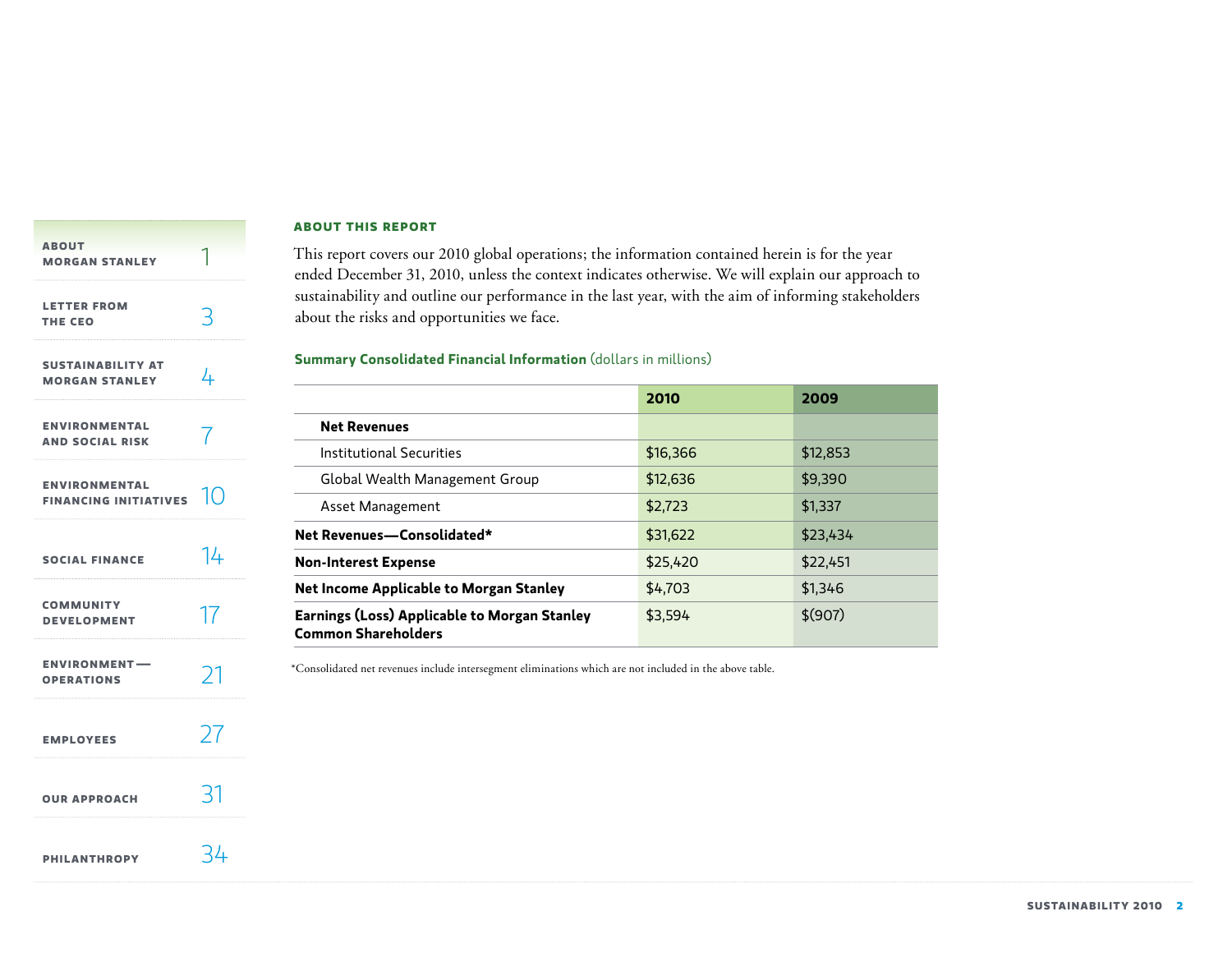<span id="page-2-0"></span>

| <b>ABOUT</b><br><b>MORGAN STANLEY</b>                |            |
|------------------------------------------------------|------------|
| <b>LETTER FROM</b><br><b>THE CEO</b>                 |            |
| <b>SUSTAINABILITY AT</b><br><b>MORGAN STANLEY</b>    | 4          |
| <b>ENVIRONMENTAL</b><br><b>AND SOCIAL RISK</b>       |            |
| <b>ENVIRONMENTAL</b><br><b>FINANCING INITIATIVES</b> | $\vert$ () |
| <b>SOCIAL FINANCE</b>                                | 14         |
| <b>COMMUNITY</b><br><b>DEVELOPMENT</b>               |            |
| <b>ENVIRONMENT-</b><br><b>OPERATIONS</b>             | 71         |
| <b>EMPLOYEES</b>                                     |            |
| <b>OUR APPROACH</b>                                  |            |
| <b>PHILANTHROPY</b>                                  | -44        |

#### **About this report**

This report covers our 2010 global operations; the information contained herein is for the year ended December 31, 2010, unless the context indicates otherwise. We will explain our approach to sustainability and outline our performance in the last year, with the aim of informing stakeholders about the risks and opportunities we face.

# **Summary Consolidated Financial Information** (dollars in millions)

|                                                                            | 2010     | 2009     |
|----------------------------------------------------------------------------|----------|----------|
| <b>Net Revenues</b>                                                        |          |          |
| Institutional Securities                                                   | \$16,366 | \$12,853 |
| Global Wealth Management Group                                             | \$12,636 | \$9,390  |
| Asset Management                                                           | \$2.723  | \$1,337  |
| Net Revenues-Consolidated*                                                 | \$31,622 | \$23,434 |
| <b>Non-Interest Expense</b>                                                | \$25,420 | \$22,451 |
| Net Income Applicable to Morgan Stanley                                    | \$4,703  | \$1,346  |
| Earnings (Loss) Applicable to Morgan Stanley<br><b>Common Shareholders</b> | \$3,594  | \$(907)  |

\*Consolidated net revenues include intersegment eliminations which are not included in the above table.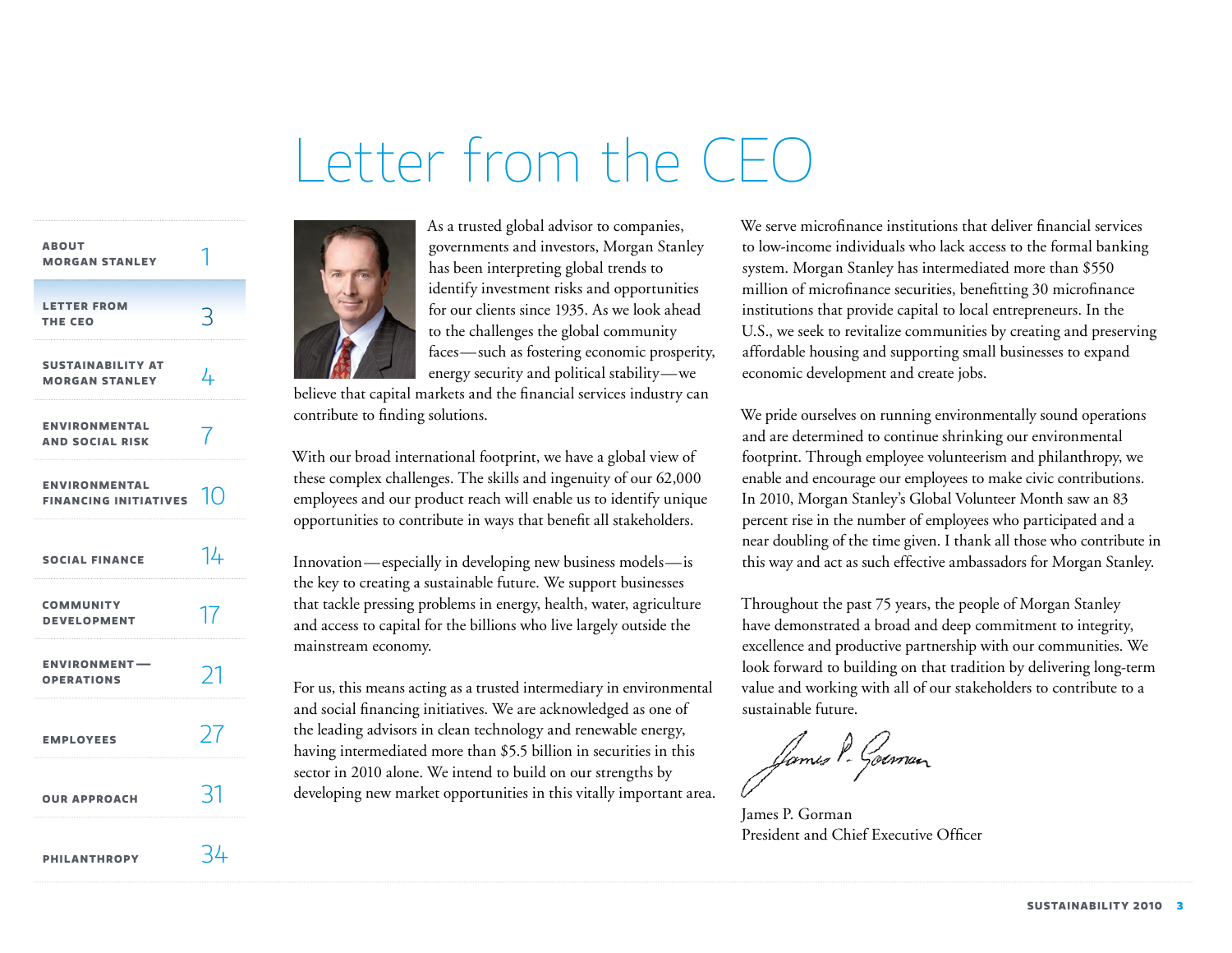# Letter from the CEC

<span id="page-3-0"></span>

| <b>ABOUT</b><br><b>MORGAN STANLEY</b>              |    |
|----------------------------------------------------|----|
| <b>LETTER FROM</b><br>THE CEO                      |    |
| <b>SUSTAINABILITY AT</b><br><b>MORGAN STANLEY</b>  | 4  |
| <b>ENVIRONMENTAL</b><br><b>AND SOCIAL RISK</b>     |    |
| <b>ENVIRONMENTAL</b><br>FINANCING INITIATIVES $10$ |    |
| <b>SOCIAL FINANCE</b>                              | 14 |
| <b>COMMUNITY</b><br><b>DEVELOPMENT</b>             | 17 |
| <b>ENVIRONMENT-</b><br><b>OPERATIONS</b>           | Σ  |
| <b>EMPLOYEES</b>                                   | 27 |
| <b>OUR APPROACH</b>                                | 31 |
| <b>PHILANTHROPY</b>                                | 34 |



believe that capital markets and the financial services industry can contribute to finding solutions.

With our broad international footprint, we have a global view of these complex challenges. The skills and ingenuity of our 62,000 employees and our product reach will enable us to identify unique opportunities to contribute in ways that benefit all stakeholders.

Innovation—especially in developing new business models—is the key to creating a sustainable future. We support businesses that tackle pressing problems in energy, health, water, agriculture and access to capital for the billions who live largely outside the mainstream economy.

For us, this means acting as a trusted intermediary in environmental and social financing initiatives. We are acknowledged as one of the leading advisors in clean technology and renewable energy, having intermediated more than \$5.5 billion in securities in this sector in 2010 alone. We intend to build on our strengths by developing new market opportunities in this vitally important area.

We serve microfinance institutions that deliver financial services to low-income individuals who lack access to the formal banking system. Morgan Stanley has intermediated more than \$550 million of microfinance securities, benefitting 30 microfinance institutions that provide capital to local entrepreneurs. In the U.S., we seek to revitalize communities by creating and preserving affordable housing and supporting small businesses to expand economic development and create jobs.

We pride ourselves on running environmentally sound operations and are determined to continue shrinking our environmental footprint. Through employee volunteerism and philanthropy, we enable and encourage our employees to make civic contributions. In 2010, Morgan Stanley's Global Volunteer Month saw an 83 percent rise in the number of employees who participated and a near doubling of the time given. I thank all those who contribute in this way and act as such effective ambassadors for Morgan Stanley.

Throughout the past 75 years, the people of Morgan Stanley have demonstrated a broad and deep commitment to integrity, excellence and productive partnership with our communities. We look forward to building on that tradition by delivering long-term value and working with all of our stakeholders to contribute to a sustainable future.

James P- Goiman

James P. Gorman President and Chief Executive Officer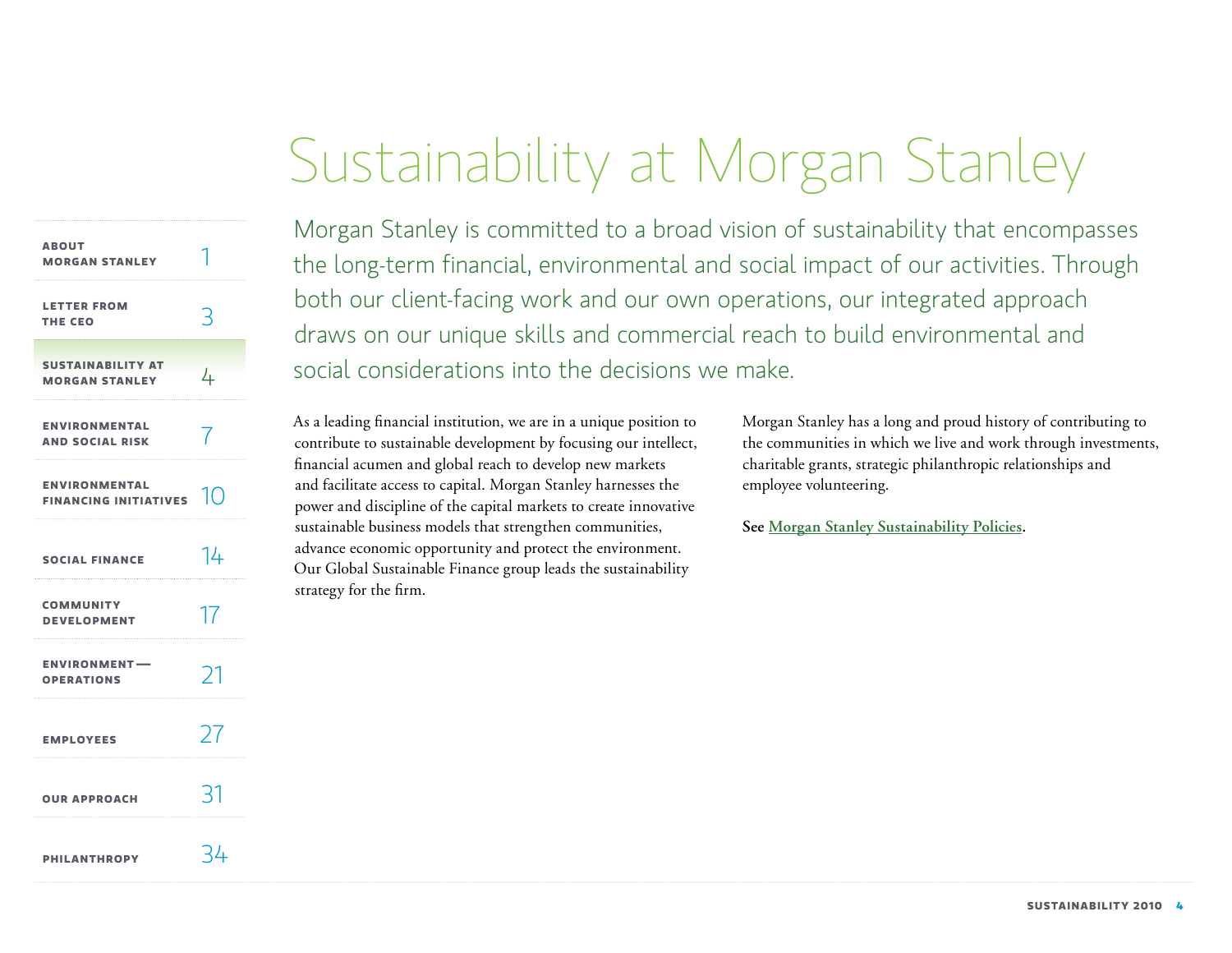# Sustainability at Morgan Stanley

<span id="page-4-0"></span>

| <b>ABOUT</b><br><b>MORGAN STANLEY</b>                           |    |
|-----------------------------------------------------------------|----|
| <b>LETTER FROM</b><br>THE CEO                                   | 3  |
| <b>SUSTAINABILITY AT</b><br><b>MORGAN STANLEY</b>               | 4  |
| <b>ENVIRONMENTAL</b><br><b>AND SOCIAL RISK</b>                  |    |
| <b>ENVIRONMENTAL</b><br><b>FINANCING INITIATIVES</b> $\sqrt{2}$ |    |
| <b>SOCIAL FINANCE</b>                                           | 14 |
| <b>COMMUNITY</b><br><b>DEVELOPMENT</b>                          | 17 |
| <b>ENVIRONMENT-</b><br><b>OPERATIONS</b>                        | 21 |
| <b>EMPLOYEES</b>                                                | 27 |
| <b>OUR APPROACH</b>                                             |    |
| <b>PHILANTHROPY</b>                                             | 34 |

Morgan Stanley is committed to a broad vision of sustainability that encompasses the long-term financial, environmental and social impact of our activities. Through both our client-facing work and our own operations, our integrated approach draws on our unique skills and commercial reach to build environmental and social considerations into the decisions we make.

As a leading financial institution, we are in a unique position to contribute to sustainable development by focusing our intellect, financial acumen and global reach to develop new markets and facilitate access to capital. Morgan Stanley harnesses the power and discipline of the capital markets to create innovative sustainable business models that strengthen communities, advance economic opportunity and protect the environment. Our Global Sustainable Finance group leads the sustainability strategy for the firm.

Morgan Stanley has a long and proud history of contributing to the communities in which we live and work through investments, charitable grants, strategic philanthropic relationships and employee volunteering.

**See [Morgan Stanley Sustainability Policies.](http://www.morganstanley.com/globalcitizen/sustainability.html)**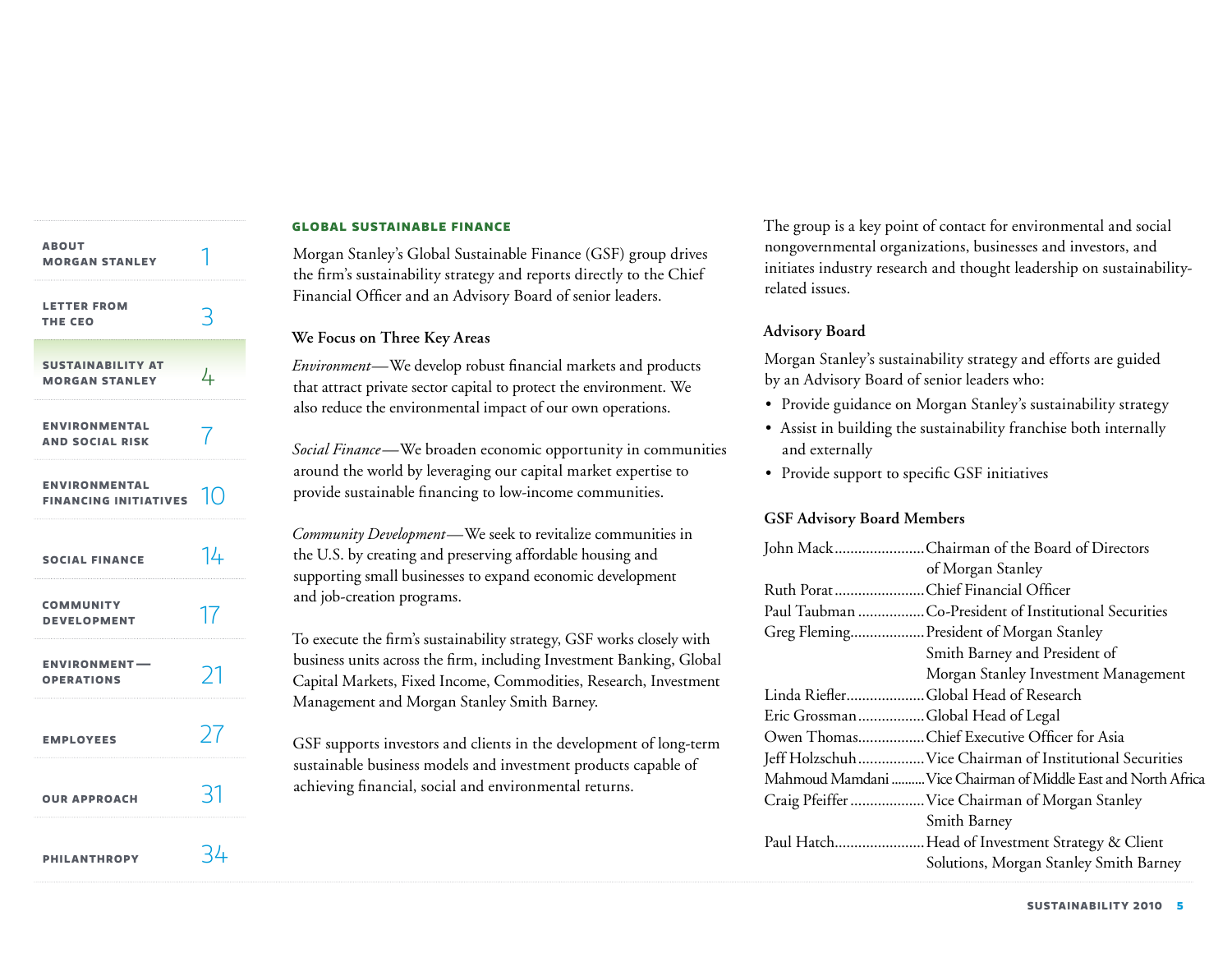| <b>ABOUT</b><br><b>MORGAN STANLEY</b>                |               |
|------------------------------------------------------|---------------|
| <b>LETTER FROM</b><br>THE CEO                        | 3             |
| <b>SUSTAINABILITY AT</b><br><b>MORGAN STANLEY</b>    | 4             |
| <b>ENVIRONMENTAL</b><br><b>AND SOCIAL RISK</b>       |               |
| <b>ENVIRONMENTAL</b><br><b>FINANCING INITIATIVES</b> | $1\Omega$     |
| <b>SOCIAL FINANCE</b>                                | 14            |
| <b>COMMUNITY</b><br><b>DEVELOPMENT</b>               | 17            |
| <b>ENVIRONMENT-</b><br><b>OPERATIONS</b>             | $\mathcal{C}$ |
| <b>EMPLOYEES</b>                                     | 27            |
| <b>OUR APPROACH</b>                                  | 31            |
| <b>PHILANTHROPY</b>                                  | - 44          |

### **Global Sustainable Finance**

Morgan Stanley's Global Sustainable Finance (GSF) group drives the firm's sustainability strategy and reports directly to the Chief Financial Officer and an Advisory Board of senior leaders.

# **We Focus on Three Key Areas**

*Environment—*We develop robust financial markets and products that attract private sector capital to protect the environment. We also reduce the environmental impact of our own operations.

*Social Finance—*We broaden economic opportunity in communities around the world by leveraging our capital market expertise to provide sustainable financing to low-income communities.

*Community Development—*We seek to revitalize communities in the U.S. by creating and preserving affordable housing and supporting small businesses to expand economic development and job-creation programs.

To execute the firm's sustainability strategy, GSF works closely with business units across the firm, including Investment Banking, Global Capital Markets, Fixed Income, Commodities, Research, Investment Management and Morgan Stanley Smith Barney.

GSF supports investors and clients in the development of long-term sustainable business models and investment products capable of achieving financial, social and environmental returns.

The group is a key point of contact for environmental and social nongovernmental organizations, businesses and investors, and initiates industry research and thought leadership on sustainabilityrelated issues.

# **Advisory Board**

Morgan Stanley's sustainability strategy and efforts are guided by an Advisory Board of senior leaders who:

- Provide guidance on Morgan Stanley's sustainability strategy
- • Assist in building the sustainability franchise both internally and externally
- • Provide support to specific GSF initiatives

# **GSF Advisory Board Members**

|                                   | John MackChairman of the Board of Directors                    |
|-----------------------------------|----------------------------------------------------------------|
|                                   | of Morgan Stanley                                              |
| Ruth PoratChief Financial Officer |                                                                |
|                                   | Paul Taubman Co-President of Institutional Securities          |
|                                   | Greg Fleming President of Morgan Stanley                       |
|                                   | Smith Barney and President of                                  |
|                                   | Morgan Stanley Investment Management                           |
|                                   | Linda RieflerGlobal Head of Research                           |
| Eric GrossmanGlobal Head of Legal |                                                                |
|                                   | Owen ThomasChief Executive Officer for Asia                    |
|                                   | Jeff Holzschuh Vice Chairman of Institutional Securities       |
|                                   | Mahmoud Mamdani  Vice Chairman of Middle East and North Africa |
|                                   | Craig Pfeiffer  Vice Chairman of Morgan Stanley                |
|                                   | Smith Barney                                                   |
|                                   | Paul HatchHead of Investment Strategy & Client                 |
|                                   | Solutions, Morgan Stanley Smith Barney                         |
|                                   |                                                                |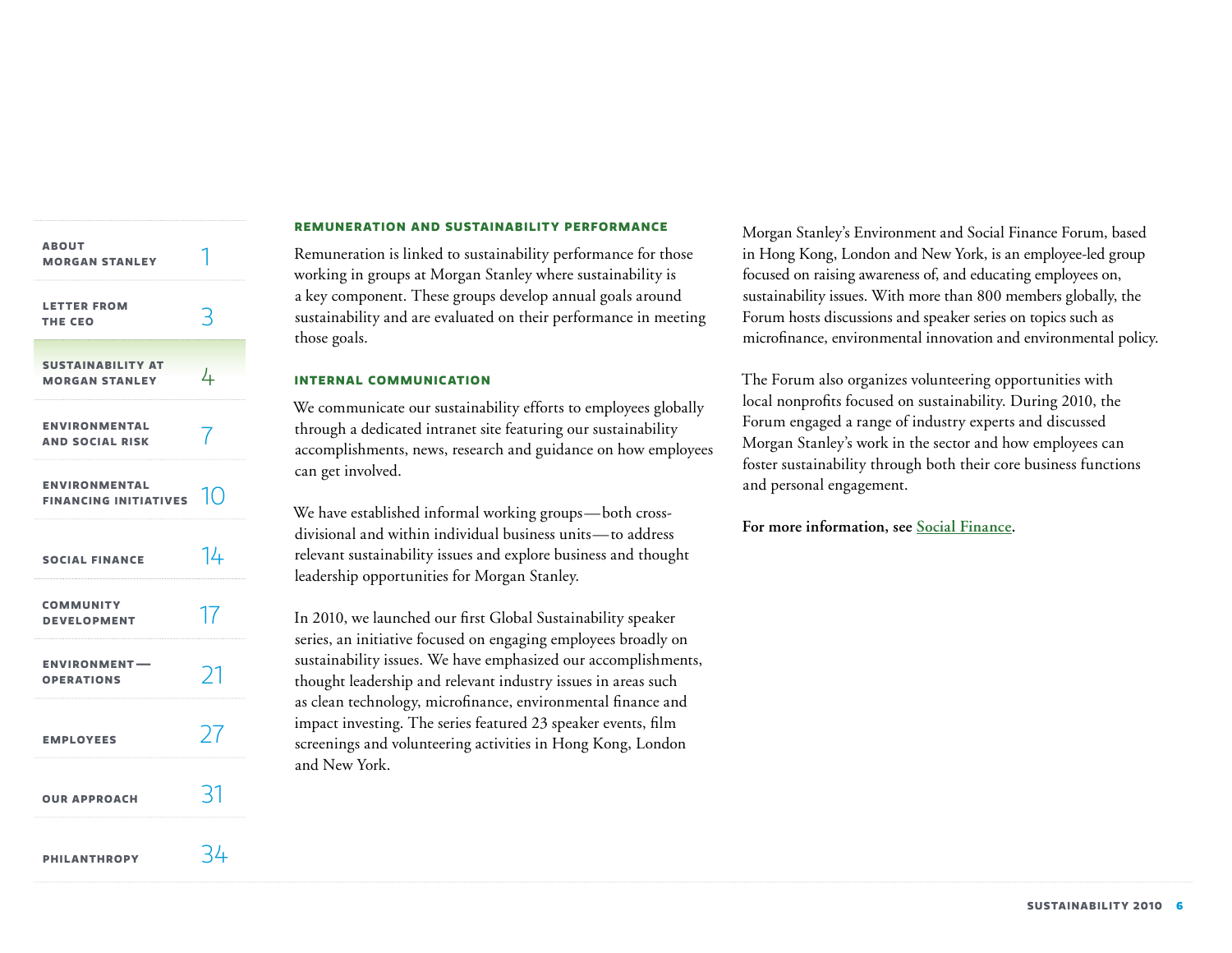| <b>ABOUT</b><br><b>MORGAN STANLEY</b>                |          |
|------------------------------------------------------|----------|
| <b>LETTER FROM</b><br>THE CEO                        | 3        |
| <b>SUSTAINABILITY AT</b><br><b>MORGAN STANLEY</b>    | 4        |
| <b>ENVIRONMENTAL</b><br><b>AND SOCIAL RISK</b>       | 7        |
| <b>ENVIRONMENTAL</b><br><b>FINANCING INITIATIVES</b> | $1 \cap$ |
| <b>SOCIAL FINANCE</b>                                | 14       |
| <b>COMMUNITY</b><br><b>DEVELOPMENT</b>               | 17       |
| <b>ENVIRONMENT-</b><br><b>OPERATIONS</b>             | プ        |
| <b>EMPLOYEES</b>                                     | 27       |
| <b>OUR APPROACH</b>                                  | 31       |
| <b>PHILANTHROPY</b>                                  | 34       |

#### **Remuneration and sustainability performance**

Remuneration is linked to sustainability performance for those working in groups at Morgan Stanley where sustainability is a key component. These groups develop annual goals around sustainability and are evaluated on their performance in meeting those goals.

#### **Internal communication**

We communicate our sustainability efforts to employees globally through a dedicated intranet site featuring our sustainability accomplishments, news, research and guidance on how employees can get involved.

We have established informal working groups—both crossdivisional and within individual business units—to address relevant sustainability issues and explore business and thought leadership opportunities for Morgan Stanley.

In 2010, we launched our first Global Sustainability speaker series, an initiative focused on engaging employees broadly on sustainability issues. We have emphasized our accomplishments, thought leadership and relevant industry issues in areas such as clean technology, microfinance, environmental finance and impact investing. The series featured 23 speaker events, film screenings and volunteering activities in Hong Kong, London and New York.

Morgan Stanley's Environment and Social Finance Forum, based in Hong Kong, London and New York, is an employee-led group focused on raising awareness of, and educating employees on, sustainability issues. With more than 800 members globally, the Forum hosts discussions and speaker series on topics such as microfinance, environmental innovation and environmental policy.

The Forum also organizes volunteering opportunities with local nonprofits focused on sustainability. During 2010, the Forum engaged a range of industry experts and discussed Morgan Stanley's work in the sector and how employees can foster sustainability through both their core business functions and personal engagement.

# **For more information, see [Social Finance](http://www.morganstanley.com/globalcitizen/socialfinance.html).**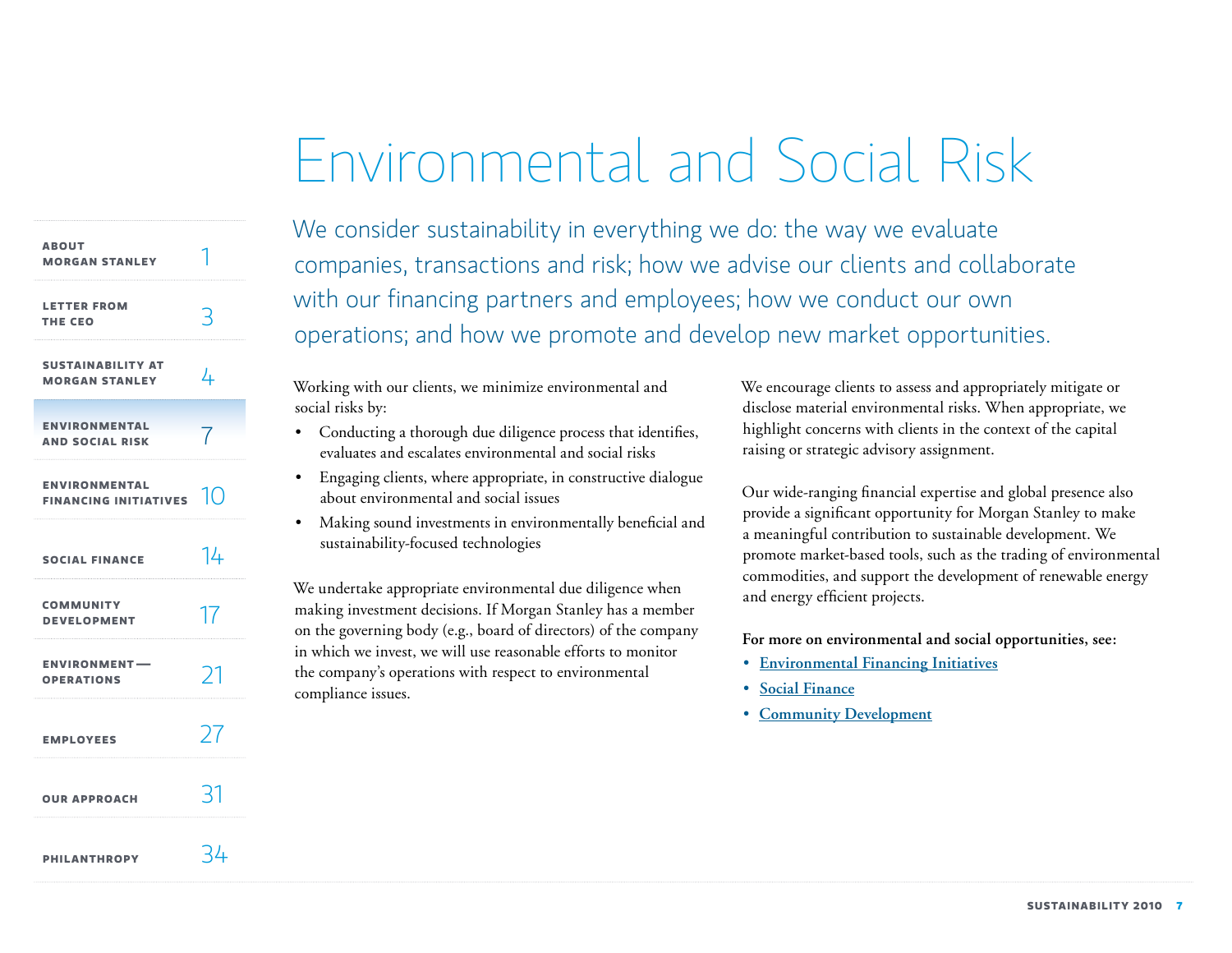# Environmental and Social Risk

<span id="page-7-0"></span>

| <b>ABOUT</b><br><b>MORGAN STANLEY</b>                |             |
|------------------------------------------------------|-------------|
| <b>LETTER FROM</b><br>THE CEO                        |             |
| <b>SUSTAINABILITY AT</b><br><b>MORGAN STANLEY</b>    | 4           |
| <b>ENVIRONMENTAL</b><br><b>AND SOCIAL RISK</b>       |             |
| <b>ENVIRONMENTAL</b><br><b>FINANCING INITIATIVES</b> | $\vert$ ( ) |
| <b>SOCIAL FINANCE</b>                                | 14          |
| <b>COMMUNITY</b><br><b>DEVELOPMENT</b>               | 17          |
| <b>ENVIRONMENT-</b><br><b>OPERATIONS</b>             | 21          |
| <b>EMPLOYEES</b>                                     | $\lambda$   |
| <b>OUR APPROACH</b>                                  | 31          |
| <b>PHILANTHROPY</b>                                  | 34          |

We consider sustainability in everything we do: the way we evaluate companies, transactions and risk; how we advise our clients and collaborate with our financing partners and employees; how we conduct our own operations; and how we promote and develop new market opportunities.

Working with our clients, we minimize environmental and social risks by:

- • Conducting a thorough due diligence process that identifies, evaluates and escalates environmental and social risks
- Engaging clients, where appropriate, in constructive dialogue about environmental and social issues
- • Making sound investments in environmentally beneficial and sustainability-focused technologies

We undertake appropriate environmental due diligence when making investment decisions. If Morgan Stanley has a member on the governing body (e.g., board of directors) of the company in which we invest, we will use reasonable efforts to monitor the company's operations with respect to environmental compliance issues.

We encourage clients to assess and appropriately mitigate or disclose material environmental risks. When appropriate, we highlight concerns with clients in the context of the capital raising or strategic advisory assignment.

Our wide-ranging financial expertise and global presence also provide a significant opportunity for Morgan Stanley to make a meaningful contribution to sustainable development. We promote market-based tools, such as the trading of environmental commodities, and support the development of renewable energy and energy efficient projects.

**For more on environmental and social opportunities, see:**

- • **[Environmental Financing Initiatives](http://www.morganstanley.com/globalcitizen/environment.html)**
- • **[Social Finance](http://www.morganstanley.com/globalcitizen/socialfinance.html)**
- • **[Community Development](http://www.morganstanley.com/globalcitizen/community_dev.html)**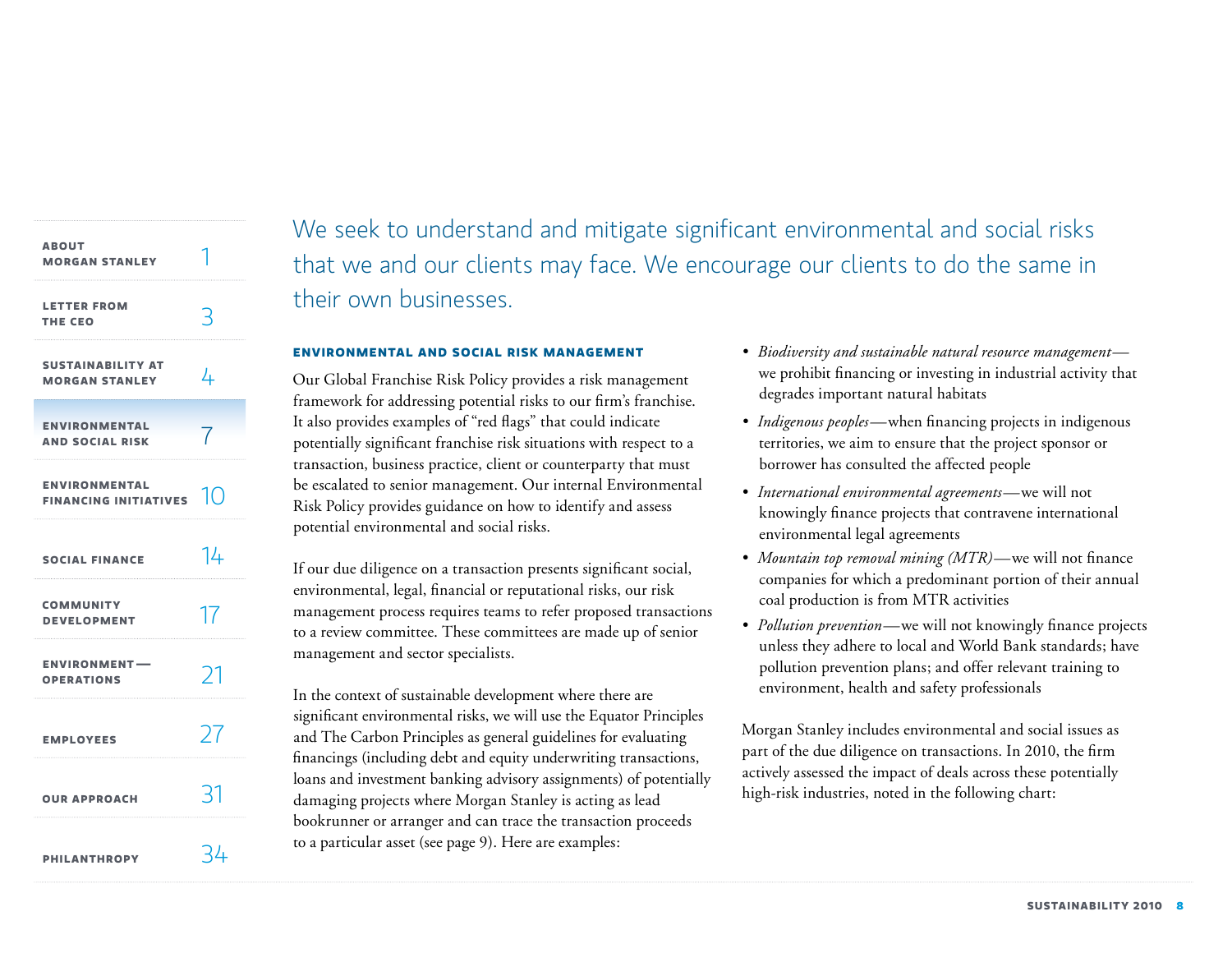| <b>ABOUT</b><br><b>MORGAN STANLEY</b>                |               |
|------------------------------------------------------|---------------|
| <b>LETTER FROM</b><br>THE CEO                        |               |
| <b>SUSTAINABILITY AT</b><br><b>MORGAN STANLEY</b>    | 4             |
| <b>ENVIRONMENTAL</b><br><b>AND SOCIAL RISK</b>       |               |
| <b>ENVIRONMENTAL</b><br><b>FINANCING INITIATIVES</b> | $\vert$ ()    |
| <b>SOCIAL FINANCE</b>                                | 14            |
| <b>COMMUNITY</b><br><b>DEVELOPMENT</b>               | 17            |
| <b>ENVIRONMENT-</b><br><b>OPERATIONS</b>             | $\mathcal{L}$ |
| <b>EMPLOYEES</b>                                     | 27            |
| <b>OUR APPROACH</b>                                  |               |
| <b>PHILANTHROPY</b>                                  | 34            |

We seek to understand and mitigate significant environmental and social risks that we and our clients may face. We encourage our clients to do the same in their own businesses.

#### **Environmental and social risk management**

Our Global Franchise Risk Policy provides a risk management framework for addressing potential risks to our firm's franchise. It also provides examples of "red flags" that could indicate potentially significant franchise risk situations with respect to a transaction, business practice, client or counterparty that must be escalated to senior management. Our internal Environmental Risk Policy provides guidance on how to identify and assess potential environmental and social risks.

If our due diligence on a transaction presents significant social, environmental, legal, financial or reputational risks, our risk management process requires teams to refer proposed transactions to a review committee. These committees are made up of senior management and sector specialists.

In the context of sustainable development where there are significant environmental risks, we will use the Equator Principles and The Carbon Principles as general guidelines for evaluating financings (including debt and equity underwriting transactions, loans and investment banking advisory assignments) of potentially damaging projects where Morgan Stanley is acting as lead bookrunner or arranger and can trace the transaction proceeds to a particular asset (see page 9). Here are examples:

- *• Biodiversity and sustainable natural resource management* we prohibit financing or investing in industrial activity that degrades important natural habitats
- *Indigenous peoples*—when financing projects in indigenous territories, we aim to ensure that the project sponsor or borrower has consulted the affected people
- *• International environmental agreements—*we will not knowingly finance projects that contravene international environmental legal agreements
- *• Mountain top removal mining (MTR)—*we will not finance companies for which a predominant portion of their annual coal production is from MTR activities
- *• Pollution prevention—*we will not knowingly finance projects unless they adhere to local and World Bank standards; have pollution prevention plans; and offer relevant training to environment, health and safety professionals

Morgan Stanley includes environmental and social issues as part of the due diligence on transactions. In 2010, the firm actively assessed the impact of deals across these potentially high-risk industries, noted in the following chart: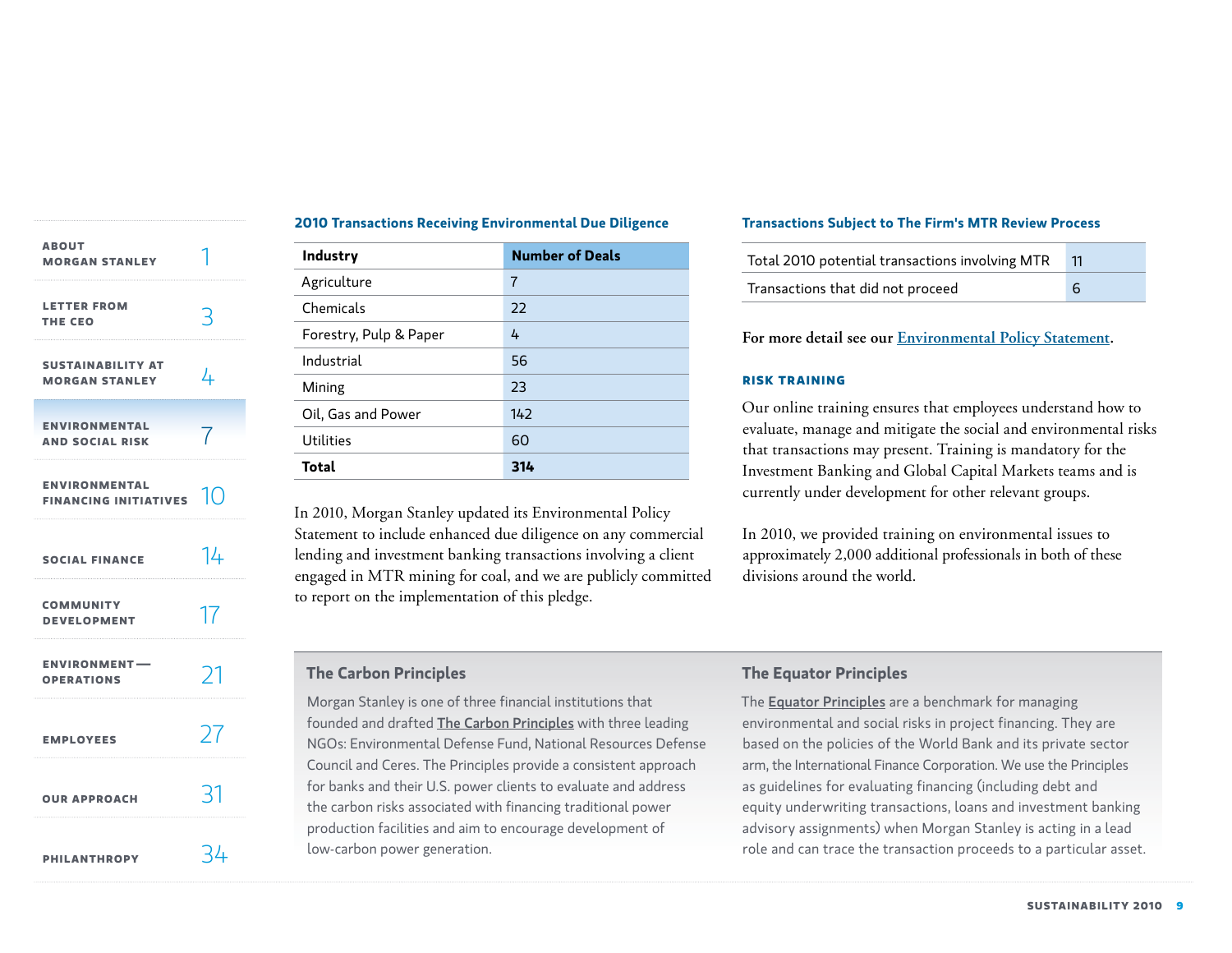<span id="page-9-0"></span>

| <b>ABOUT</b><br><b>MORGAN STANLEY</b>                                                    |               |
|------------------------------------------------------------------------------------------|---------------|
| <b>LETTER FROM</b><br>THE CEO                                                            | 3             |
| <b>SUSTAINABILITY AT</b><br><b>MORGAN STANLEY</b>                                        | 4             |
| <b>ENVIRONMENTAL</b><br><b>AND SOCIAL RISK</b>                                           |               |
| <b>ENVIRONMENTAL</b><br>FINANCING INITIATIVES $\left[\begin{matrix}1\end{matrix}\right]$ |               |
| <b>SOCIAL FINANCE</b>                                                                    | 14            |
| <b>COMMUNITY</b><br><b>DEVELOPMENT</b>                                                   | 17            |
| <b>ENVIRONMENT-</b><br><b>OPERATIONS</b>                                                 | $\mathcal{L}$ |
| <b>EMPLOYEES</b>                                                                         | 27            |
| <b>OUR APPROACH</b>                                                                      | 31            |
| <b>PHILANTHROPY</b>                                                                      | - 44          |

# **2010 Transactions Receiving Environmental Due Diligence**

| <b>Industry</b>        | <b>Number of Deals</b> |
|------------------------|------------------------|
| Agriculture            | 7                      |
| Chemicals              | 22                     |
| Forestry, Pulp & Paper | 4                      |
| Industrial             | 56                     |
| Mining                 | 23                     |
| Oil, Gas and Power     | 142                    |
| <b>Utilities</b>       | 60                     |
| Total                  | 314                    |

In 2010, Morgan Stanley updated its Environmental Policy Statement to include enhanced due diligence on any commercial lending and investment banking transactions involving a client engaged in MTR mining for coal, and we are publicly committed to report on the implementation of this pledge.

# **The Carbon Principles**

Morgan Stanley is one of three financial institutions that founded and drafted [The Carbon Principles](www.carbonprinciples.com) with three leading NGOs: Environmental Defense Fund, National Resources Defense Council and Ceres. The Principles provide a consistent approach for banks and their U.S. power clients to evaluate and address the carbon risks associated with financing traditional power production facilities and aim to encourage development of low-carbon power generation.

# **Transactions Subject to The Firm's MTR Review Process**

| Total 2010 potential transactions involving MTR |  |
|-------------------------------------------------|--|
| Transactions that did not proceed               |  |

**For more detail see our [Environmental Policy Statement.](http://www.morganstanley.com/globalcitizen/pdf/Environmental_Policy.pdf)**

### **Risk training**

Our online training ensures that employees understand how to evaluate, manage and mitigate the social and environmental risks that transactions may present. Training is mandatory for the Investment Banking and Global Capital Markets teams and is currently under development for other relevant groups.

In 2010, we provided training on environmental issues to approximately 2,000 additional professionals in both of these divisions around the world.

# **The Equator Principles**

The **[Equator Principles](http://www.equator-principles.com)** are a benchmark for managing environmental and social risks in project financing. They are based on the policies of the World Bank and its private sector arm, the International Finance Corporation. We use the Principles as guidelines for evaluating financing (including debt and equity underwriting transactions, loans and investment banking advisory assignments) when Morgan Stanley is acting in a lead role and can trace the transaction proceeds to a particular asset.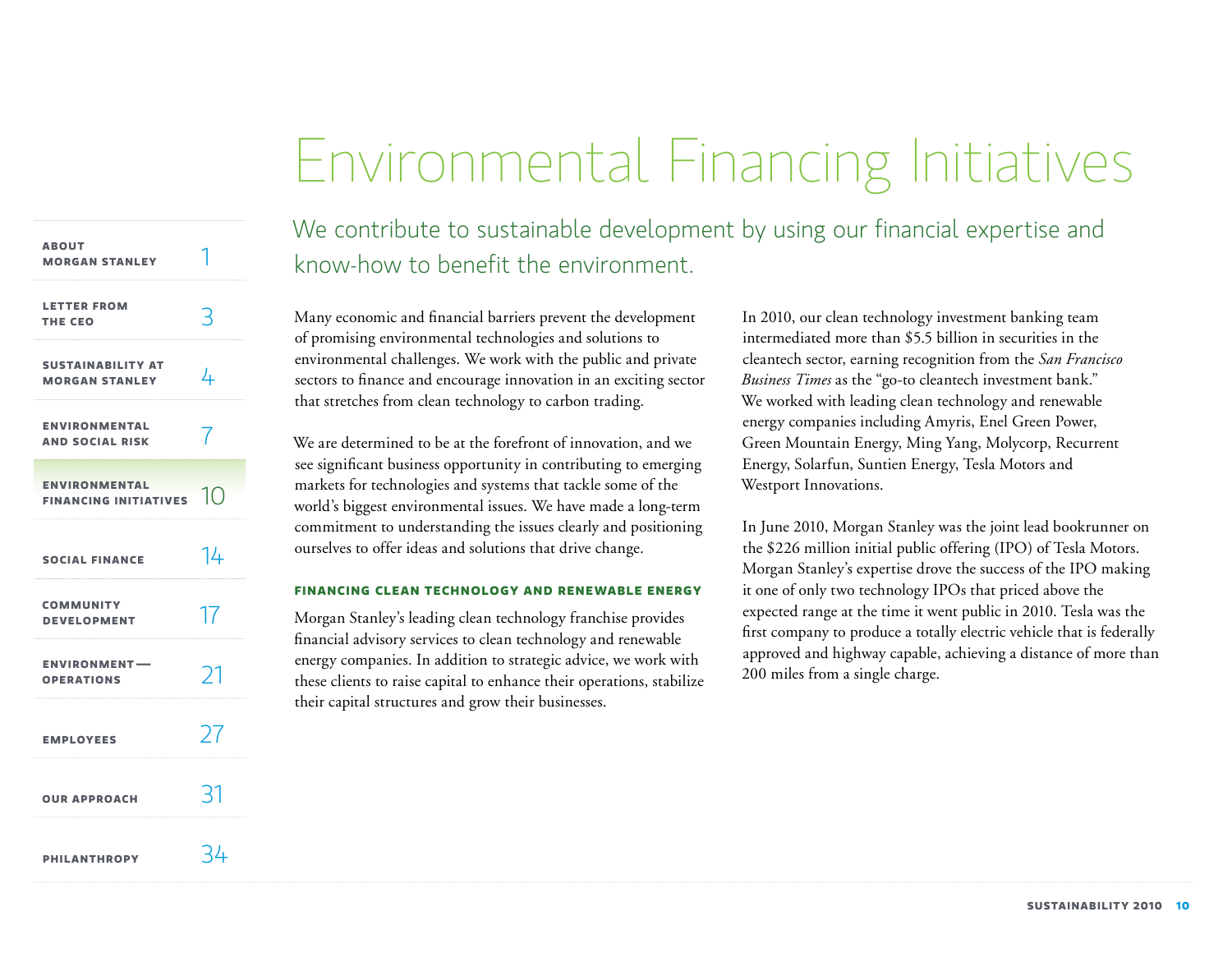# Environmental Financing Initiatives

<span id="page-10-0"></span>

| <b>ABOUT</b><br><b>MORGAN STANLEY</b>                |                |
|------------------------------------------------------|----------------|
| <b>LETTER FROM</b><br>THE CEO                        |                |
| <b>SUSTAINABILITY AT</b><br><b>MORGAN STANLEY</b>    | 4              |
| <b>ENVIRONMENTAL</b><br><b>AND SOCIAL RISK</b>       | 7              |
| <b>ENVIRONMENTAL</b><br><b>FINANCING INITIATIVES</b> | $\overline{1}$ |
| <b>SOCIAL FINANCE</b>                                | 14             |
| <b>COMMUNITY</b><br><b>DEVELOPMENT</b>               | 17             |
| <b>ENVIRONMENT-</b><br><b>OPERATIONS</b>             | 21             |
| <b>EMPLOYEES</b>                                     | 77             |
| <b>OUR APPROACH</b>                                  | -21            |
| <b>PHILANTHROPY</b>                                  | -44            |

We contribute to sustainable development by using our financial expertise and know-how to benefit the environment.

Many economic and financial barriers prevent the development of promising environmental technologies and solutions to environmental challenges. We work with the public and private sectors to finance and encourage innovation in an exciting sector that stretches from clean technology to carbon trading.

We are determined to be at the forefront of innovation, and we see significant business opportunity in contributing to emerging markets for technologies and systems that tackle some of the world's biggest environmental issues. We have made a long-term commitment to understanding the issues clearly and positioning ourselves to offer ideas and solutions that drive change.

#### **Financing clean technology and renewable energy**

Morgan Stanley's leading clean technology franchise provides financial advisory services to clean technology and renewable energy companies. In addition to strategic advice, we work with these clients to raise capital to enhance their operations, stabilize their capital structures and grow their businesses.

In 2010, our clean technology investment banking team intermediated more than \$5.5 billion in securities in the cleantech sector, earning recognition from the *San Francisco Business Times* as the "go-to cleantech investment bank." We worked with leading clean technology and renewable energy companies including Amyris, Enel Green Power, Green Mountain Energy, Ming Yang, Molycorp, Recurrent Energy, Solarfun, Suntien Energy, Tesla Motors and Westport Innovations.

In June 2010, Morgan Stanley was the joint lead bookrunner on the \$226 million initial public offering (IPO) of Tesla Motors. Morgan Stanley's expertise drove the success of the IPO making it one of only two technology IPOs that priced above the expected range at the time it went public in 2010. Tesla was the first company to produce a totally electric vehicle that is federally approved and highway capable, achieving a distance of more than 200 miles from a single charge.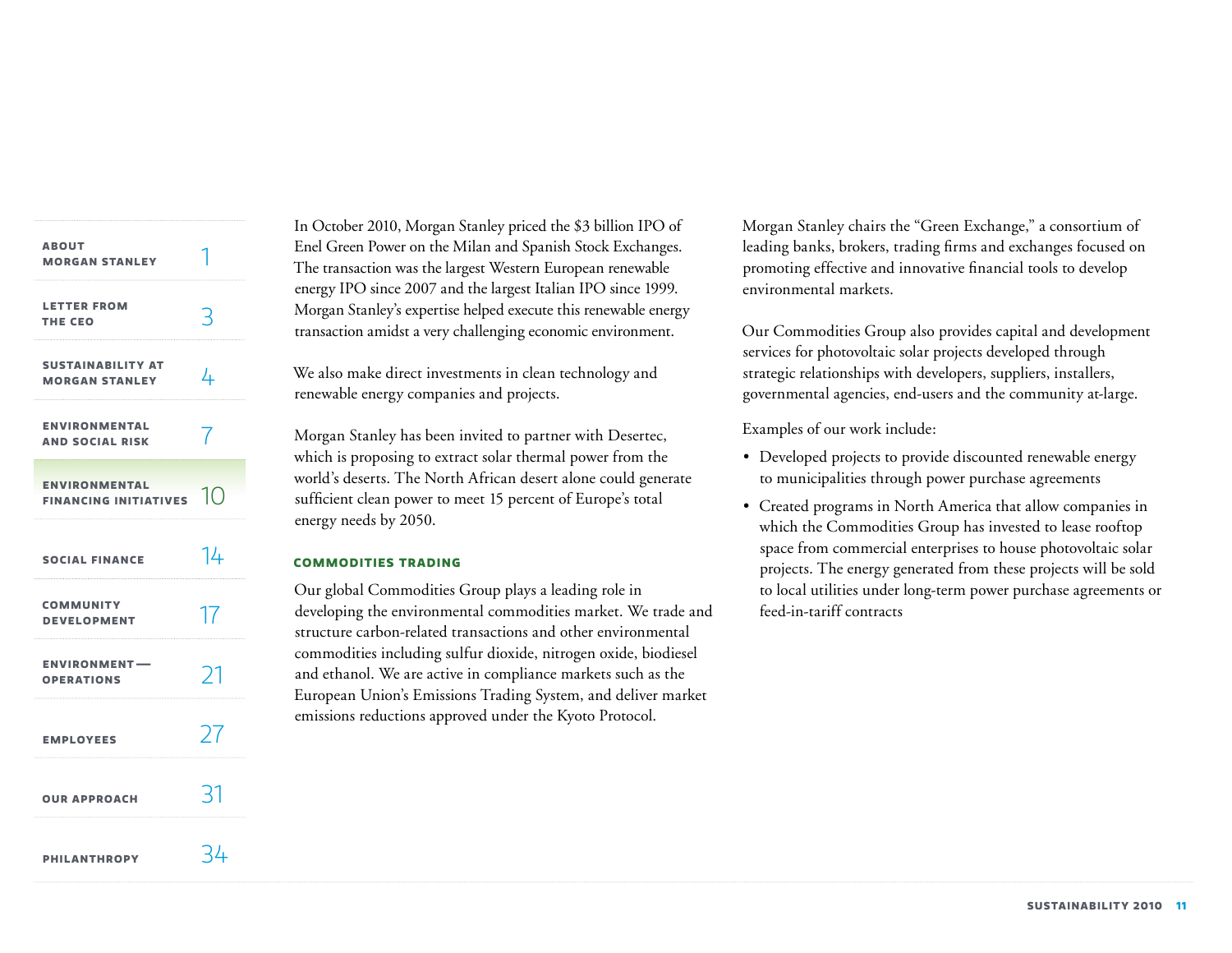| <b>ABOUT</b><br><b>MORGAN STANLEY</b>                |     |
|------------------------------------------------------|-----|
| <b>LETTER FROM</b><br>THE CEO                        | 3   |
| <b>SUSTAINABILITY AT</b><br><b>MORGAN STANLEY</b>    | 4   |
| <b>ENVIRONMENTAL</b><br><b>AND SOCIAL RISK</b>       | 7   |
| <b>ENVIRONMENTAL</b><br><b>FINANCING INITIATIVES</b> | 10  |
| <b>SOCIAL FINANCE</b>                                | 14  |
| <b>COMMUNITY</b><br><b>DEVELOPMENT</b>               | 17  |
| <b>ENVIRONMENT-</b><br><b>OPERATIONS</b>             | 21  |
| <b>EMPLOYEES</b>                                     | 27  |
| <b>OUR APPROACH</b>                                  | -31 |
| <b>PHILANTHROPY</b>                                  | 34  |

In October 2010, Morgan Stanley priced the \$3 billion IPO of Enel Green Power on the Milan and Spanish Stock Exchanges. The transaction was the largest Western European renewable energy IPO since 2007 and the largest Italian IPO since 1999. Morgan Stanley's expertise helped execute this renewable energy transaction amidst a very challenging economic environment.

We also make direct investments in clean technology and renewable energy companies and projects.

Morgan Stanley has been invited to partner with Desertec, which is proposing to extract solar thermal power from the world's deserts. The North African desert alone could generate sufficient clean power to meet 15 percent of Europe's total energy needs by 2050.

# **Commodities trading**

Our global Commodities Group plays a leading role in developing the environmental commodities market. We trade and structure carbon-related transactions and other environmental commodities including sulfur dioxide, nitrogen oxide, biodiesel and ethanol. We are active in compliance markets such as the European Union's Emissions Trading System, and deliver market emissions reductions approved under the Kyoto Protocol.

Morgan Stanley chairs the "Green Exchange," a consortium of leading banks, brokers, trading firms and exchanges focused on promoting effective and innovative financial tools to develop environmental markets.

Our Commodities Group also provides capital and development services for photovoltaic solar projects developed through strategic relationships with developers, suppliers, installers, governmental agencies, end-users and the community at-large.

Examples of our work include:

- Developed projects to provide discounted renewable energy to municipalities through power purchase agreements
- • Created programs in North America that allow companies in which the Commodities Group has invested to lease rooftop space from commercial enterprises to house photovoltaic solar projects. The energy generated from these projects will be sold to local utilities under long-term power purchase agreements or feed-in-tariff contracts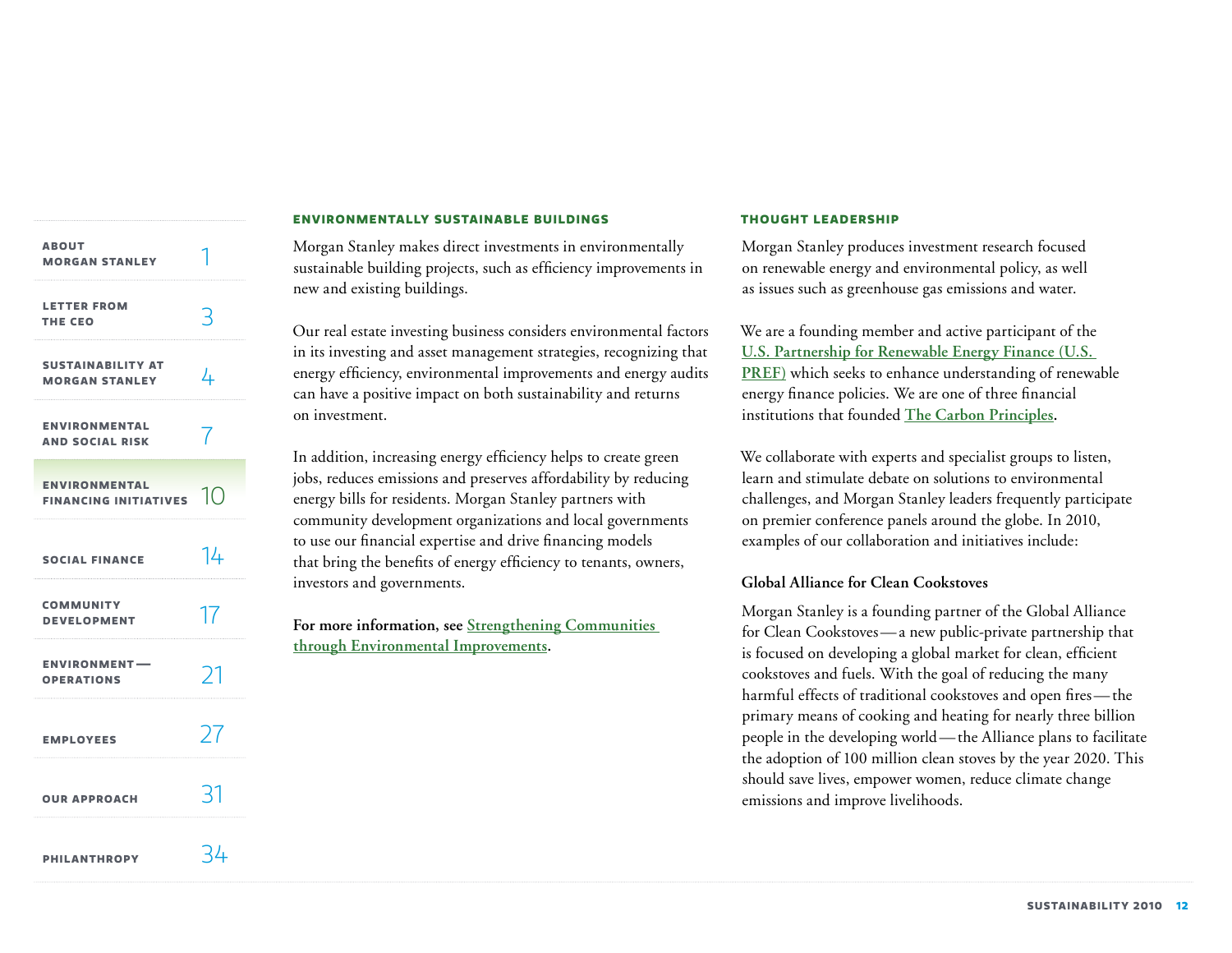| <b>ABOUT</b><br><b>MORGAN STANLEY</b>                |    |
|------------------------------------------------------|----|
| <b>LETTER FROM</b><br>THE CEO                        | 3  |
| <b>SUSTAINABILITY AT</b><br><b>MORGAN STANLEY</b>    | 4  |
| <b>ENVIRONMENTAL</b><br><b>AND SOCIAL RISK</b>       | 7  |
| <b>ENVIRONMENTAL</b><br><b>FINANCING INITIATIVES</b> | 10 |
| <b>SOCIAL FINANCE</b>                                | 14 |
| <b>COMMUNITY</b><br><b>DEVELOPMENT</b>               | 17 |
| <b>ENVIRONMENT-</b><br><b>OPERATIONS</b>             | ر. |
| <b>EMPLOYEES</b>                                     | 27 |
| <b>OUR APPROACH</b>                                  | 31 |
| <b>PHILANTHROPY</b>                                  | 34 |

### **Environmentally sustainable buildings**

Morgan Stanley makes direct investments in environmentally sustainable building projects, such as efficiency improvements in new and existing buildings.

Our real estate investing business considers environmental factors in its investing and asset management strategies, recognizing that energy efficiency, environmental improvements and energy audits can have a positive impact on both sustainability and returns on investment.

In addition, increasing energy efficiency helps to create green jobs, reduces emissions and preserves affordability by reducing energy bills for residents. Morgan Stanley partners with community development organizations and local governments to use our financial expertise and drive financing models that bring the benefits of energy efficiency to tenants, owners, investors and governments.

**For more information, see [Strengthening Communities](#page-19-0)  [through Environmental Improvements.](#page-19-0)**

#### **Thought leadership**

Morgan Stanley produces investment research focused on renewable energy and environmental policy, as well as issues such as greenhouse gas emissions and water.

We are a founding member and active participant of the **[U.S. Partnership for Renewable Energy Finance \(U.S.](http://www.uspref.org)  [PREF\)](http://www.uspref.org)** which seeks to enhance understanding of renewable energy finance policies. We are one of three financial institutions that founded **[The Carbon Principles](http://www.carbonprinciples.com).**

We collaborate with experts and specialist groups to listen, learn and stimulate debate on solutions to environmental challenges, and Morgan Stanley leaders frequently participate on premier conference panels around the globe. In 2010, examples of our collaboration and initiatives include:

# **Global Alliance for Clean Cookstoves**

Morgan Stanley is a founding partner of the Global Alliance for Clean Cookstoves—a new public-private partnership that is focused on developing a global market for clean, efficient cookstoves and fuels. With the goal of reducing the many harmful effects of traditional cookstoves and open fires—the primary means of cooking and heating for nearly three billion people in the developing world—the Alliance plans to facilitate the adoption of 100 million clean stoves by the year 2020. This should save lives, empower women, reduce climate change emissions and improve livelihoods.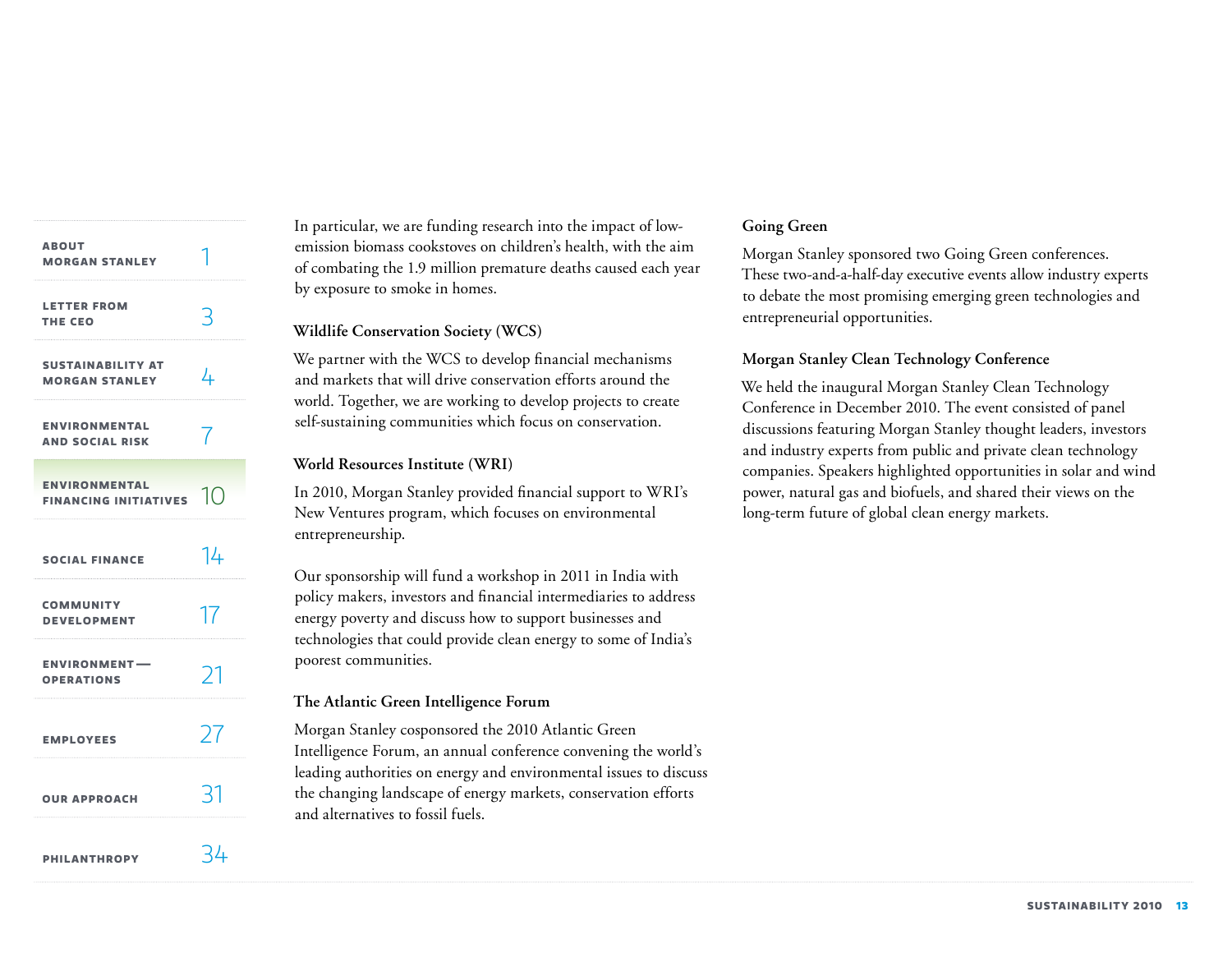| <b>ABOUT</b><br><b>MORGAN STANLEY</b>                |     |
|------------------------------------------------------|-----|
| <b>LETTER FROM</b><br>THE CEO                        | R   |
| <b>SUSTAINABILITY AT</b><br><b>MORGAN STANLEY</b>    | 4   |
| <b>ENVIRONMENTAL</b><br><b>AND SOCIAL RISK</b>       | 7   |
| <b>ENVIRONMENTAL</b><br><b>FINANCING INITIATIVES</b> | 10  |
| <b>SOCIAL FINANCE</b>                                | 14  |
| <b>COMMUNITY</b><br><b>DEVELOPMENT</b>               | 17  |
| <b>ENVIRONMENT-</b><br><b>OPERATIONS</b>             | 21  |
| <b>EMPLOYEES</b>                                     | 77  |
| <b>OUR APPROACH</b>                                  | 31  |
| <b>PHILANTHROPY</b>                                  | -44 |

In particular, we are funding research into the impact of lowemission biomass cookstoves on children's health, with the aim of combating the 1.9 million premature deaths caused each year by exposure to smoke in homes.

# **Wildlife Conservation Society (WCS)**

We partner with the WCS to develop financial mechanisms and markets that will drive conservation efforts around the world. Together, we are working to develop projects to create self-sustaining communities which focus on conservation.

# **World Resources Institute (WRI)**

In 2010, Morgan Stanley provided financial support to WRI's New Ventures program, which focuses on environmental entrepreneurship.

Our sponsorship will fund a workshop in 2011 in India with policy makers, investors and financial intermediaries to address energy poverty and discuss how to support businesses and technologies that could provide clean energy to some of India's poorest communities.

# **The Atlantic Green Intelligence Forum**

Morgan Stanley cosponsored the 2010 Atlantic Green Intelligence Forum, an annual conference convening the world's leading authorities on energy and environmental issues to discuss the changing landscape of energy markets, conservation efforts and alternatives to fossil fuels.

# **Going Green**

Morgan Stanley sponsored two Going Green conferences. These two-and-a-half-day executive events allow industry experts to debate the most promising emerging green technologies and entrepreneurial opportunities.

# **Morgan Stanley Clean Technology Conference**

We held the inaugural Morgan Stanley Clean Technology Conference in December 2010. The event consisted of panel discussions featuring Morgan Stanley thought leaders, investors and industry experts from public and private clean technology companies. Speakers highlighted opportunities in solar and wind power, natural gas and biofuels, and shared their views on the long-term future of global clean energy markets.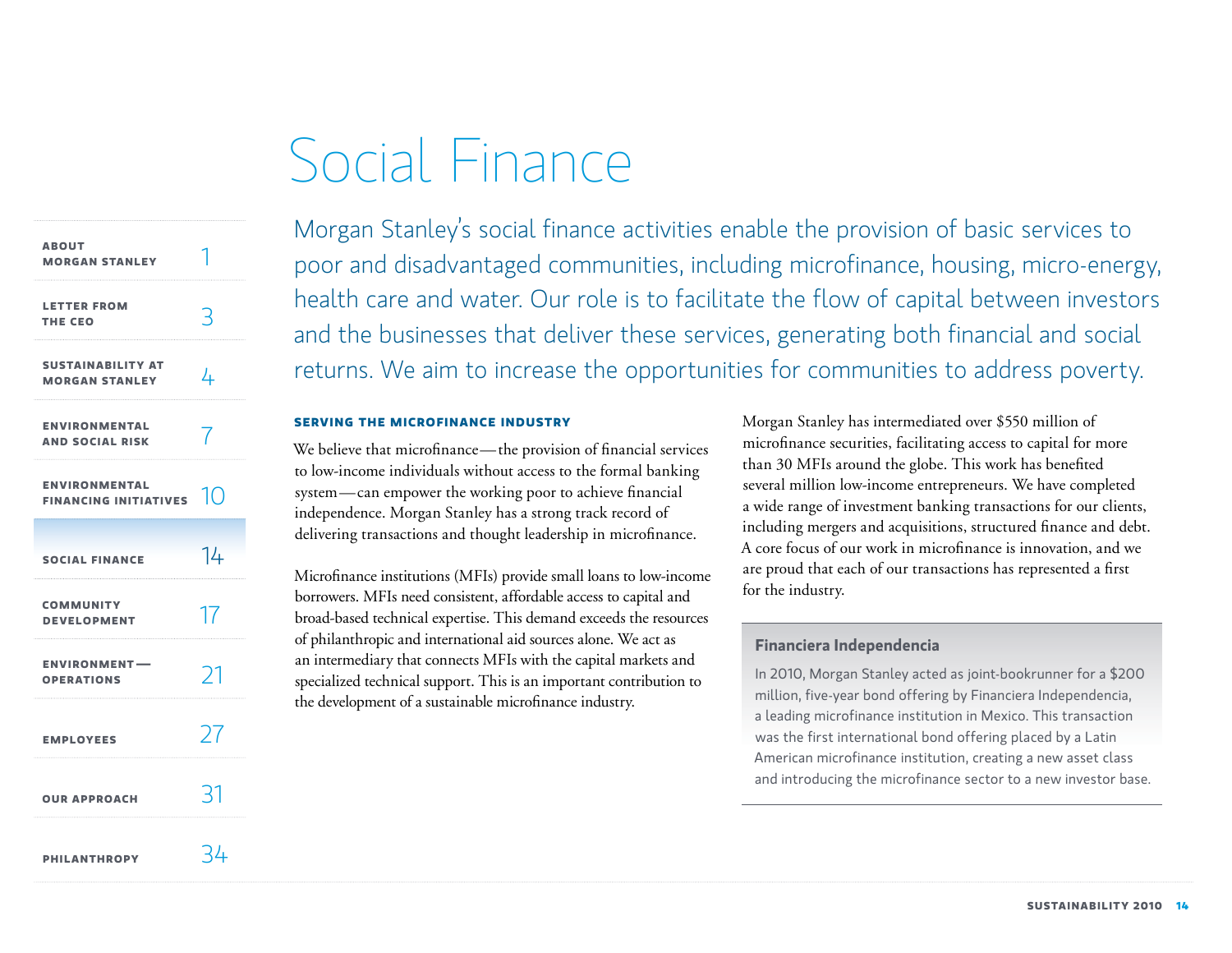# Social Finance

<span id="page-14-0"></span>

| <b>ABOUT</b><br><b>MORGAN STANLEY</b>                |               |
|------------------------------------------------------|---------------|
| <b>LETTER FROM</b><br>THE CEO                        |               |
| <b>SUSTAINABILITY AT</b><br><b>MORGAN STANLEY</b>    | 4             |
| <b>ENVIRONMENTAL</b><br><b>AND SOCIAL RISK</b>       |               |
| <b>ENVIRONMENTAL</b><br><b>FINANCING INITIATIVES</b> | 10            |
| <b>SOCIAL FINANCE</b>                                | 14            |
| <b>COMMUNITY</b><br><b>DEVELOPMENT</b>               | 17            |
| <b>ENVIRONMENT-</b><br><b>OPERATIONS</b>             | Σ             |
| <b>EMPLOYEES</b>                                     | 27            |
| <b>OUR APPROACH</b>                                  | $\mathcal{R}$ |
| <b>PHILANTHROPY</b>                                  | - 4           |

Morgan Stanley's social finance activities enable the provision of basic services to poor and disadvantaged communities, including microfinance, housing, micro-energy, health care and water. Our role is to facilitate the flow of capital between investors and the businesses that deliver these services, generating both financial and social returns. We aim to increase the opportunities for communities to address poverty.

### **Serving the microfinance industry**

We believe that microfinance—the provision of financial services to low-income individuals without access to the formal banking system—can empower the working poor to achieve financial independence. Morgan Stanley has a strong track record of delivering transactions and thought leadership in microfinance.

Microfinance institutions (MFIs) provide small loans to low-income borrowers. MFIs need consistent, affordable access to capital and broad-based technical expertise. This demand exceeds the resources of philanthropic and international aid sources alone. We act as an intermediary that connects MFIs with the capital markets and specialized technical support. This is an important contribution to the development of a sustainable microfinance industry.

Morgan Stanley has intermediated over \$550 million of microfinance securities, facilitating access to capital for more than 30 MFIs around the globe. This work has benefited several million low-income entrepreneurs. We have completed a wide range of investment banking transactions for our clients, including mergers and acquisitions, structured finance and debt. A core focus of our work in microfinance is innovation, and we are proud that each of our transactions has represented a first for the industry.

# **Financiera Independencia**

In 2010, Morgan Stanley acted as joint-bookrunner for a \$200 million, five-year bond offering by Financiera Independencia, a leading microfinance institution in Mexico. This transaction was the first international bond offering placed by a Latin American microfinance institution, creating a new asset class and introducing the microfinance sector to a new investor base.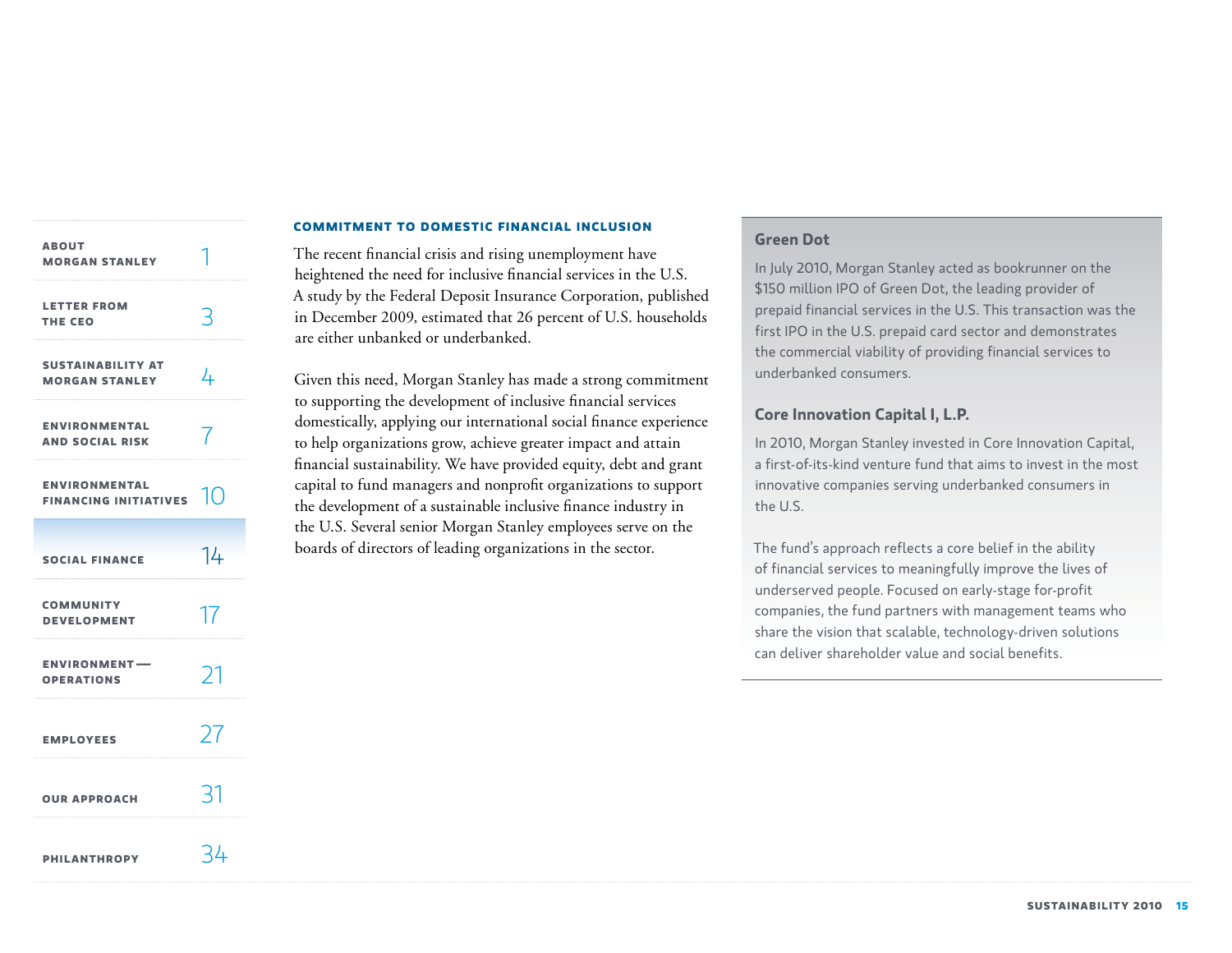| <b>ABOUT</b><br><b>MORGAN STANLEY</b>                |     |
|------------------------------------------------------|-----|
| <b>LETTER FROM</b><br><b>THE CEO</b>                 | R   |
| <b>SUSTAINABILITY AT</b><br><b>MORGAN STANLEY</b>    | 4   |
| <b>ENVIRONMENTAL</b><br><b>AND SOCIAL RISK</b>       | 7   |
| <b>ENVIRONMENTAL</b><br><b>FINANCING INITIATIVES</b> | 10  |
| <b>SOCIAL FINANCE</b>                                | 14  |
| <b>COMMUNITY</b><br><b>DEVELOPMENT</b>               | 17  |
| <b>ENVIRONMENT-</b><br><b>OPERATIONS</b>             | 71  |
| <b>EMPLOYEES</b>                                     | 27  |
| <b>OUR APPROACH</b>                                  | -31 |
| <b>PHILANTHROPY</b>                                  | 34  |

# **Commitment to domestic financial inclusion**

The recent financial crisis and rising unemployment have heightened the need for inclusive financial services in the U.S. A study by the Federal Deposit Insurance Corporation, published in December 2009, estimated that 26 percent of U.S. households are either unbanked or underbanked.

Given this need, Morgan Stanley has made a strong commitment to supporting the development of inclusive financial services domestically, applying our international social finance experience to help organizations grow, achieve greater impact and attain financial sustainability. We have provided equity, debt and grant capital to fund managers and nonprofit organizations to support the development of a sustainable inclusive finance industry in the U.S. Several senior Morgan Stanley employees serve on the boards of directors of leading organizations in the sector.

# **Green Dot**

In July 2010, Morgan Stanley acted as bookrunner on the \$150 million IPO of Green Dot, the leading provider of prepaid financial services in the U.S. This transaction was the first IPO in the U.S. prepaid card sector and demonstrates the commercial viability of providing financial services to underbanked consumers.

# **Core Innovation Capital I, L.P.**

In 2010, Morgan Stanley invested in Core Innovation Capital, a first-of-its-kind venture fund that aims to invest in the most innovative companies serving underbanked consumers in the U.S.

The fund's approach reflects a core belief in the ability of financial services to meaningfully improve the lives of underserved people. Focused on early-stage for-profit companies, the fund partners with management teams who share the vision that scalable, technology-driven solutions can deliver shareholder value and social benefits.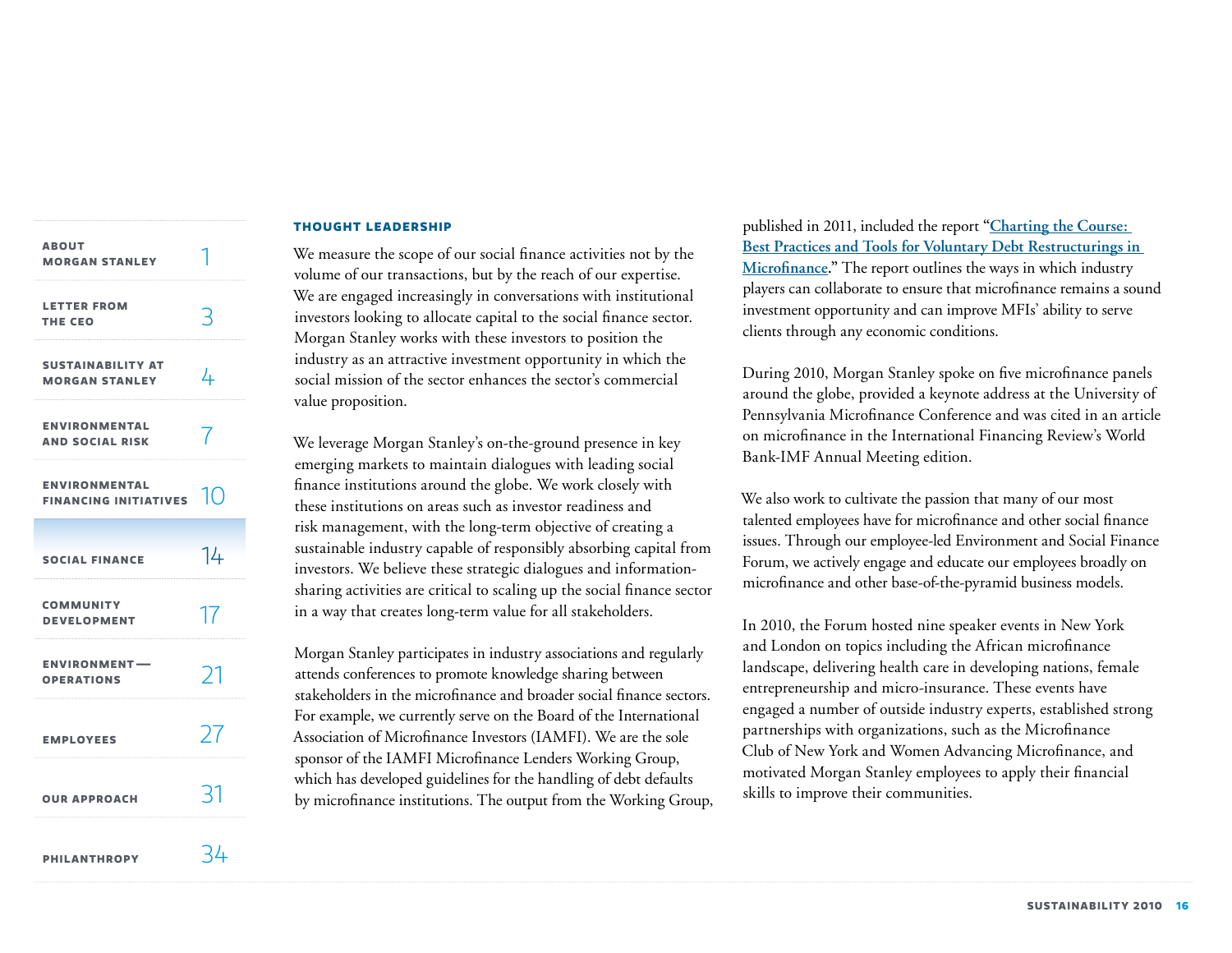| <b>ABOUT</b><br><b>MORGAN STANLEY</b>                |    |
|------------------------------------------------------|----|
| <b>LETTER FROM</b><br>THE CEO                        | 3  |
| <b>SUSTAINABILITY AT</b><br><b>MORGAN STANLEY</b>    | 4  |
| <b>ENVIRONMENTAL</b><br><b>AND SOCIAL RISK</b>       |    |
| <b>ENVIRONMENTAL</b><br>FINANCING INITIATIVES $\Box$ |    |
| <b>SOCIAL FINANCE</b>                                | 14 |
| <b>COMMUNITY</b><br><b>DEVELOPMENT</b>               | 17 |
| <b>ENVIRONMENT-</b><br><b>OPERATIONS</b>             | 71 |
| <b>EMPLOYEES</b>                                     | 27 |
| <b>OUR APPROACH</b>                                  | 31 |
| <b>PHILANTHROPY</b>                                  | 34 |

#### **Thought leadership**

We measure the scope of our social finance activities not by the volume of our transactions, but by the reach of our expertise. We are engaged increasingly in conversations with institutional investors looking to allocate capital to the social finance sector. Morgan Stanley works with these investors to position the industry as an attractive investment opportunity in which the social mission of the sector enhances the sector's commercial value proposition.

We leverage Morgan Stanley's on-the-ground presence in key emerging markets to maintain dialogues with leading social finance institutions around the globe. We work closely with these institutions on areas such as investor readiness and risk management, with the long-term objective of creating a sustainable industry capable of responsibly absorbing capital from investors. We believe these strategic dialogues and informationsharing activities are critical to scaling up the social finance sector in a way that creates long-term value for all stakeholders.

Morgan Stanley participates in industry associations and regularly attends conferences to promote knowledge sharing between stakeholders in the microfinance and broader social finance sectors. For example, we currently serve on the Board of the International Association of Microfinance Investors (IAMFI). We are the sole sponsor of the IAMFI Microfinance Lenders Working Group, which has developed guidelines for the handling of debt defaults by microfinance institutions. The output from the Working Group, published in 2011, included the report **["Charting the Course:](http://morganstanley.com/globalcitizen/socialfinance.html)  [Best Practices and Tools for Voluntary Debt Restructurings in](http://morganstanley.com/globalcitizen/socialfinance.html)  [Microfinance.](http://morganstanley.com/globalcitizen/socialfinance.html)"** The report outlines the ways in which industry players can collaborate to ensure that microfinance remains a sound investment opportunity and can improve MFIs' ability to serve clients through any economic conditions.

During 2010, Morgan Stanley spoke on five microfinance panels around the globe, provided a keynote address at the University of Pennsylvania Microfinance Conference and was cited in an article on microfinance in the International Financing Review's World Bank-IMF Annual Meeting edition.

We also work to cultivate the passion that many of our most talented employees have for microfinance and other social finance issues. Through our employee-led Environment and Social Finance Forum, we actively engage and educate our employees broadly on microfinance and other base-of-the-pyramid business models.

In 2010, the Forum hosted nine speaker events in New York and London on topics including the African microfinance landscape, delivering health care in developing nations, female entrepreneurship and micro-insurance. These events have engaged a number of outside industry experts, established strong partnerships with organizations, such as the Microfinance Club of New York and Women Advancing Microfinance, and motivated Morgan Stanley employees to apply their financial skills to improve their communities.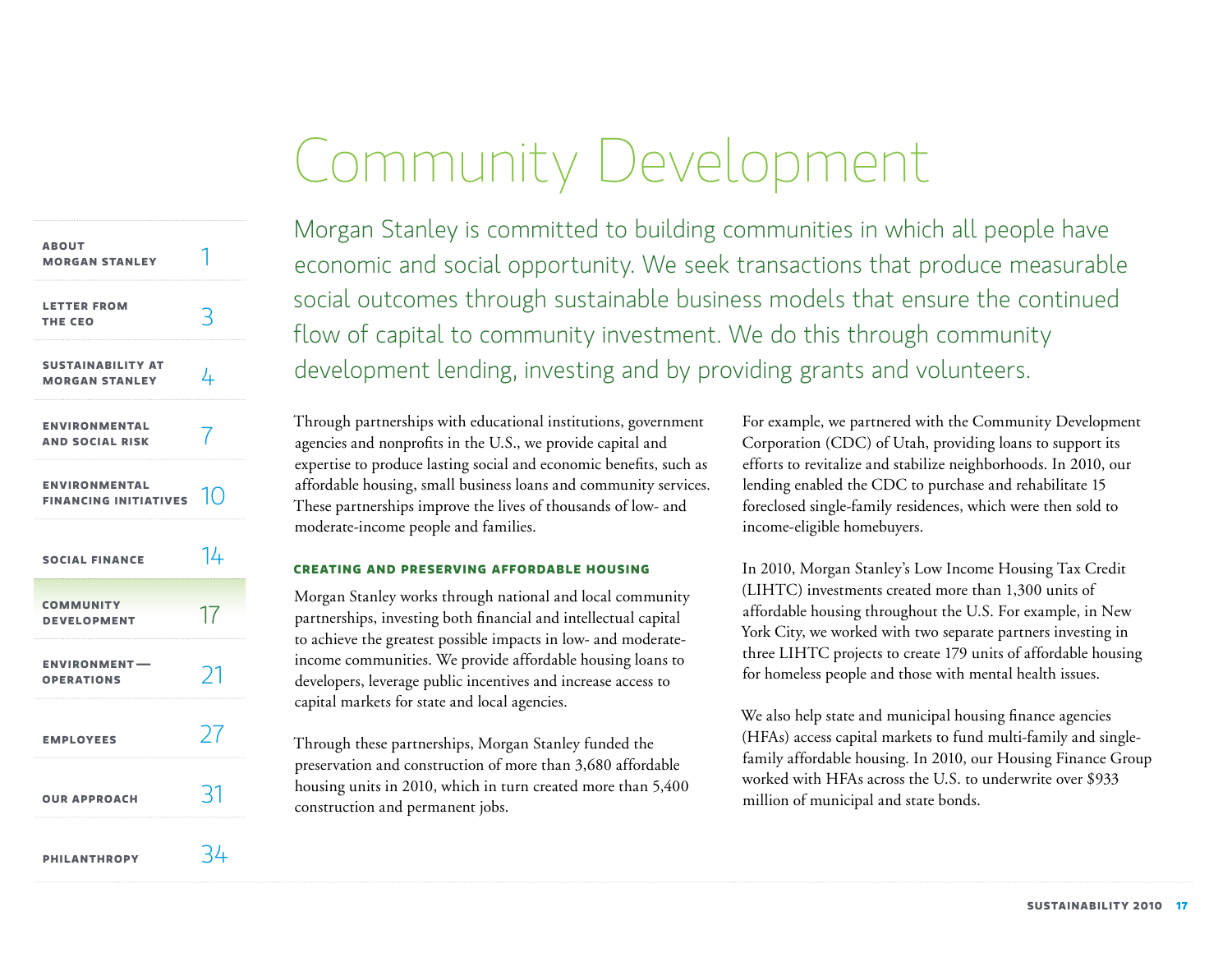# Community Development

<span id="page-17-0"></span>

| <b>ABOUT</b><br><b>MORGAN STANLEY</b>                |                      |
|------------------------------------------------------|----------------------|
| <b>LETTER FROM</b><br>THE CEO                        |                      |
| <b>SUSTAINABILITY AT</b><br><b>MORGAN STANLEY</b>    | 4                    |
| <b>ENVIRONMENTAL</b><br><b>AND SOCIAL RISK</b>       |                      |
| <b>ENVIRONMENTAL</b><br><b>FINANCING INITIATIVES</b> | $\vert ( \, \vert )$ |
| <b>SOCIAL FINANCE</b>                                | 14                   |
| <b>COMMUNITY</b><br><b>DEVELOPMENT</b>               | 17                   |
| <b>ENVIRONMENT-</b><br><b>OPERATIONS</b>             | 71                   |
| <b>EMPLOYEES</b>                                     | 27                   |
| <b>OUR APPROACH</b>                                  | 31                   |
| <b>PHILANTHROPY</b>                                  | 34                   |

Morgan Stanley is committed to building communities in which all people have economic and social opportunity. We seek transactions that produce measurable social outcomes through sustainable business models that ensure the continued flow of capital to community investment. We do this through community development lending, investing and by providing grants and volunteers.

Through partnerships with educational institutions, government agencies and nonprofits in the U.S., we provide capital and expertise to produce lasting social and economic benefits, such as affordable housing, small business loans and community services. These partnerships improve the lives of thousands of low- and moderate-income people and families.

# **Creating and preserving affordable housing**

Morgan Stanley works through national and local community partnerships, investing both financial and intellectual capital to achieve the greatest possible impacts in low- and moderateincome communities. We provide affordable housing loans to developers, leverage public incentives and increase access to capital markets for state and local agencies.

Through these partnerships, Morgan Stanley funded the preservation and construction of more than 3,680 affordable housing units in 2010, which in turn created more than 5,400 construction and permanent jobs.

For example, we partnered with the Community Development Corporation (CDC) of Utah, providing loans to support its efforts to revitalize and stabilize neighborhoods. In 2010, our lending enabled the CDC to purchase and rehabilitate 15 foreclosed single-family residences, which were then sold to income-eligible homebuyers.

In 2010, Morgan Stanley's Low Income Housing Tax Credit (LIHTC) investments created more than 1,300 units of affordable housing throughout the U.S. For example, in New York City, we worked with two separate partners investing in three LIHTC projects to create 179 units of affordable housing for homeless people and those with mental health issues.

We also help state and municipal housing finance agencies (HFAs) access capital markets to fund multi-family and singlefamily affordable housing. In 2010, our Housing Finance Group worked with HFAs across the U.S. to underwrite over \$933 million of municipal and state bonds.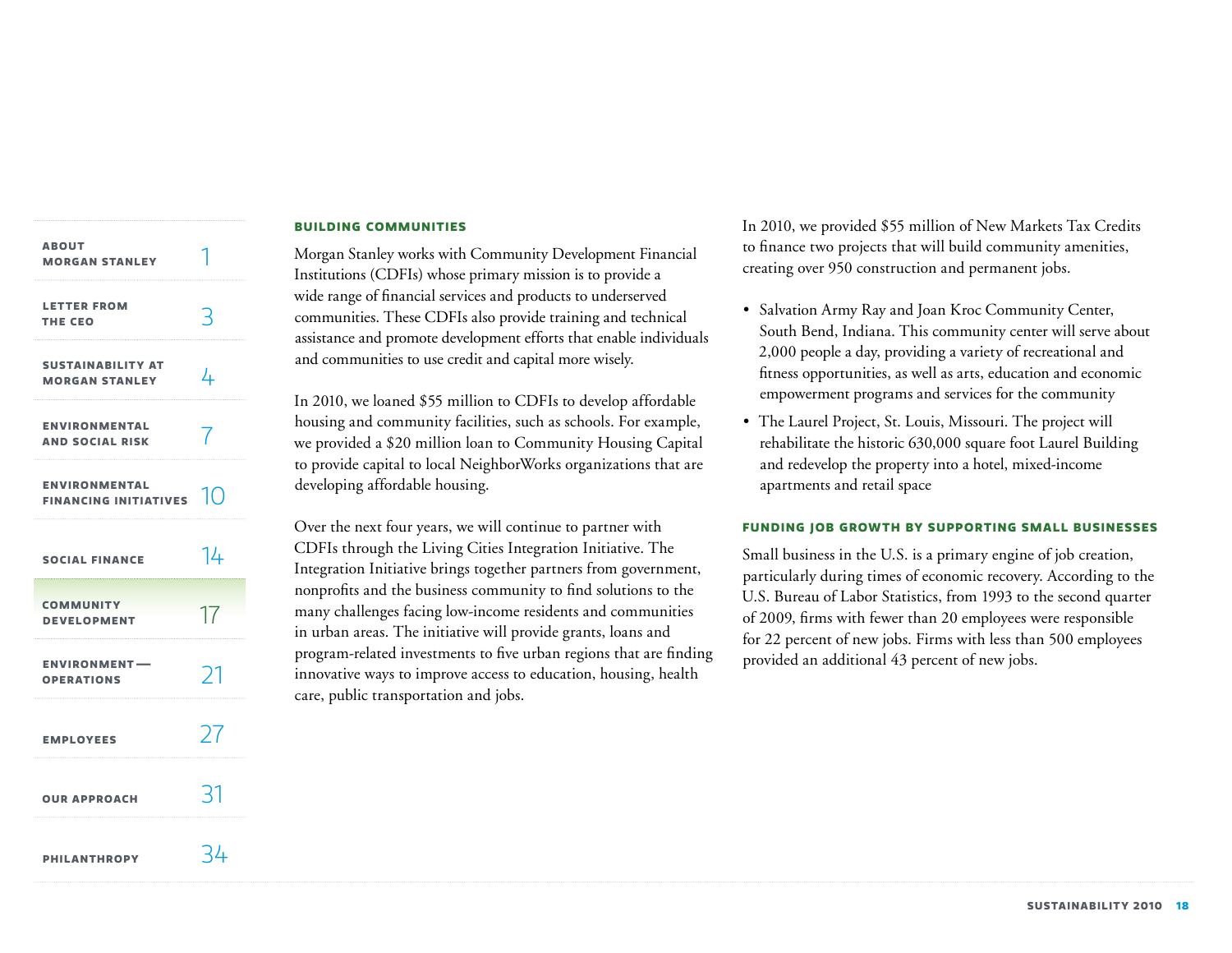| <b>ABOUT</b><br><b>MORGAN STANLEY</b>                          |    |
|----------------------------------------------------------------|----|
| <b>LETTER FROM</b><br>THE CEO                                  | 3  |
| <b>SUSTAINABILITY AT</b><br><b>MORGAN STANLEY</b>              | 4  |
| <b>ENVIRONMENTAL</b><br><b>AND SOCIAL RISK</b>                 |    |
| <b>ENVIRONMENTAL</b><br><b>FINANCING INITIATIVES</b> $\bigcap$ |    |
| <b>SOCIAL FINANCE</b>                                          | 14 |
| <b>COMMUNITY</b><br><b>DEVELOPMENT</b>                         | 17 |
| <b>ENVIRONMENT-</b><br><b>OPERATIONS</b>                       | フコ |
| <b>EMPLOYEES</b>                                               | 27 |
| <b>OUR APPROACH</b>                                            | 31 |
| <b>PHILANTHROPY</b>                                            | 34 |

#### **Building communities**

Morgan Stanley works with Community Development Financial Institutions (CDFIs) whose primary mission is to provide a wide range of financial services and products to underserved communities. These CDFIs also provide training and technical assistance and promote development efforts that enable individuals and communities to use credit and capital more wisely.

In 2010, we loaned \$55 million to CDFIs to develop affordable housing and community facilities, such as schools. For example, we provided a \$20 million loan to Community Housing Capital to provide capital to local NeighborWorks organizations that are developing affordable housing.

Over the next four years, we will continue to partner with CDFIs through the Living Cities Integration Initiative. The Integration Initiative brings together partners from government, nonprofits and the business community to find solutions to the many challenges facing low-income residents and communities in urban areas. The initiative will provide grants, loans and program-related investments to five urban regions that are finding innovative ways to improve access to education, housing, health care, public transportation and jobs.

In 2010, we provided \$55 million of New Markets Tax Credits to finance two projects that will build community amenities, creating over 950 construction and permanent jobs.

- • Salvation Army Ray and Joan Kroc Community Center, South Bend, Indiana. This community center will serve about 2,000 people a day, providing a variety of recreational and fitness opportunities, as well as arts, education and economic empowerment programs and services for the community
- The Laurel Project, St. Louis, Missouri. The project will rehabilitate the historic 630,000 square foot Laurel Building and redevelop the property into a hotel, mixed-income apartments and retail space

# **Funding job growth by supporting small businesses**

Small business in the U.S. is a primary engine of job creation, particularly during times of economic recovery. According to the U.S. Bureau of Labor Statistics, from 1993 to the second quarter of 2009, firms with fewer than 20 employees were responsible for 22 percent of new jobs. Firms with less than 500 employees provided an additional 43 percent of new jobs.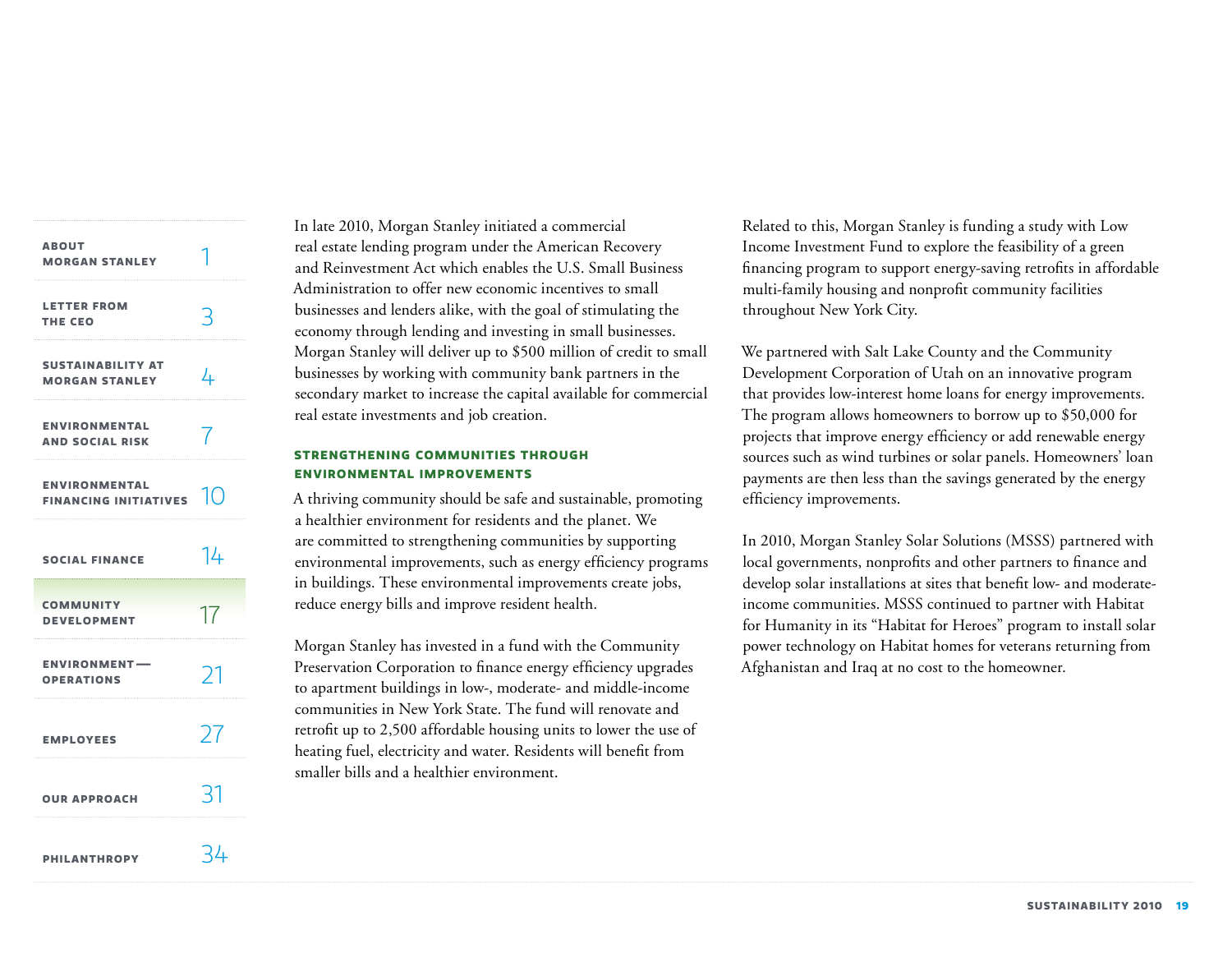<span id="page-19-0"></span>

| <b>ABOUT</b><br><b>MORGAN STANLEY</b>                |    |
|------------------------------------------------------|----|
| <b>LETTER FROM</b><br>THE CEO                        | 3  |
| <b>SUSTAINABILITY AT</b><br><b>MORGAN STANLEY</b>    | 4  |
| <b>ENVIRONMENTAL</b><br><b>AND SOCIAL RISK</b>       |    |
| <b>ENVIRONMENTAL</b><br><b>FINANCING INITIATIVES</b> | 10 |
| <b>SOCIAL FINANCE</b>                                | 14 |
| <b>COMMUNITY</b><br><b>DEVELOPMENT</b>               | 17 |
| <b>ENVIRONMENT-</b><br><b>OPERATIONS</b>             | ブ  |
| <b>EMPLOYEES</b>                                     | 77 |
| <b>OUR APPROACH</b>                                  | 31 |
| <b>PHILANTHROPY</b>                                  | 34 |

In late 2010, Morgan Stanley initiated a commercial real estate lending program under the American Recovery and Reinvestment Act which enables the U.S. Small Business Administration to offer new economic incentives to small businesses and lenders alike, with the goal of stimulating the economy through lending and investing in small businesses. Morgan Stanley will deliver up to \$500 million of credit to small businesses by working with community bank partners in the secondary market to increase the capital available for commercial real estate investments and job creation.

# **Strengthening communities through environmental improvements**

A thriving community should be safe and sustainable, promoting a healthier environment for residents and the planet. We are committed to strengthening communities by supporting environmental improvements, such as energy efficiency programs in buildings. These environmental improvements create jobs, reduce energy bills and improve resident health.

Morgan Stanley has invested in a fund with the Community Preservation Corporation to finance energy efficiency upgrades to apartment buildings in low-, moderate- and middle-income communities in New York State. The fund will renovate and retrofit up to 2,500 affordable housing units to lower the use of heating fuel, electricity and water. Residents will benefit from smaller bills and a healthier environment.

Related to this, Morgan Stanley is funding a study with Low Income Investment Fund to explore the feasibility of a green financing program to support energy-saving retrofits in affordable multi-family housing and nonprofit community facilities throughout New York City.

We partnered with Salt Lake County and the Community Development Corporation of Utah on an innovative program that provides low-interest home loans for energy improvements. The program allows homeowners to borrow up to \$50,000 for projects that improve energy efficiency or add renewable energy sources such as wind turbines or solar panels. Homeowners' loan payments are then less than the savings generated by the energy efficiency improvements.

In 2010, Morgan Stanley Solar Solutions (MSSS) partnered with local governments, nonprofits and other partners to finance and develop solar installations at sites that benefit low- and moderateincome communities. MSSS continued to partner with Habitat for Humanity in its "Habitat for Heroes" program to install solar power technology on Habitat homes for veterans returning from Afghanistan and Iraq at no cost to the homeowner.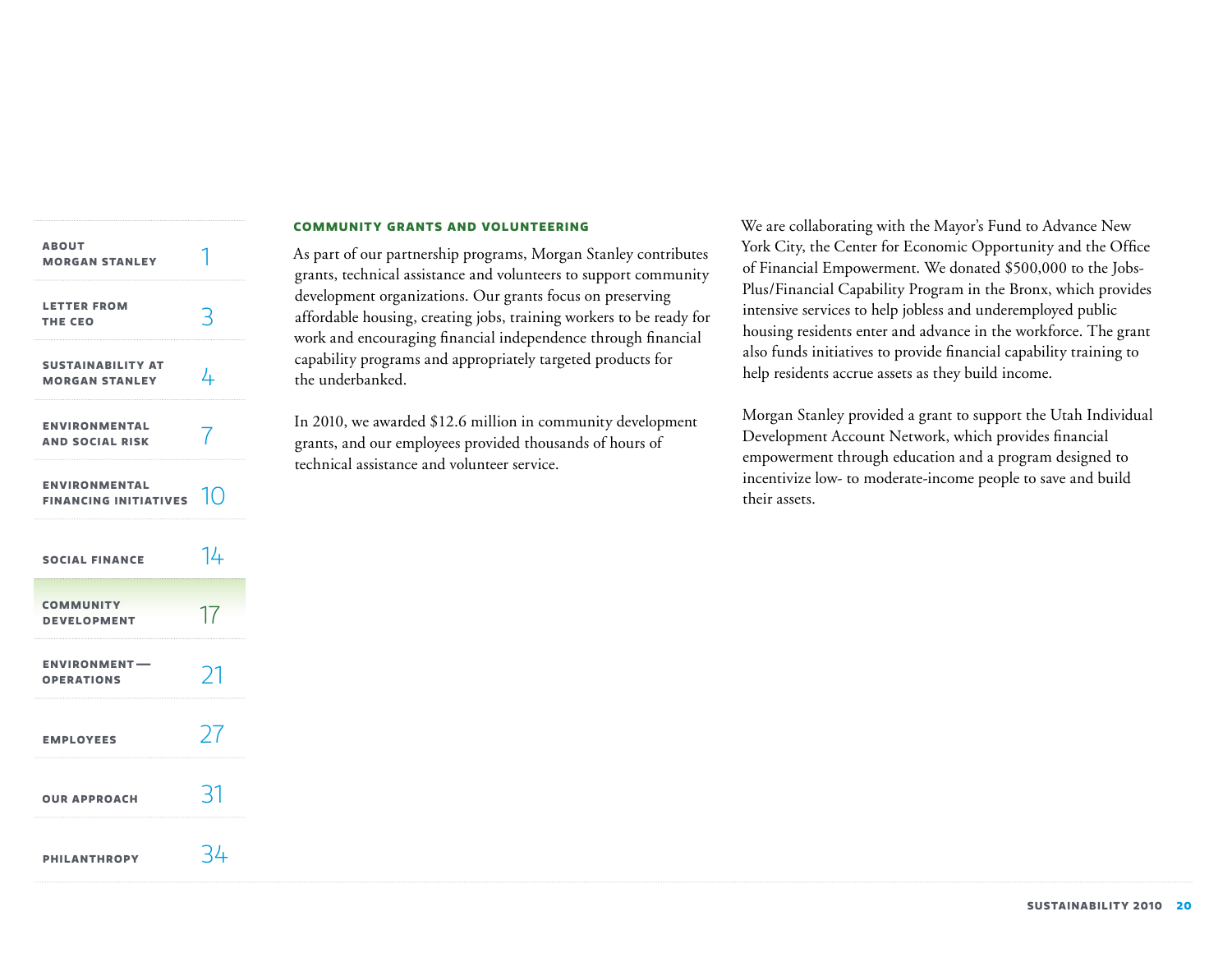| <b>ABOUT</b><br><b>MORGAN STANLEY</b>                |    |
|------------------------------------------------------|----|
| <b>LETTER FROM</b><br>THE CEO                        | 3  |
| <b>SUSTAINABILITY AT</b><br><b>MORGAN STANLEY</b>    | 4  |
| <b>ENVIRONMENTAL</b><br><b>AND SOCIAL RISK</b>       |    |
| <b>ENVIRONMENTAL</b><br><b>FINANCING INITIATIVES</b> | 10 |
| <b>SOCIAL FINANCE</b>                                | 14 |
| <b>COMMUNITY</b><br><b>DEVELOPMENT</b>               | 17 |
| <b>ENVIRONMENT-</b><br><b>OPERATIONS</b>             | 21 |
| <b>EMPLOYEES</b>                                     | 27 |
| <b>OUR APPROACH</b>                                  | 31 |
| <b>PHILANTHROPY</b>                                  | 34 |

#### **Community grants and volunteering**

As part of our partnership programs, Morgan Stanley contributes grants, technical assistance and volunteers to support community development organizations. Our grants focus on preserving affordable housing, creating jobs, training workers to be ready for work and encouraging financial independence through financial capability programs and appropriately targeted products for the underbanked.

In 2010, we awarded \$12.6 million in community development grants, and our employees provided thousands of hours of technical assistance and volunteer service.

We are collaborating with the Mayor's Fund to Advance New York City, the Center for Economic Opportunity and the Office of Financial Empowerment. We donated \$500,000 to the Jobs-Plus/Financial Capability Program in the Bronx, which provides intensive services to help jobless and underemployed public housing residents enter and advance in the workforce. The grant also funds initiatives to provide financial capability training to help residents accrue assets as they build income.

Morgan Stanley provided a grant to support the Utah Individual Development Account Network, which provides financial empowerment through education and a program designed to incentivize low- to moderate-income people to save and build their assets.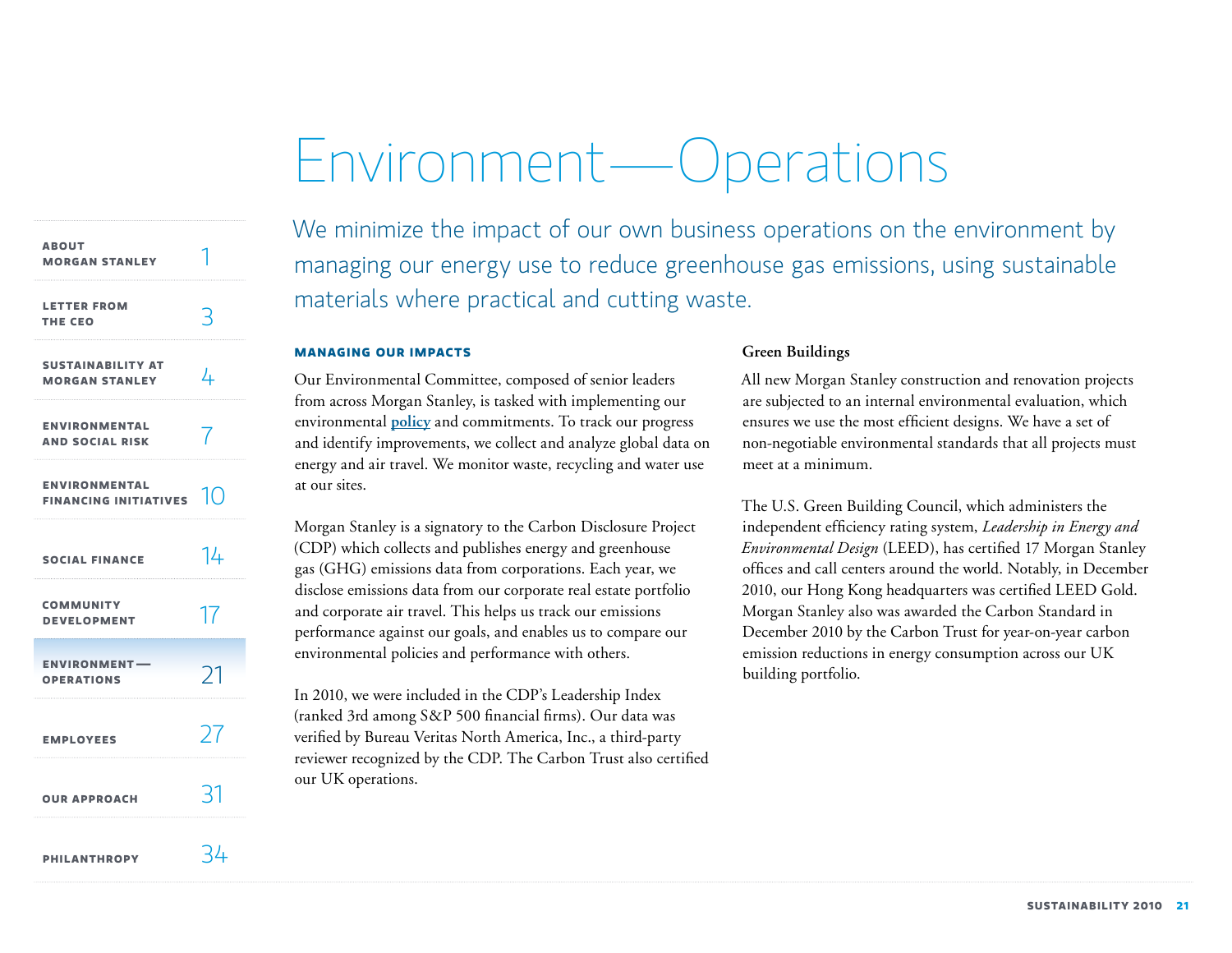# Environment—Operations

<span id="page-21-0"></span>

| <b>ABOUT</b><br><b>MORGAN STANLEY</b>                |     |
|------------------------------------------------------|-----|
| <b>LETTER FROM</b><br>THE CEO                        |     |
| <b>SUSTAINABILITY AT</b><br><b>MORGAN STANLEY</b>    | 4   |
| <b>ENVIRONMENTAL</b><br><b>AND SOCIAL RISK</b>       |     |
| <b>ENVIRONMENTAL</b><br><b>FINANCING INITIATIVES</b> |     |
| <b>SOCIAL FINANCE</b>                                | I4  |
| <b>COMMUNITY</b><br><b>DEVELOPMENT</b>               | 17  |
| <b>ENVIRONMENT-</b><br><b>OPERATIONS</b>             | 21  |
| <b>EMPLOYEES</b>                                     | 27  |
| <b>OUR APPROACH</b>                                  | ヾ   |
| <b>PHILANTHROPY</b>                                  | -44 |

We minimize the impact of our own business operations on the environment by managing our energy use to reduce greenhouse gas emissions, using sustainable materials where practical and cutting waste.

# **Managing our impacts**

Our Environmental Committee, composed of senior leaders from across Morgan Stanley, is tasked with implementing our environmental **[policy](http://morganstanley.com/globalcitizen/pdf/Environmental_Policy.pdf)** and commitments. To track our progress and identify improvements, we collect and analyze global data on energy and air travel. We monitor waste, recycling and water use at our sites.

Morgan Stanley is a signatory to the Carbon Disclosure Project (CDP) which collects and publishes energy and greenhouse gas (GHG) emissions data from corporations. Each year, we disclose emissions data from our corporate real estate portfolio and corporate air travel. This helps us track our emissions performance against our goals, and enables us to compare our environmental policies and performance with others.

In 2010, we were included in the CDP's Leadership Index (ranked 3rd among S&P 500 financial firms). Our data was verified by Bureau Veritas North America, Inc., a third-party reviewer recognized by the CDP. The Carbon Trust also certified our UK operations.

# **Green Buildings**

All new Morgan Stanley construction and renovation projects are subjected to an internal environmental evaluation, which ensures we use the most efficient designs. We have a set of non-negotiable environmental standards that all projects must meet at a minimum.

The U.S. Green Building Council, which administers the independent efficiency rating system, *Leadership in Energy and Environmental Design* (LEED), has certified 17 Morgan Stanley offices and call centers around the world. Notably, in December 2010, our Hong Kong headquarters was certified LEED Gold. Morgan Stanley also was awarded the Carbon Standard in December 2010 by the Carbon Trust for year-on-year carbon emission reductions in energy consumption across our UK building portfolio.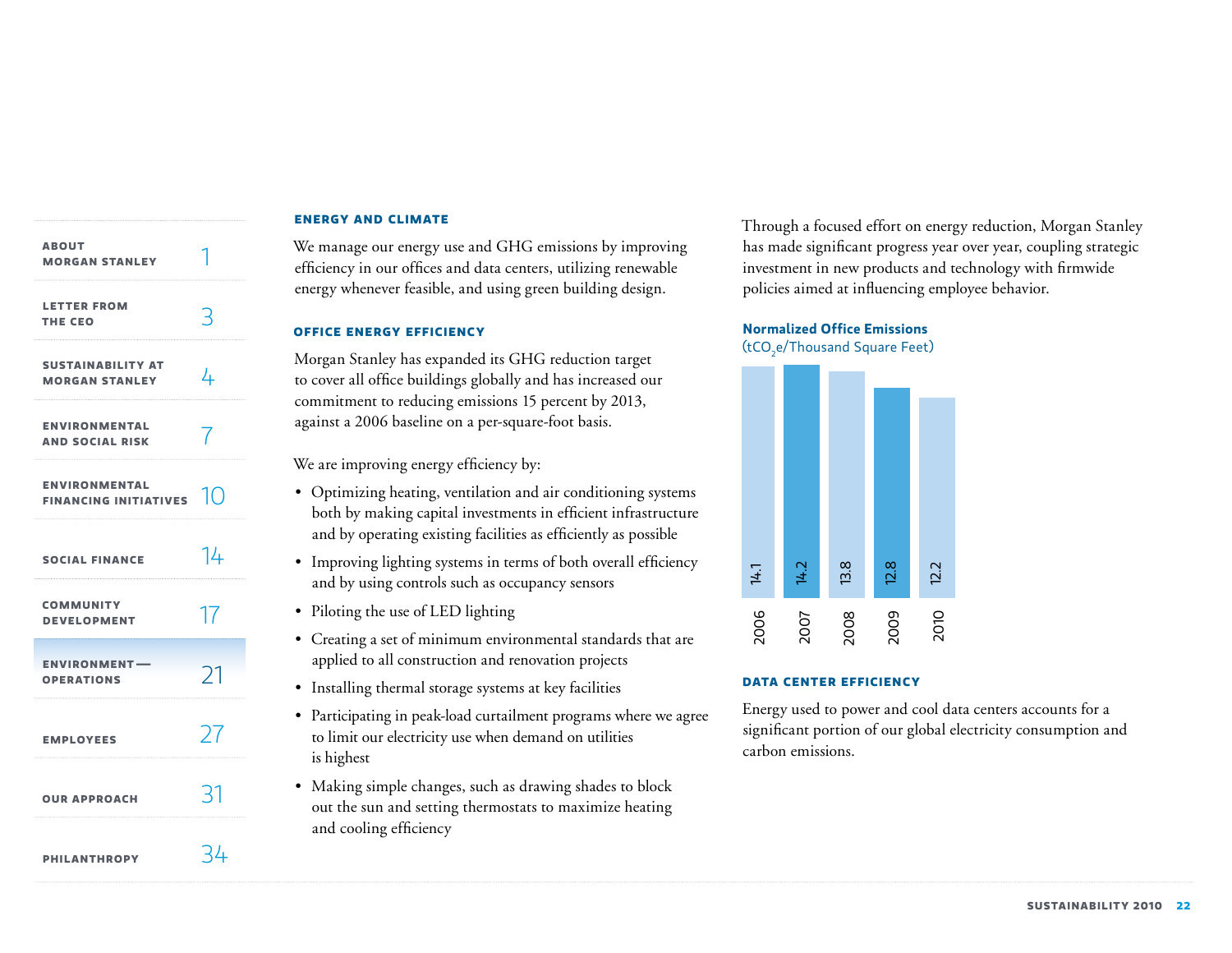# **[Sustainability at](#page-4-0) Morgan Stanley About [Morgan Stanley](#page-1-0) Letter from [the](#page-3-0) CEo [Environmental](#page-7-0)  and Social Risk Environmental [Financing Initiatives](#page-10-0) [Social Finance](#page-14-0) [Community](#page-17-0)  Development [Employees](#page-27-0)  [Environment —](#page-21-0)  Operations [Our approach](#page-31-0) [Philanthropy](#page-34-0)** 4 1 3 7 10 14 17 27 21 31 34

# **Energy and climate**

We manage our energy use and GHG emissions by improving efficiency in our offices and data centers, utilizing renewable energy whenever feasible, and using green building design.

# **Office energy efficiency**

Morgan Stanley has expanded its GHG reduction target to cover all office buildings globally and has increased our commitment to reducing emissions 15 percent by 2013, against a 2006 baseline on a per-square-foot basis.

We are improving energy efficiency by:

- Optimizing heating, ventilation and air conditioning systems both by making capital investments in efficient infrastructure and by operating existing facilities as efficiently as possible
- Improving lighting systems in terms of both overall efficiency and by using controls such as occupancy sensors
- Piloting the use of LED lighting
- Creating a set of minimum environmental standards that are applied to all construction and renovation projects
- Installing thermal storage systems at key facilities
- • Participating in peak-load curtailment programs where we agree to limit our electricity use when demand on utilities is highest
- Making simple changes, such as drawing shades to block out the sun and setting thermostats to maximize heating and cooling efficiency

Through a focused effort on energy reduction, Morgan Stanley has made significant progress year over year, coupling strategic investment in new products and technology with firmwide policies aimed at influencing employee behavior.

# **Normalized Office Emissions**  (tCO<sub>2</sub>e/Thousand Square Feet)



# **Data center efficiency**

Energy used to power and cool data centers accounts for a significant portion of our global electricity consumption and carbon emissions.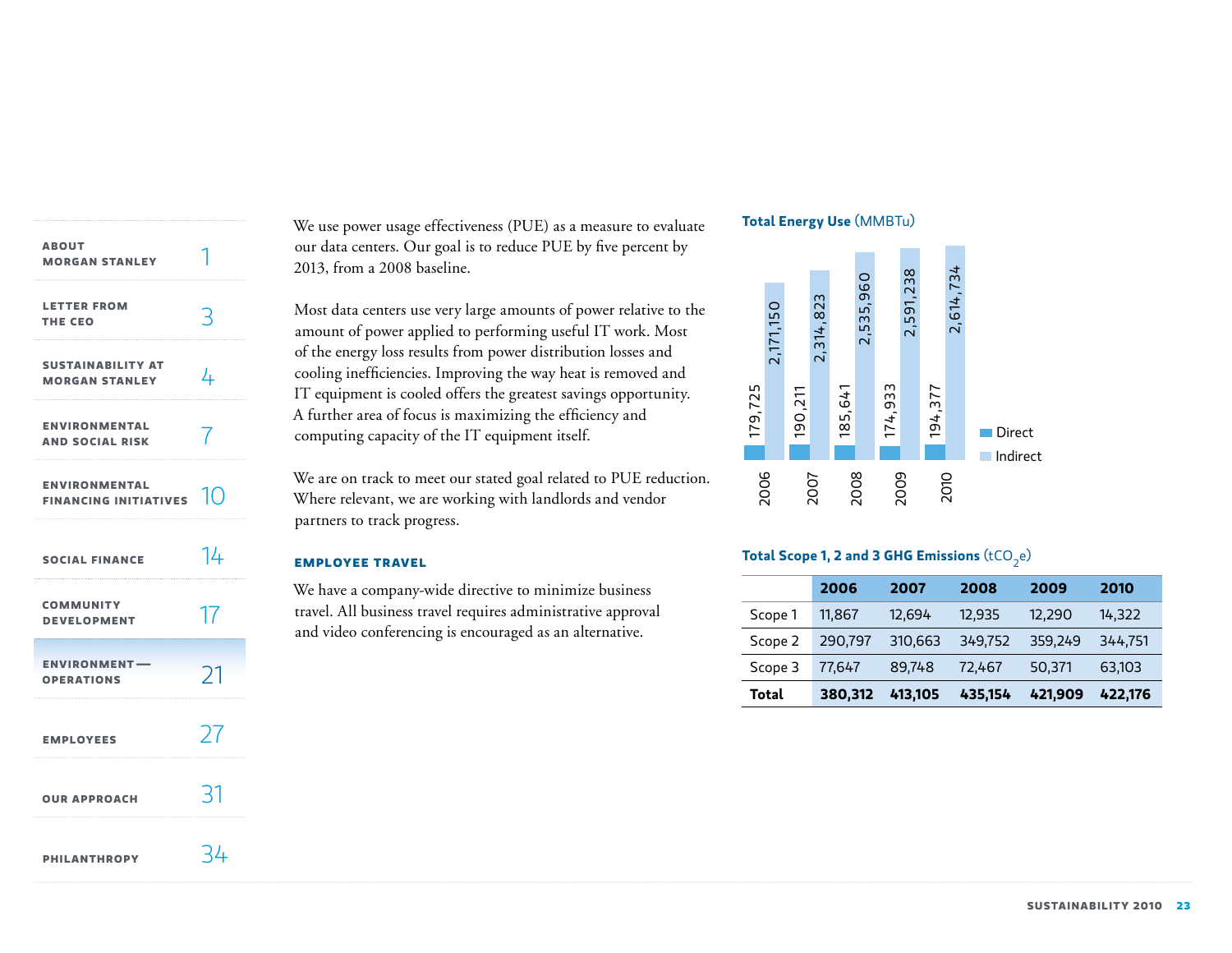| <b>ABOUT</b><br><b>MORGAN STANLEY</b>                |     |
|------------------------------------------------------|-----|
| <b>LETTER FROM</b><br>THE CEO                        | 3   |
| <b>SUSTAINABILITY AT</b><br><b>MORGAN STANLEY</b>    | 4   |
| <b>ENVIRONMENTAL</b><br><b>AND SOCIAL RISK</b>       | 7   |
| <b>ENVIRONMENTAL</b><br>FINANCING INITIATIVES $\Box$ |     |
| <b>SOCIAL FINANCE</b>                                | 14  |
| <b>COMMUNITY</b><br><b>DEVELOPMENT</b>               | 17  |
| <b>ENVIRONMENT-</b><br><b>OPERATIONS</b>             | 21  |
| <b>EMPLOYEES</b>                                     | 27  |
| <b>OUR APPROACH</b>                                  | -21 |
| <b>PHILANTHROPY</b>                                  | 34  |

We use power usage effectiveness (PUE) as a measure to evaluate our data centers. Our goal is to reduce PUE by five percent by 2013, from a 2008 baseline.

Most data centers use very large amounts of power relative to the amount of power applied to performing useful IT work. Most of the energy loss results from power distribution losses and cooling inefficiencies. Improving the way heat is removed and IT equipment is cooled offers the greatest savings opportunity. A further area of focus is maximizing the efficiency and computing capacity of the IT equipment itself.

We are on track to meet our stated goal related to PUE reduction. Where relevant, we are working with landlords and vendor partners to track progress.

#### **Employee travel**

We have a company-wide directive to minimize business travel. All business travel requires administrative approval and video conferencing is encouraged as an alternative.

# **Total Energy Use (MMBTu)**



# **Total Scope 1, 2 and 3 GHG Emissions** (tCO<sub>2</sub>e)

|         | 2006    | 2007    | 2008    | 2009    | 2010    |
|---------|---------|---------|---------|---------|---------|
| Scope 1 | 11,867  | 12,694  | 12,935  | 12,290  | 14,322  |
| Scope 2 | 290,797 | 310,663 | 349,752 | 359,249 | 344,751 |
| Scope 3 | 77.647  | 89,748  | 72,467  | 50,371  | 63,103  |
| Total   | 380,312 | 413,105 | 435,154 | 421,909 | 422,176 |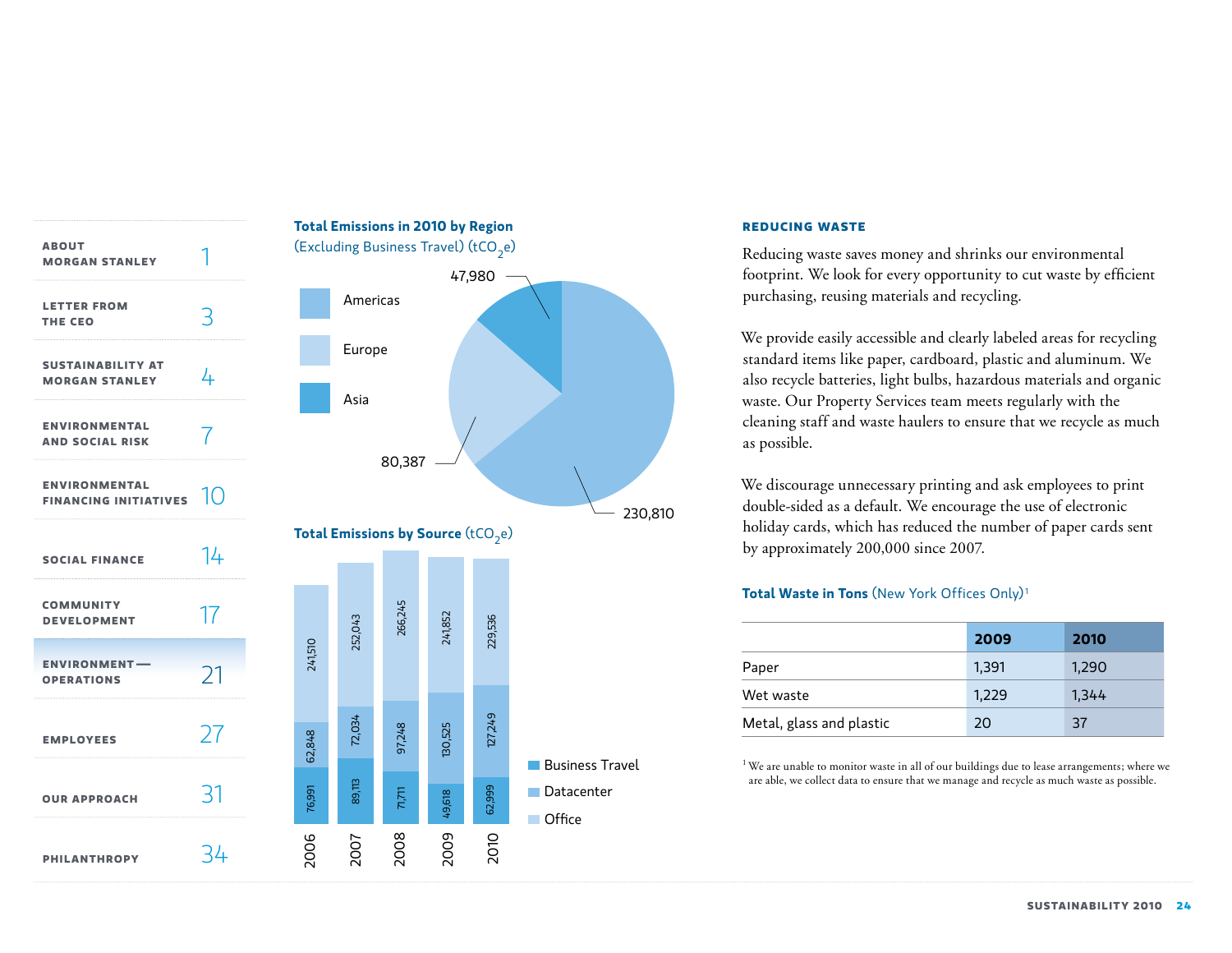

#### **Reducing waste**

Reducing waste saves money and shrinks our environmental footprint. We look for every opportunity to cut waste by efficient purchasing, reusing materials and recycling.

We provide easily accessible and clearly labeled areas for recycling standard items like paper, cardboard, plastic and aluminum. We also recycle batteries, light bulbs, hazardous materials and organic waste. Our Property Services team meets regularly with the cleaning staff and waste haulers to ensure that we recycle as much as possible.

We discourage unnecessary printing and ask employees to print double-sided as a default. We encourage the use of electronic holiday cards, which has reduced the number of paper cards sent by approximately 200,000 since 2007.

# **Total Waste in Tons** (New York Offices Only) <sup>1</sup>

|                          | 2009  | 2010  |
|--------------------------|-------|-------|
| Paper                    | 1,391 | 1,290 |
| Wet waste                | 1,229 | 1,344 |
| Metal, glass and plastic | 20    | 37    |

<sup>1</sup> We are unable to monitor waste in all of our buildings due to lease arrangements; where we are able, we collect data to ensure that we manage and recycle as much waste as possible.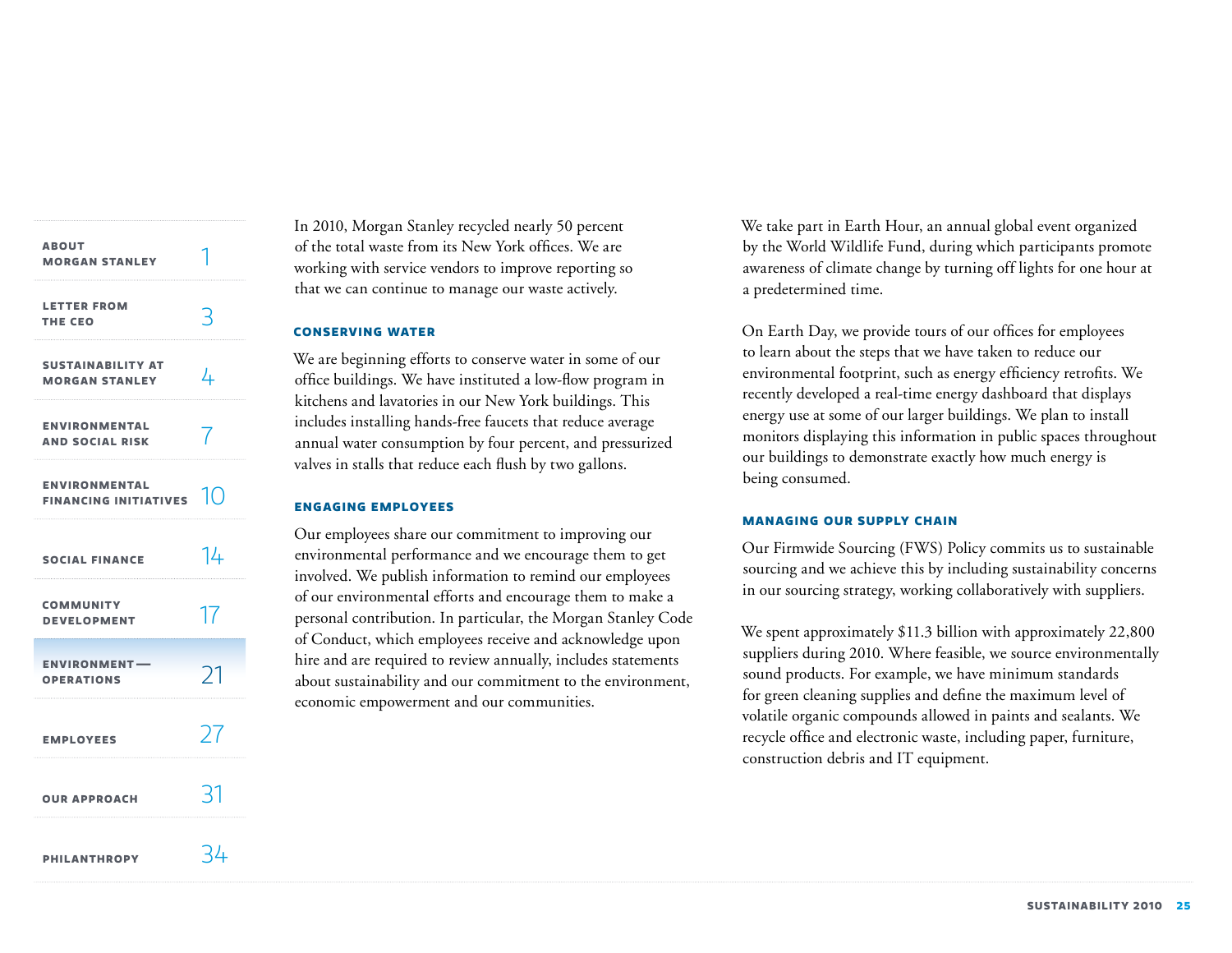| <b>ABOUT</b><br><b>MORGAN STANLEY</b>                |                |
|------------------------------------------------------|----------------|
| <b>LETTER FROM</b><br>THE CEO                        | ₹              |
| <b>SUSTAINABILITY AT</b><br><b>MORGAN STANLEY</b>    | 4              |
| <b>ENVIRONMENTAL</b><br><b>AND SOCIAL RISK</b>       | 7              |
| <b>ENVIRONMENTAL</b><br><b>FINANCING INITIATIVES</b> | 1 <sup>O</sup> |
| <b>SOCIAL FINANCE</b>                                | 14             |
| <b>COMMUNITY</b><br><b>DEVELOPMENT</b>               | 17             |
| <b>ENVIRONMENT-</b><br><b>OPERATIONS</b>             | 21             |
| <b>EMPLOYEES</b>                                     | 27             |
| <b>OUR APPROACH</b>                                  | 31             |
| <b>PHILANTHROPY</b>                                  | 34             |

In 2010, Morgan Stanley recycled nearly 50 percent of the total waste from its New York offices. We are working with service vendors to improve reporting so that we can continue to manage our waste actively.

### **Conserving water**

We are beginning efforts to conserve water in some of our office buildings. We have instituted a low-flow program in kitchens and lavatories in our New York buildings. This includes installing hands-free faucets that reduce average annual water consumption by four percent, and pressurized valves in stalls that reduce each flush by two gallons.

#### **Engaging employees**

Our employees share our commitment to improving our environmental performance and we encourage them to get involved. We publish information to remind our employees of our environmental efforts and encourage them to make a personal contribution. In particular, the Morgan Stanley Code of Conduct, which employees receive and acknowledge upon hire and are required to review annually, includes statements about sustainability and our commitment to the environment, economic empowerment and our communities.

We take part in Earth Hour, an annual global event organized by the World Wildlife Fund, during which participants promote awareness of climate change by turning off lights for one hour at a predetermined time.

On Earth Day, we provide tours of our offices for employees to learn about the steps that we have taken to reduce our environmental footprint, such as energy efficiency retrofits. We recently developed a real-time energy dashboard that displays energy use at some of our larger buildings. We plan to install monitors displaying this information in public spaces throughout our buildings to demonstrate exactly how much energy is being consumed.

#### **Managing our supply chain**

Our Firmwide Sourcing (FWS) Policy commits us to sustainable sourcing and we achieve this by including sustainability concerns in our sourcing strategy, working collaboratively with suppliers.

We spent approximately \$11.3 billion with approximately 22,800 suppliers during 2010. Where feasible, we source environmentally sound products. For example, we have minimum standards for green cleaning supplies and define the maximum level of volatile organic compounds allowed in paints and sealants. We recycle office and electronic waste, including paper, furniture, construction debris and IT equipment.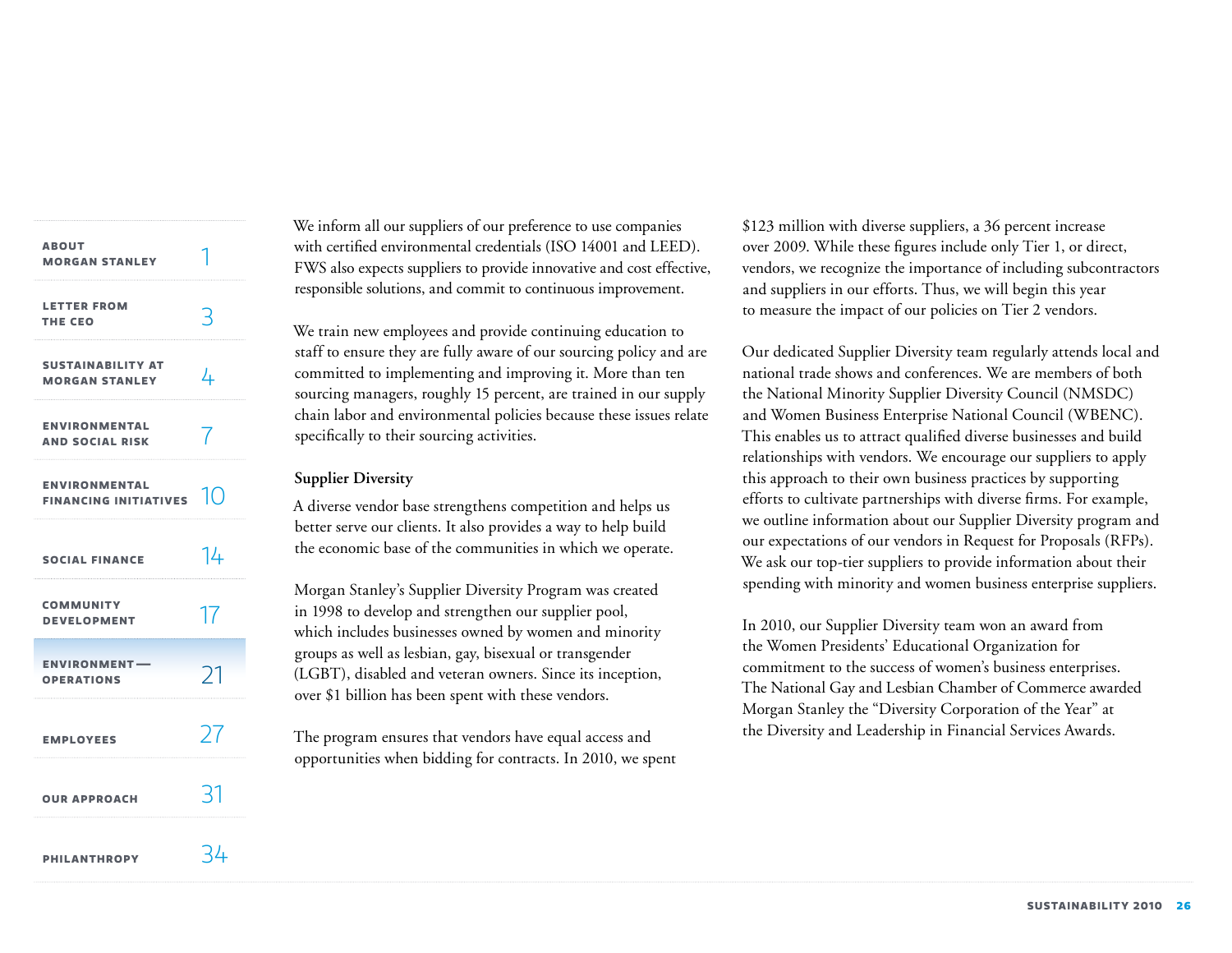| <b>ABOUT</b><br><b>MORGAN STANLEY</b>                   |    |
|---------------------------------------------------------|----|
| <b>LETTER FROM</b><br>THE CEO                           | 3  |
| <b>SUSTAINABILITY AT</b><br><b>MORGAN STANLEY</b>       | 4  |
| <b>ENVIRONMENTAL</b><br><b>AND SOCIAL RISK</b>          | 7  |
| <b>ENVIRONMENTAL</b><br>FINANCING INITIATIVES $\ket{0}$ |    |
| <b>SOCIAL FINANCE</b>                                   | 14 |
| <b>COMMUNITY</b><br><b>DEVELOPMENT</b>                  | 17 |
| <b>ENVIRONMENT-</b><br><b>OPERATIONS</b>                | 21 |
| <b>EMPLOYEES</b>                                        | 27 |
| <b>OUR APPROACH</b>                                     | 31 |
| <b>PHILANTHROPY</b>                                     | 34 |

We inform all our suppliers of our preference to use companies with certified environmental credentials (ISO 14001 and LEED). FWS also expects suppliers to provide innovative and cost effective, responsible solutions, and commit to continuous improvement.

We train new employees and provide continuing education to staff to ensure they are fully aware of our sourcing policy and are committed to implementing and improving it. More than ten sourcing managers, roughly 15 percent, are trained in our supply chain labor and environmental policies because these issues relate specifically to their sourcing activities.

# **Supplier Diversity**

A diverse vendor base strengthens competition and helps us better serve our clients. It also provides a way to help build the economic base of the communities in which we operate.

Morgan Stanley's Supplier Diversity Program was created in 1998 to develop and strengthen our supplier pool, which includes businesses owned by women and minority groups as well as lesbian, gay, bisexual or transgender (LGBT), disabled and veteran owners. Since its inception, over \$1 billion has been spent with these vendors.

The program ensures that vendors have equal access and opportunities when bidding for contracts. In 2010, we spent

\$123 million with diverse suppliers, a 36 percent increase over 2009. While these figures include only Tier 1, or direct, vendors, we recognize the importance of including subcontractors and suppliers in our efforts. Thus, we will begin this year to measure the impact of our policies on Tier 2 vendors.

Our dedicated Supplier Diversity team regularly attends local and national trade shows and conferences. We are members of both the National Minority Supplier Diversity Council (NMSDC) and Women Business Enterprise National Council (WBENC). This enables us to attract qualified diverse businesses and build relationships with vendors. We encourage our suppliers to apply this approach to their own business practices by supporting efforts to cultivate partnerships with diverse firms. For example, we outline information about our Supplier Diversity program and our expectations of our vendors in Request for Proposals (RFPs). We ask our top-tier suppliers to provide information about their spending with minority and women business enterprise suppliers.

In 2010, our Supplier Diversity team won an award from the Women Presidents' Educational Organization for commitment to the success of women's business enterprises. The National Gay and Lesbian Chamber of Commerce awarded Morgan Stanley the "Diversity Corporation of the Year" at the Diversity and Leadership in Financial Services Awards.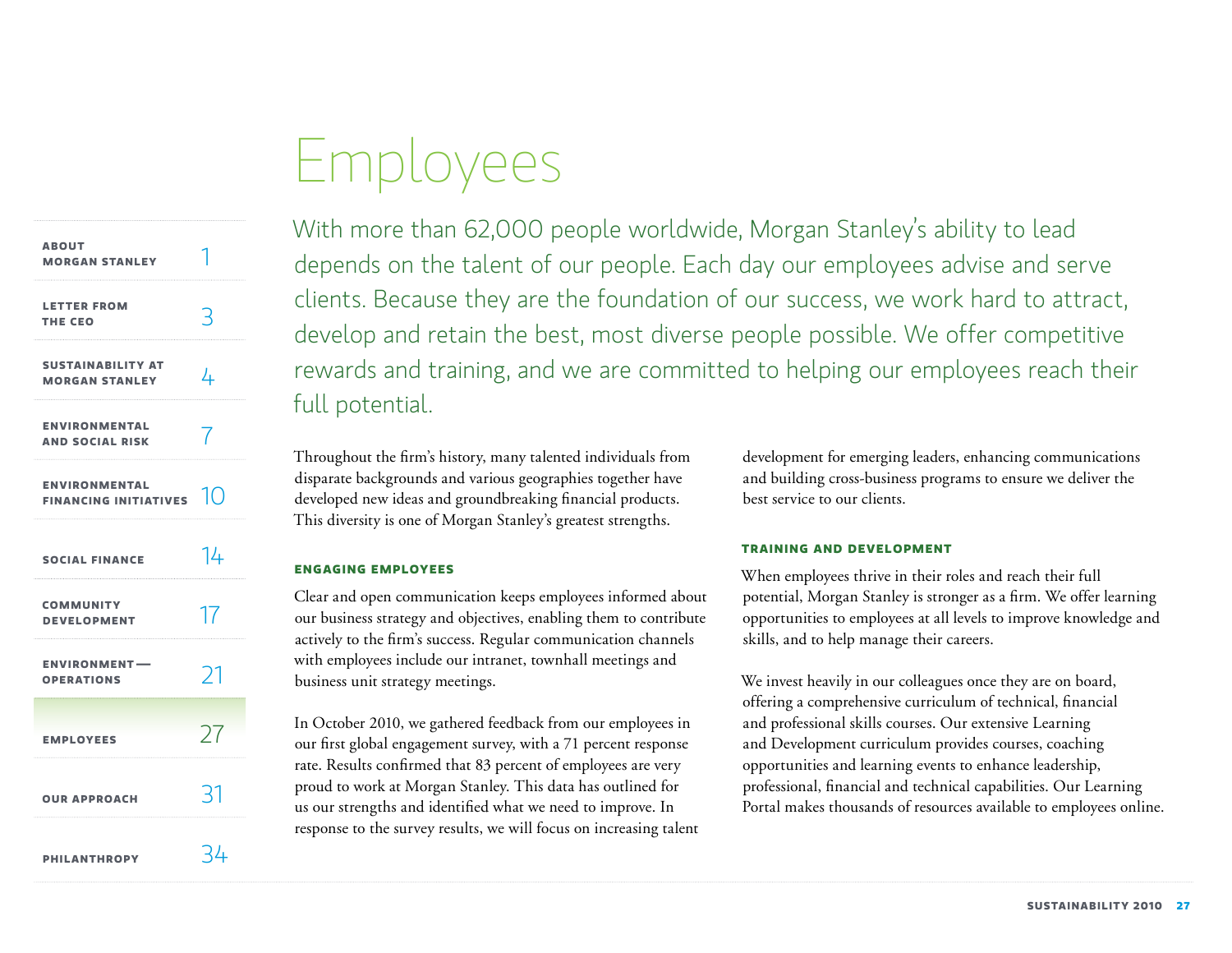# Employees

<span id="page-27-0"></span>

| <b>ABOUT</b><br><b>MORGAN STANLEY</b>                |                    |
|------------------------------------------------------|--------------------|
| <b>LETTER FROM</b><br>THE CEO                        | لہ                 |
| <b>SUSTAINABILITY AT</b><br><b>MORGAN STANLEY</b>    | 4                  |
| <b>ENVIRONMENTAL</b><br><b>AND SOCIAL RISK</b>       | 7                  |
| <b>ENVIRONMENTAL</b><br><b>FINANCING INITIATIVES</b> | $\overline{1}$ ( ) |
| <b>SOCIAL FINANCE</b>                                | 14                 |
| <b>COMMUNITY</b><br><b>DEVELOPMENT</b>               | 17                 |
| <b>ENVIRONMENT-</b><br><b>OPERATIONS</b>             | 21                 |
| <b>EMPLOYEES</b>                                     | 77                 |
| <b>OUR APPROACH</b>                                  | -21                |
| <b>PHILANTHROPY</b>                                  | イム                 |

With more than 62,000 people worldwide, Morgan Stanley's ability to lead depends on the talent of our people. Each day our employees advise and serve clients. Because they are the foundation of our success, we work hard to attract, develop and retain the best, most diverse people possible. We offer competitive rewards and training, and we are committed to helping our employees reach their full potential.

Throughout the firm's history, many talented individuals from disparate backgrounds and various geographies together have developed new ideas and groundbreaking financial products. This diversity is one of Morgan Stanley's greatest strengths.

# **Engaging employees**

Clear and open communication keeps employees informed about our business strategy and objectives, enabling them to contribute actively to the firm's success. Regular communication channels with employees include our intranet, townhall meetings and business unit strategy meetings.

In October 2010, we gathered feedback from our employees in our first global engagement survey, with a 71 percent response rate. Results confirmed that 83 percent of employees are very proud to work at Morgan Stanley. This data has outlined for us our strengths and identified what we need to improve. In response to the survey results, we will focus on increasing talent development for emerging leaders, enhancing communications and building cross-business programs to ensure we deliver the best service to our clients.

# **Training and development**

When employees thrive in their roles and reach their full potential, Morgan Stanley is stronger as a firm. We offer learning opportunities to employees at all levels to improve knowledge and skills, and to help manage their careers.

We invest heavily in our colleagues once they are on board, offering a comprehensive curriculum of technical, financial and professional skills courses. Our extensive Learning and Development curriculum provides courses, coaching opportunities and learning events to enhance leadership, professional, financial and technical capabilities. Our Learning Portal makes thousands of resources available to employees online.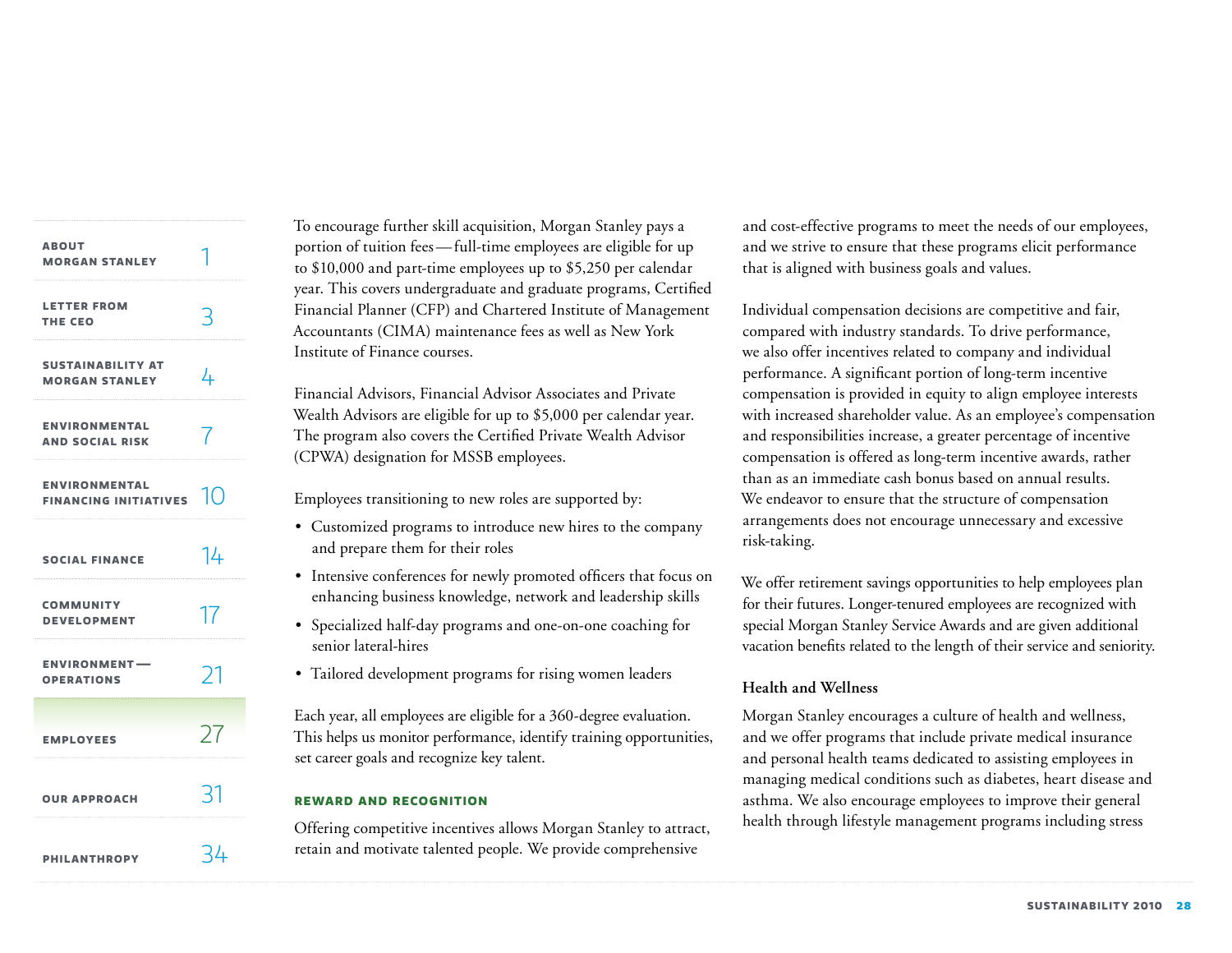| <b>ABOUT</b><br><b>MORGAN STANLEY</b>              |    |
|----------------------------------------------------|----|
| <b>LETTER FROM</b><br>THE CEO                      | 3  |
| <b>SUSTAINABILITY AT</b><br><b>MORGAN STANLEY</b>  | 4  |
| <b>ENVIRONMENTAL</b><br><b>AND SOCIAL RISK</b>     | 7  |
| <b>ENVIRONMENTAL</b><br>FINANCING INITIATIVES $10$ |    |
| <b>SOCIAL FINANCE</b>                              | 14 |
| <b>COMMUNITY</b><br><b>DEVELOPMENT</b>             | 17 |
| <b>ENVIRONMENT-</b><br><b>OPERATIONS</b>           | 21 |
| <b>EMPLOYEES</b>                                   | 27 |
| <b>OUR APPROACH</b>                                | 31 |
| <b>PHILANTHROPY</b>                                | 34 |

To encourage further skill acquisition, Morgan Stanley pays a portion of tuition fees—full-time employees are eligible for up to \$10,000 and part-time employees up to \$5,250 per calendar year. This covers undergraduate and graduate programs, Certified Financial Planner (CFP) and Chartered Institute of Management Accountants (CIMA) maintenance fees as well as New York Institute of Finance courses.

Financial Advisors, Financial Advisor Associates and Private Wealth Advisors are eligible for up to \$5,000 per calendar year. The program also covers the Certified Private Wealth Advisor (CPWA) designation for MSSB employees.

Employees transitioning to new roles are supported by:

- Customized programs to introduce new hires to the company and prepare them for their roles
- Intensive conferences for newly promoted officers that focus on enhancing business knowledge, network and leadership skills
- Specialized half-day programs and one-on-one coaching for senior lateral-hires
- Tailored development programs for rising women leaders

Each year, all employees are eligible for a 360-degree evaluation. This helps us monitor performance, identify training opportunities, set career goals and recognize key talent.

# **Reward and recognition**

Offering competitive incentives allows Morgan Stanley to attract, retain and motivate talented people. We provide comprehensive

and cost-effective programs to meet the needs of our employees, and we strive to ensure that these programs elicit performance that is aligned with business goals and values.

Individual compensation decisions are competitive and fair, compared with industry standards. To drive performance, we also offer incentives related to company and individual performance. A significant portion of long-term incentive compensation is provided in equity to align employee interests with increased shareholder value. As an employee's compensation and responsibilities increase, a greater percentage of incentive compensation is offered as long-term incentive awards, rather than as an immediate cash bonus based on annual results. We endeavor to ensure that the structure of compensation arrangements does not encourage unnecessary and excessive risk-taking.

We offer retirement savings opportunities to help employees plan for their futures. Longer-tenured employees are recognized with special Morgan Stanley Service Awards and are given additional vacation benefits related to the length of their service and seniority.

# **Health and Wellness**

Morgan Stanley encourages a culture of health and wellness, and we offer programs that include private medical insurance and personal health teams dedicated to assisting employees in managing medical conditions such as diabetes, heart disease and asthma. We also encourage employees to improve their general health through lifestyle management programs including stress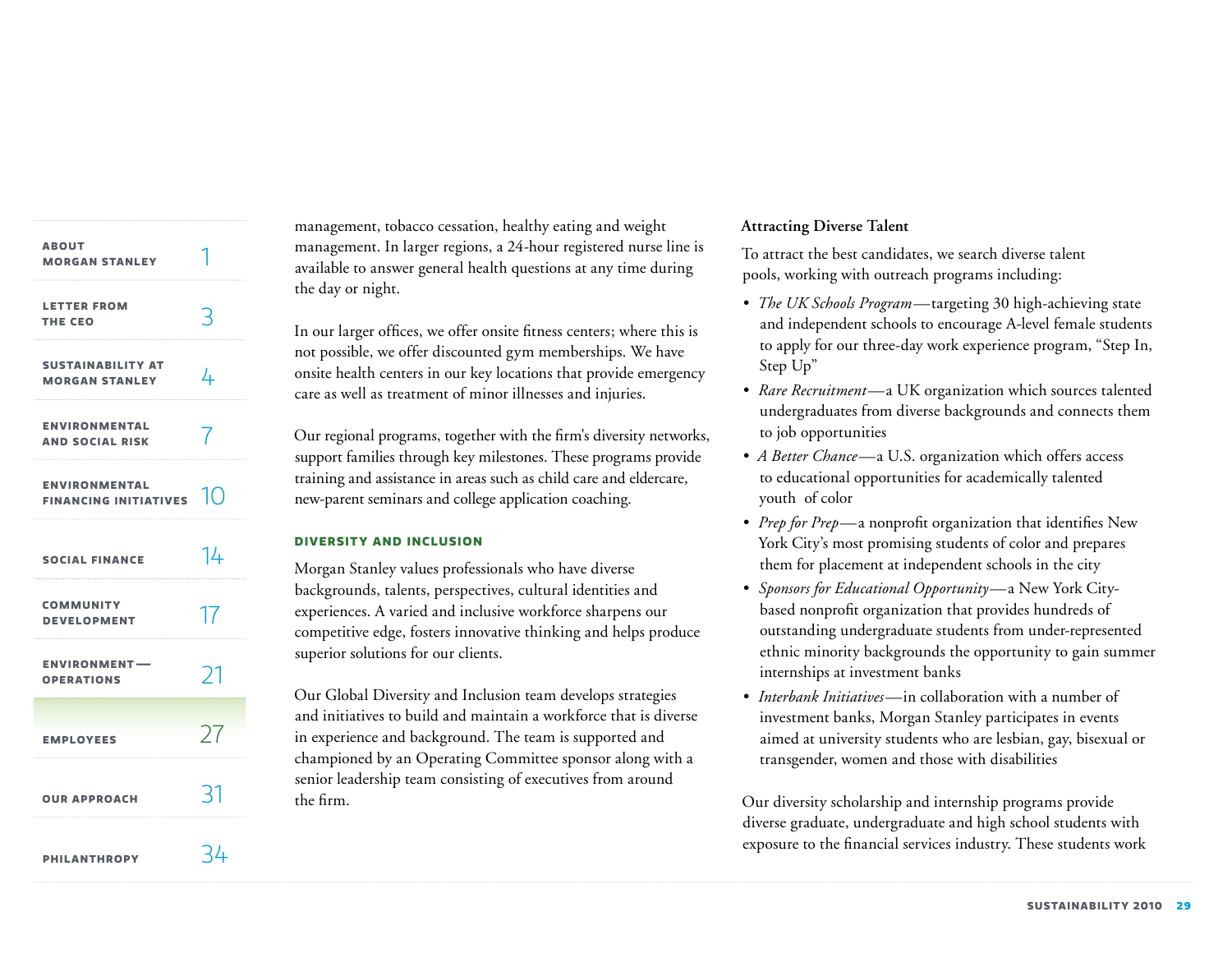| <b>ABOUT</b><br><b>MORGAN STANLEY</b>              |    |
|----------------------------------------------------|----|
| <b>LETTER FROM</b><br>THE CEO                      | 3  |
| <b>SUSTAINABILITY AT</b><br><b>MORGAN STANLEY</b>  | 4  |
| <b>ENVIRONMENTAL</b><br><b>AND SOCIAL RISK</b>     | 7  |
| <b>ENVIRONMENTAL</b><br>FINANCING INITIATIVES $10$ |    |
| <b>SOCIAL FINANCE</b>                              | 14 |
| <b>COMMUNITY</b><br><b>DEVELOPMENT</b>             | 17 |
| <b>ENVIRONMENT-</b><br><b>OPERATIONS</b>           | 21 |
| <b>EMPLOYEES</b>                                   | 27 |
| <b>OUR APPROACH</b>                                | 31 |
| <b>PHILANTHROPY</b>                                | 34 |

management, tobacco cessation, healthy eating and weight management. In larger regions, a 24-hour registered nurse line is available to answer general health questions at any time during the day or night.

In our larger offices, we offer onsite fitness centers; where this is not possible, we offer discounted gym memberships. We have onsite health centers in our key locations that provide emergency care as well as treatment of minor illnesses and injuries.

Our regional programs, together with the firm's diversity networks, support families through key milestones. These programs provide training and assistance in areas such as child care and eldercare, new-parent seminars and college application coaching.

# **Diversity and inclusion**

Morgan Stanley values professionals who have diverse backgrounds, talents, perspectives, cultural identities and experiences. A varied and inclusive workforce sharpens our competitive edge, fosters innovative thinking and helps produce superior solutions for our clients.

Our Global Diversity and Inclusion team develops strategies and initiatives to build and maintain a workforce that is diverse in experience and background. The team is supported and championed by an Operating Committee sponsor along with a senior leadership team consisting of executives from around the firm.

# **Attracting Diverse Talent**

To attract the best candidates, we search diverse talent pools, working with outreach programs including:

- *• The UK Schools Program—*targeting 30 high-achieving state and independent schools to encourage A-level female students to apply for our three-day work experience program, "Step In, Step Up"
- *• Rare Recruitment—*a UK organization which sources talented undergraduates from diverse backgrounds and connects them to job opportunities
- *• A Better Chance—*a U.S. organization which offers access to educational opportunities for academically talented youth of color
- *• Prep for Prep—*a nonprofit organization that identifies New York City's most promising students of color and prepares them for placement at independent schools in the city
- *• Sponsors for Educational Opportunity—*a New York Citybased nonprofit organization that provides hundreds of outstanding undergraduate students from under-represented ethnic minority backgrounds the opportunity to gain summer internships at investment banks
- *• Interbank Initiatives—*in collaboration with a number of investment banks, Morgan Stanley participates in events aimed at university students who are lesbian, gay, bisexual or transgender, women and those with disabilities

Our diversity scholarship and internship programs provide diverse graduate, undergraduate and high school students with exposure to the financial services industry. These students work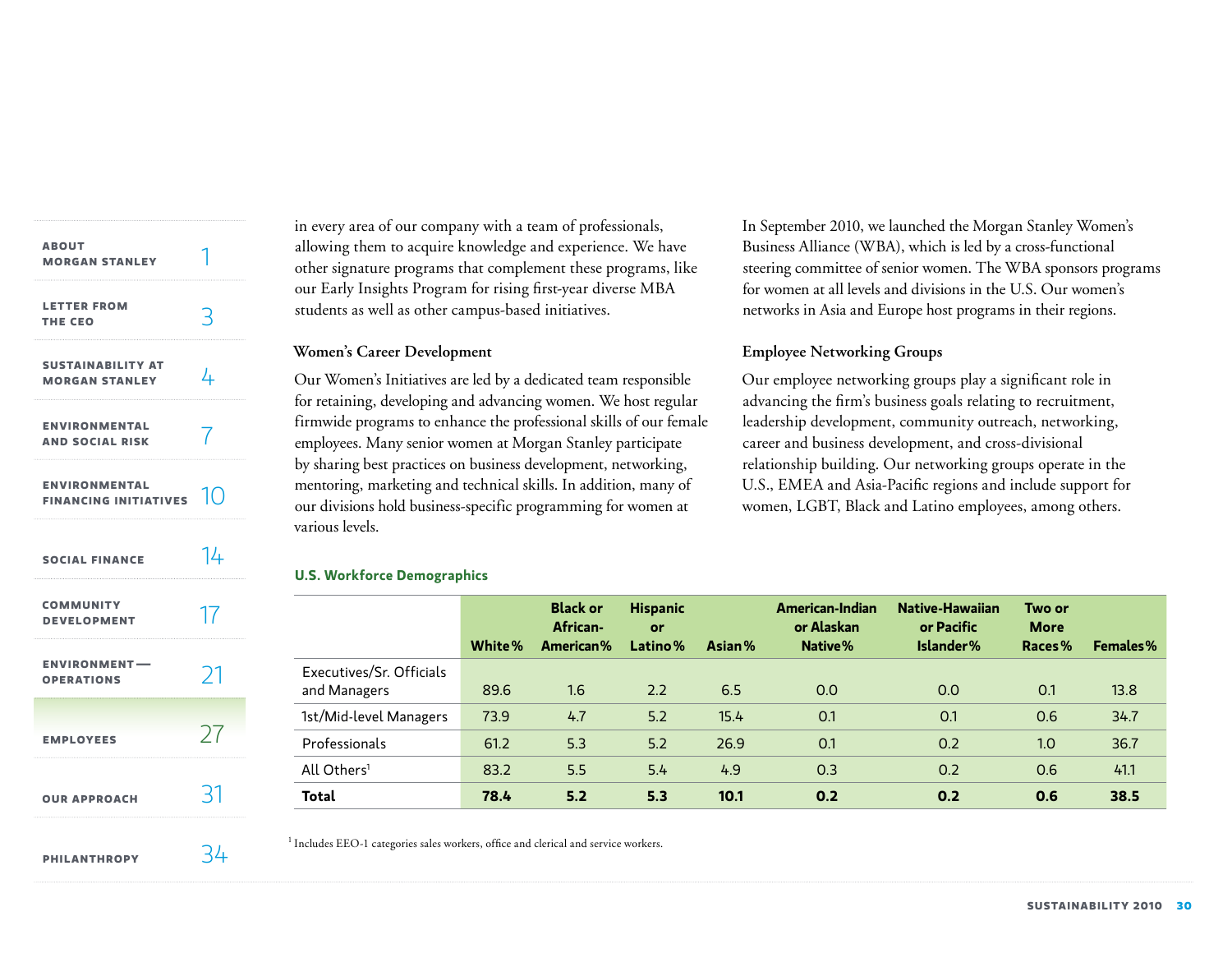| <b>ABOUT</b><br><b>MORGAN STANLEY</b>              |    |
|----------------------------------------------------|----|
| <b>LETTER FROM</b><br>THE CEO                      | 3  |
| <b>SUSTAINABILITY AT</b><br><b>MORGAN STANLEY</b>  | 4  |
| <b>ENVIRONMENTAL</b><br><b>AND SOCIAL RISK</b>     | 7  |
| <b>ENVIRONMENTAL</b><br>FINANCING INITIATIVES $10$ |    |
| <b>SOCIAL FINANCE</b>                              | 14 |
| <b>COMMUNITY</b><br><b>DEVELOPMENT</b>             | 17 |
| <b>ENVIRONMENT-</b><br><b>OPERATIONS</b>           | 21 |
| <b>EMPLOYEES</b>                                   | 27 |
| <b>OUR APPROACH</b>                                | 31 |
| <b>PHILANTHROPY</b>                                | 34 |

in every area of our company with a team of professionals, allowing them to acquire knowledge and experience. We have other signature programs that complement these programs, like our Early Insights Program for rising first-year diverse MBA students as well as other campus-based initiatives.

# **Women's Career Development**

Our Women's Initiatives are led by a dedicated team responsible for retaining, developing and advancing women. We host regular firmwide programs to enhance the professional skills of our female employees. Many senior women at Morgan Stanley participate by sharing best practices on business development, networking, mentoring, marketing and technical skills. In addition, many of our divisions hold business-specific programming for women at various levels.

In September 2010, we launched the Morgan Stanley Women's Business Alliance (WBA), which is led by a cross-functional steering committee of senior women. The WBA sponsors programs for women at all levels and divisions in the U.S. Our women's networks in Asia and Europe host programs in their regions.

# **Employee Networking Groups**

Our employee networking groups play a significant role in advancing the firm's business goals relating to recruitment, leadership development, community outreach, networking, career and business development, and cross-divisional relationship building. Our networking groups operate in the U.S., EMEA and Asia-Pacific regions and include support for women, LGBT, Black and Latino employees, among others.

# **U.S. Workforce Demographics**

|                                          | White% | <b>Black or</b><br>African-<br>American% | <b>Hispanic</b><br>or<br>Latino% | Asian% | American-Indian<br>or Alaskan<br>Native% | Native-Hawaiian<br>or Pacific<br>Islander% | Two or<br><b>More</b><br>Races% | Females% |
|------------------------------------------|--------|------------------------------------------|----------------------------------|--------|------------------------------------------|--------------------------------------------|---------------------------------|----------|
| Executives/Sr. Officials<br>and Managers | 89.6   | 1.6                                      | 2.2                              | 6.5    | 0.0                                      | 0.0                                        | 0.1                             | 13.8     |
| 1st/Mid-level Managers                   | 73.9   | 4.7                                      | 5.2                              | 15.4   | 0.1                                      | 0.1                                        | 0.6                             | 34.7     |
| Professionals                            | 61.2   | 5.3                                      | 5.2                              | 26.9   | 0.1                                      | 0.2                                        | 1.0                             | 36.7     |
| All Others <sup>1</sup>                  | 83.2   | 5.5                                      | 5.4                              | 4.9    | 0.3                                      | 0.2                                        | 0.6                             | 41.1     |
| <b>Total</b>                             | 78.4   | 5.2                                      | 5.3                              | 10.1   | 0.2                                      | 0.2                                        | 0.6                             | 38.5     |

<sup>1</sup> Includes EEO-1 categories sales workers, office and clerical and service workers.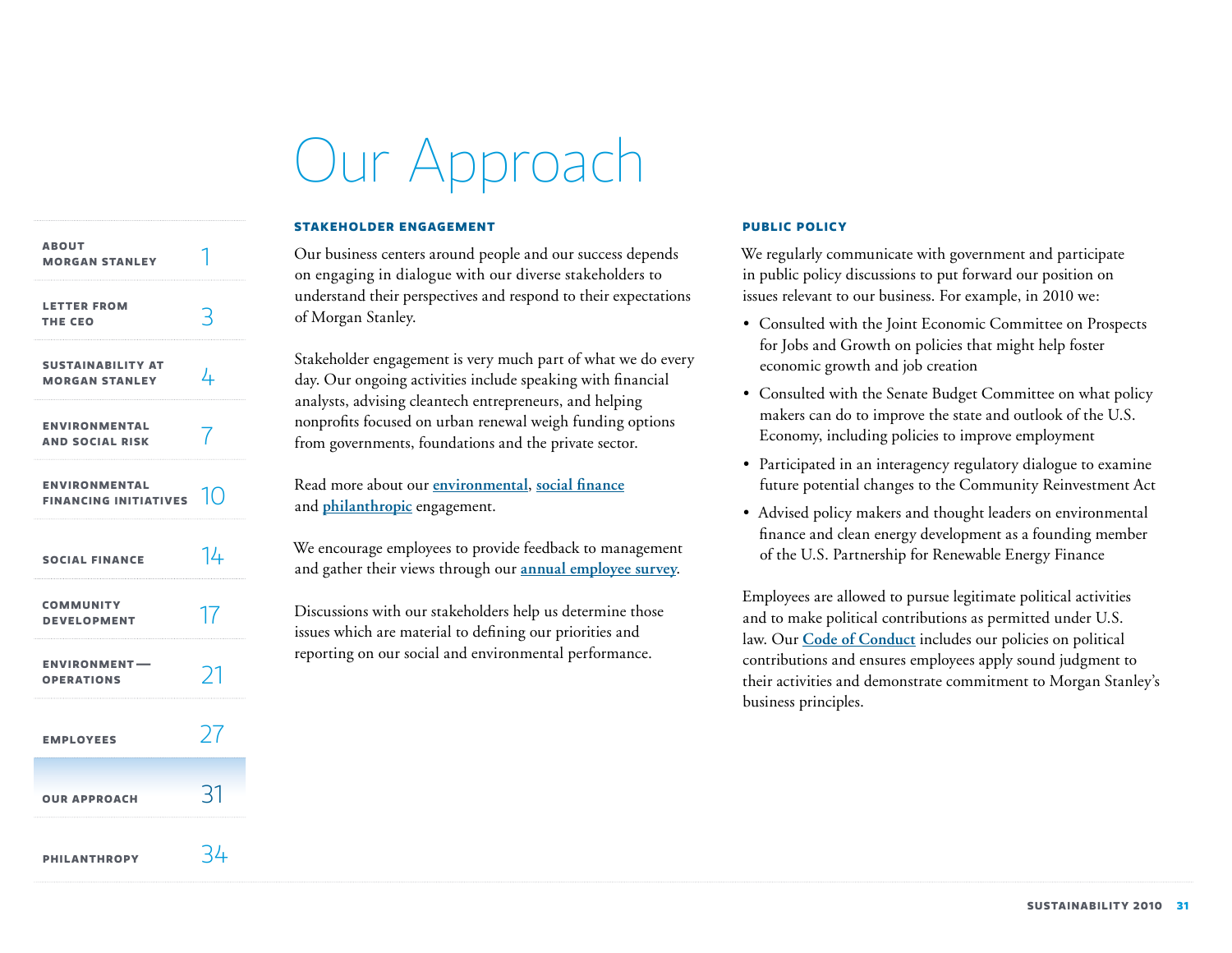# Our Approach

### **Stakeholder engagement**

<span id="page-31-0"></span>**[Sustainability at](#page-4-0) Morgan Stanley About [Morgan Stanley](#page-1-0) Letter from [the](#page-3-0) CEo [Environmental](#page-7-0)  and Social Risk Environmental [Financing Initiatives](#page-10-0) [Social Finance](#page-14-0) [Community](#page-17-0)  Development [Employees](#page-27-0)  [Environment —](#page-21-0)  Operations Our approach [Philanthropy](#page-34-0)** 4 1 3 7 10 14 17 27 21 31 34

# Our business centers around people and our success depends on engaging in dialogue with our diverse stakeholders to understand their perspectives and respond to their expectations of Morgan Stanley.

Stakeholder engagement is very much part of what we do every day. Our ongoing activities include speaking with financial analysts, advising cleantech entrepreneurs, and helping nonprofits focused on urban renewal weigh funding options from governments, foundations and the private sector.

Read more about our **[environmental](#page-10-0)**, **[social finance](#page-14-0)** and **[philanthropic](#page-34-0)** engagement.

We encourage employees to provide feedback to management and gather their views through our **[annual employee survey](#page-27-0)**.

Discussions with our stakeholders help us determine those issues which are material to defining our priorities and reporting on our social and environmental performance.

# **Public policy**

We regularly communicate with government and participate in public policy discussions to put forward our position on issues relevant to our business. For example, in 2010 we:

- • Consulted with the Joint Economic Committee on Prospects for Jobs and Growth on policies that might help foster economic growth and job creation
- Consulted with the Senate Budget Committee on what policy makers can do to improve the state and outlook of the U.S. Economy, including policies to improve employment
- Participated in an interagency regulatory dialogue to examine future potential changes to the Community Reinvestment Act
- Advised policy makers and thought leaders on environmental finance and clean energy development as a founding member of the U.S. Partnership for Renewable Energy Finance

Employees are allowed to pursue legitimate political activities and to make political contributions as permitted under U.S. law. Our **[Code of Conduct](http://www.morganstanley.com/about/company/governance/pdf/FinalCode2011.pdf)** includes our policies on political contributions and ensures employees apply sound judgment to their activities and demonstrate commitment to Morgan Stanley's business principles.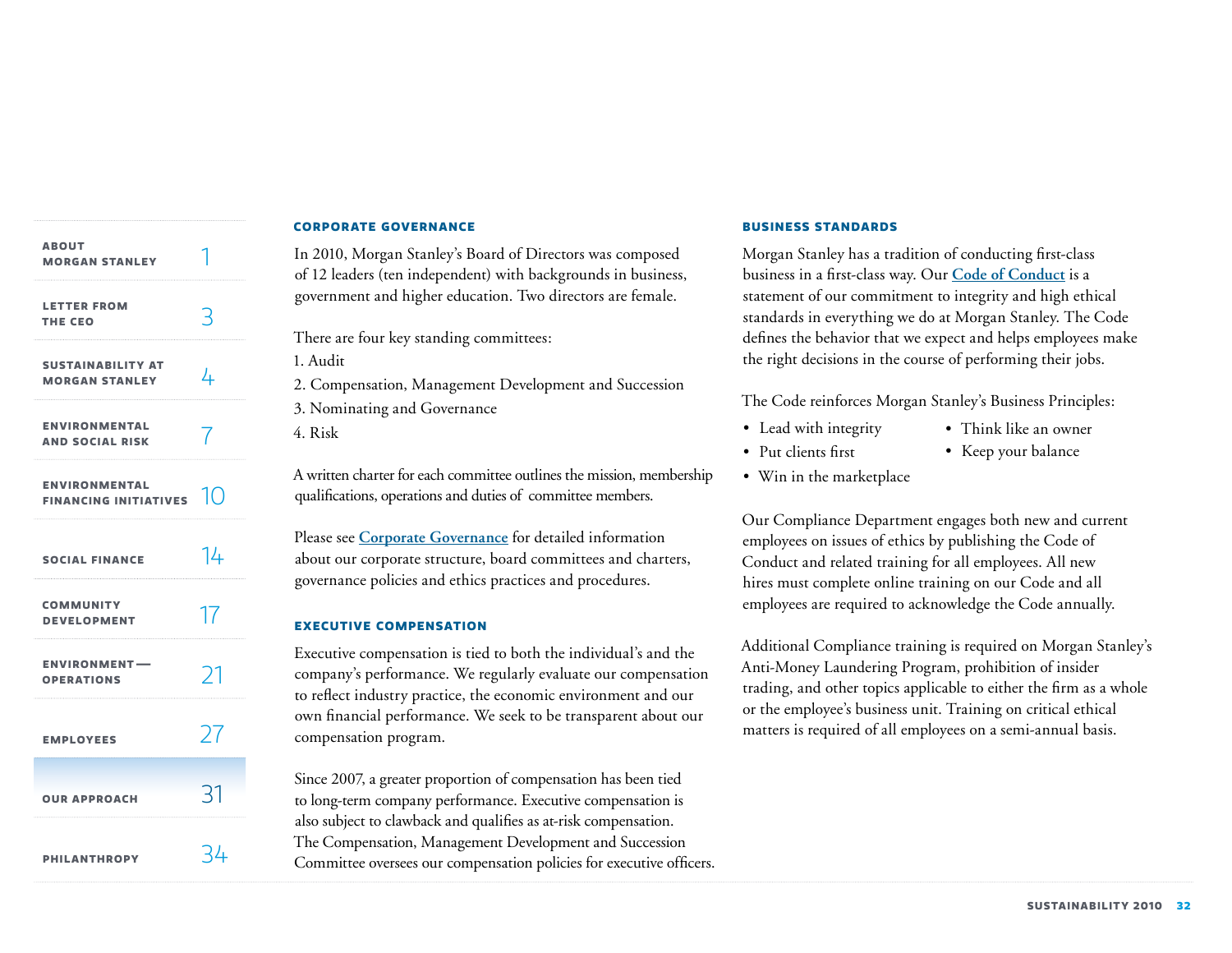<span id="page-32-0"></span>

| <b>ABOUT</b><br><b>MORGAN STANLEY</b>                |                |
|------------------------------------------------------|----------------|
| <b>LETTER FROM</b><br>THE CEO                        | R              |
| <b>SUSTAINABILITY AT</b><br><b>MORGAN STANLEY</b>    | 4              |
| <b>ENVIRONMENTAL</b><br><b>AND SOCIAL RISK</b>       |                |
| <b>ENVIRONMENTAL</b><br><b>FINANCING INITIATIVES</b> | 1 <sup>O</sup> |
| <b>SOCIAL FINANCE</b>                                | 14             |
| <b>COMMUNITY</b><br><b>DEVELOPMENT</b>               | 17             |
| <b>ENVIRONMENT-</b><br><b>OPERATIONS</b>             | 21             |
| <b>EMPLOYEES</b>                                     | 27             |
| <b>OUR APPROACH</b>                                  | -11            |
| <b>PHILANTHROPY</b>                                  | -44            |

#### **Corporate governance**

In 2010, Morgan Stanley's Board of Directors was composed of 12 leaders (ten independent) with backgrounds in business, government and higher education. Two directors are female.

There are four key standing committees:

1. Audit

2. Compensation, Management Development and Succession

3. Nominating and Governance

4. Risk

A written charter for each committee outlines the mission, membership qualifications, operations and duties of committee members.

Please see **[Corporate Governance](http://www.morganstanley.com/about/company/governance/index.html)** for detailed information about our corporate structure, board committees and charters, governance policies and ethics practices and procedures.

#### **Executive compensation**

Executive compensation is tied to both the individual's and the company's performance. We regularly evaluate our compensation to reflect industry practice, the economic environment and our own financial performance. We seek to be transparent about our compensation program.

Since 2007, a greater proportion of compensation has been tied to long-term company performance. Executive compensation is also subject to clawback and qualifies as at-risk compensation. The Compensation, Management Development and Succession Committee oversees our compensation policies for executive officers.

#### **Business standards**

Morgan Stanley has a tradition of conducting first-class business in a first-class way. Our **[Code of Conduct](http://www.morganstanley.com/about/company/governance/pdf/FinalCode2011.pdf)** is a statement of our commitment to integrity and high ethical standards in everything we do at Morgan Stanley. The Code defines the behavior that we expect and helps employees make the right decisions in the course of performing their jobs.

The Code reinforces Morgan Stanley's Business Principles:

- Lead with integrity
- • Think like an owner
- • Put clients first
- • Keep your balance
- Win in the marketplace

Our Compliance Department engages both new and current employees on issues of ethics by publishing the Code of Conduct and related training for all employees. All new hires must complete online training on our Code and all employees are required to acknowledge the Code annually.

Additional Compliance training is required on Morgan Stanley's Anti-Money Laundering Program, prohibition of insider trading, and other topics applicable to either the firm as a whole or the employee's business unit. Training on critical ethical matters is required of all employees on a semi-annual basis.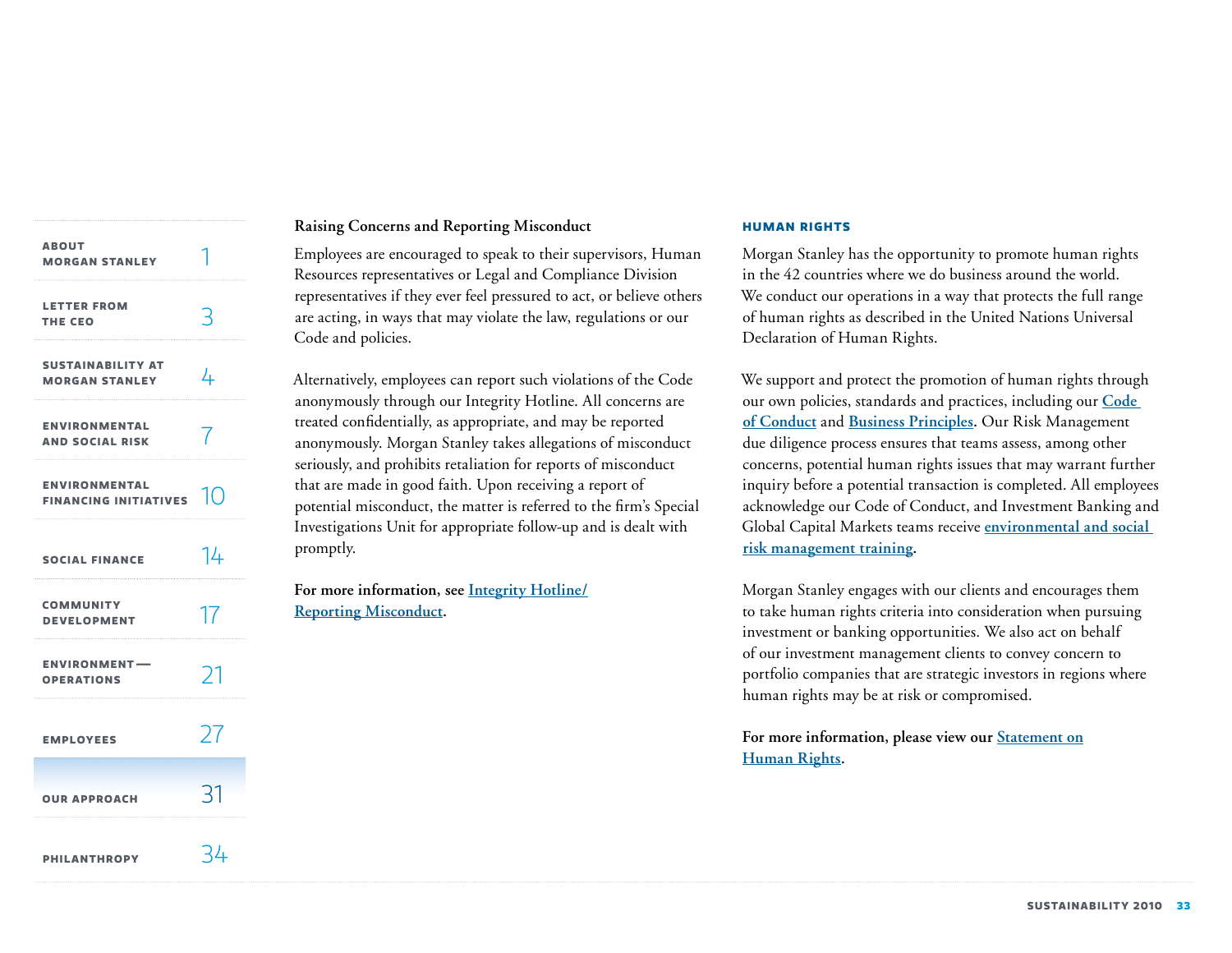| <b>ABOUT</b><br><b>MORGAN STANLEY</b>                |               |
|------------------------------------------------------|---------------|
| <b>LETTER FROM</b><br>THE CEO                        | 3             |
| <b>SUSTAINABILITY AT</b><br><b>MORGAN STANLEY</b>    | 4             |
| <b>ENVIRONMENTAL</b><br><b>AND SOCIAL RISK</b>       |               |
| <b>ENVIRONMENTAL</b><br>FINANCING INITIATIVES $\Box$ |               |
| <b>SOCIAL FINANCE</b>                                | 14            |
| <b>COMMUNITY</b><br><b>DEVELOPMENT</b>               | 17            |
| <b>ENVIRONMENT-</b><br><b>OPERATIONS</b>             | $\mathcal{V}$ |
| <b>EMPLOYEES</b>                                     | 27            |
| <b>OUR APPROACH</b>                                  | १⊺            |
| <b>PHILANTHROPY</b>                                  | 34            |

# **Raising Concerns and Reporting Misconduct**

Employees are encouraged to speak to their supervisors, Human Resources representatives or Legal and Compliance Division representatives if they ever feel pressured to act, or believe others are acting, in ways that may violate the law, regulations or our Code and policies.

Alternatively, employees can report such violations of the Code anonymously through our Integrity Hotline. All concerns are treated confidentially, as appropriate, and may be reported anonymously. Morgan Stanley takes allegations of misconduct seriously, and prohibits retaliation for reports of misconduct that are made in good faith. Upon receiving a report of potential misconduct, the matter is referred to the firm's Special Investigations Unit for appropriate follow-up and is dealt with promptly.

**For more information, see [Integrity Hotline/](http://www.morganstanley.com/about/company/governance/hotline.html) [Reporting Misconduct.](http://www.morganstanley.com/about/company/governance/hotline.html)**

#### **Human Rights**

Morgan Stanley has the opportunity to promote human rights in the 42 countries where we do business around the world. We conduct our operations in a way that protects the full range of human rights as described in the United Nations Universal Declaration of Human Rights.

We support and protect the promotion of human rights through our own policies, standards and practices, including our **[Code](http://www.morganstanley.com/about/company/governance/pdf/FinalCode2011.pdf )  [of Conduct](http://www.morganstanley.com/about/company/governance/pdf/FinalCode2011.pdf )** and **[Business Principles.](#page-32-0)** Our Risk Management due diligence process ensures that teams assess, among other concerns, potential human rights issues that may warrant further inquiry before a potential transaction is completed. All employees acknowledge our Code of Conduct, and Investment Banking and Global Capital Markets teams receive **environmental and [social](#page-9-0)  [risk management training.](#page-9-0)**

Morgan Stanley engages with our clients and encourages them to take human rights criteria into consideration when pursuing investment or banking opportunities. We also act on behalf of our investment management clients to convey concern to portfolio companies that are strategic investors in regions where human rights may be at risk or compromised.

For more information, please view our **Statement** on **[Human Rights.](http://www.morganstanley.com/globalcitizen/pdf/human_rights_statement.pdf)**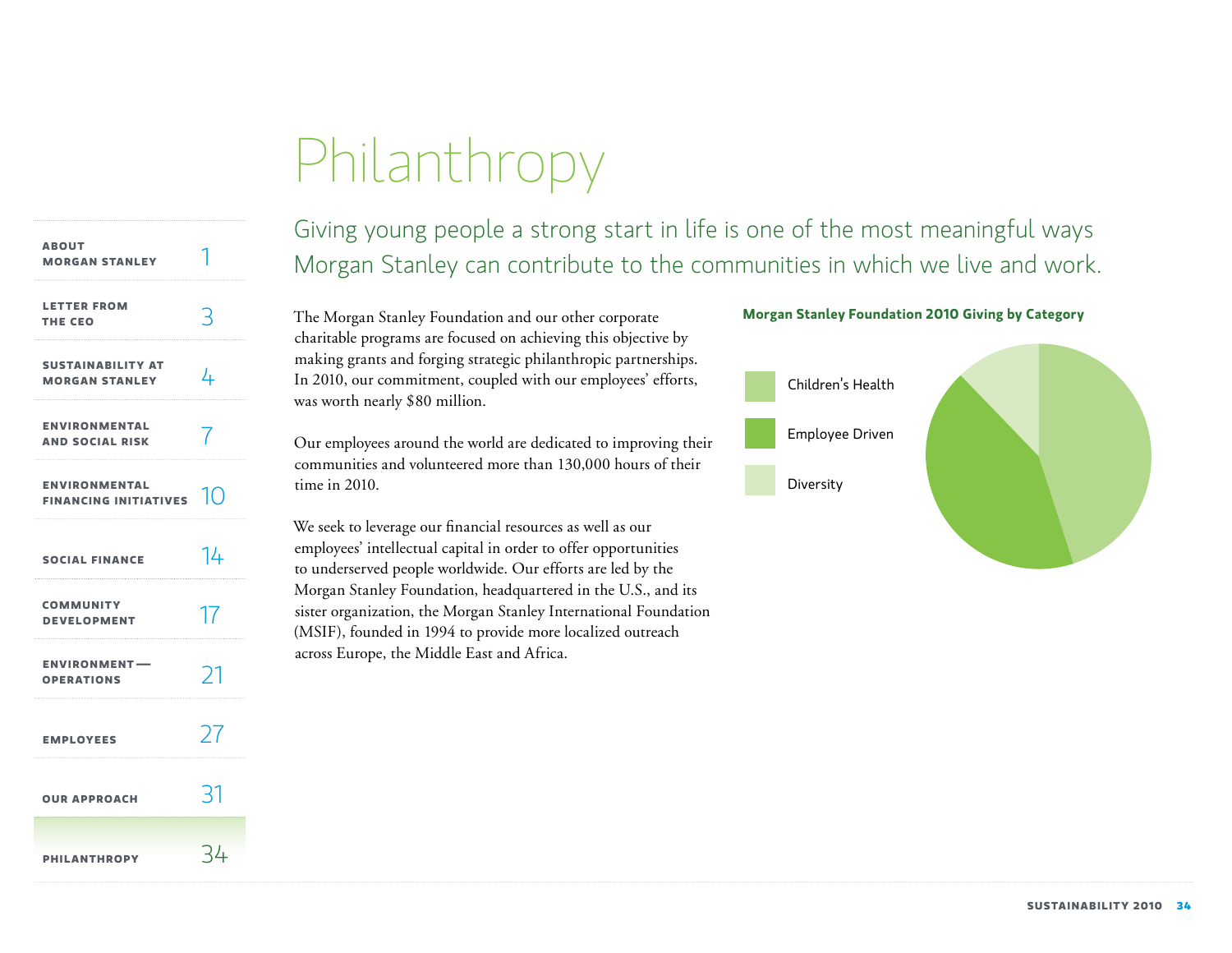# Philanthropy

<span id="page-34-0"></span>

| <b>ABOUT</b><br><b>MORGAN STANLEY</b>                |           |
|------------------------------------------------------|-----------|
| <b>LETTER FROM</b><br>THE CEO                        |           |
| <b>SUSTAINABILITY AT</b><br><b>MORGAN STANLEY</b>    | 4         |
| <b>ENVIRONMENTAL</b><br><b>AND SOCIAL RISK</b>       |           |
| <b>ENVIRONMENTAL</b><br>FINANCING INITIATIVES $\Box$ |           |
| <b>SOCIAL FINANCE</b>                                | 14        |
| <b>COMMUNITY</b><br><b>DEVELOPMENT</b>               | 17        |
| <b>ENVIRONMENT-</b><br><b>OPERATIONS</b>             | 71        |
| <b>EMPLOYEES</b>                                     | $\lambda$ |
| <b>OUR APPROACH</b>                                  | 31        |
| <b>PHILANTHROPY</b>                                  | -44       |

Giving young people a strong start in life is one of the most meaningful ways Morgan Stanley can contribute to the communities in which we live and work.

The Morgan Stanley Foundation and our other corporate charitable programs are focused on achieving this objective by making grants and forging strategic philanthropic partnerships. In 2010, our commitment, coupled with our employees' efforts, was worth nearly \$80 million.

Our employees around the world are dedicated to improving their communities and volunteered more than 130,000 hours of their time in 2010.

We seek to leverage our financial resources as well as our employees' intellectual capital in order to offer opportunities to underserved people worldwide. Our efforts are led by the Morgan Stanley Foundation, headquartered in the U.S., and its sister organization, the Morgan Stanley International Foundation (MSIF), founded in 1994 to provide more localized outreach across Europe, the Middle East and Africa.

# **Morgan Stanley Foundation 2010 Giving by Category**

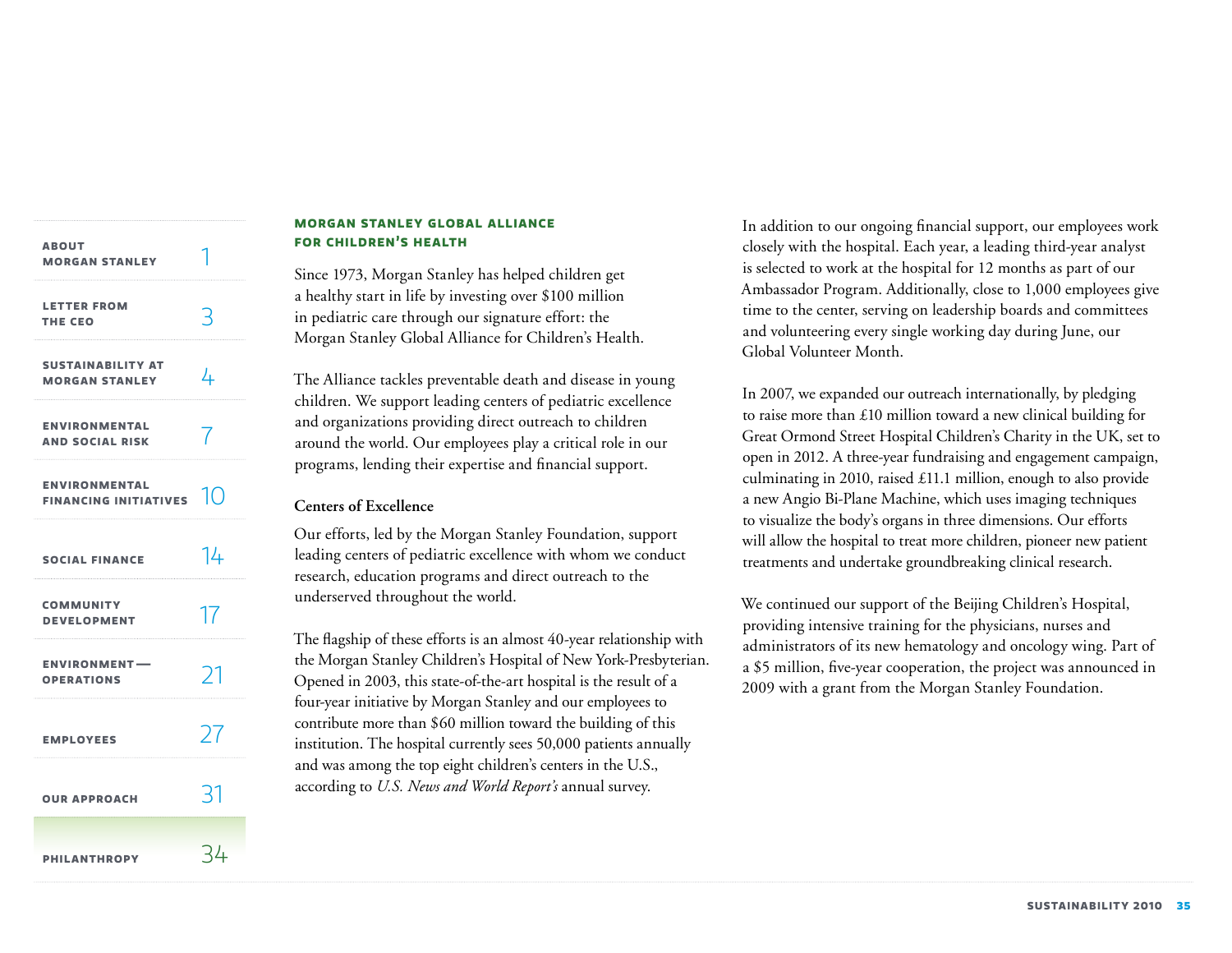| <b>ABOUT</b><br><b>MORGAN STANLEY</b>                   |    |
|---------------------------------------------------------|----|
| <b>LETTER FROM</b><br>THE CEO                           | 3  |
| <b>SUSTAINABILITY AT</b><br><b>MORGAN STANLEY</b>       | 4  |
| <b>ENVIRONMENTAL</b><br><b>AND SOCIAL RISK</b>          |    |
| <b>ENVIRONMENTAL</b><br>FINANCING INITIATIVES $\ket{0}$ |    |
| <b>SOCIAL FINANCE</b>                                   | 14 |
| <b>COMMUNITY</b><br><b>DEVELOPMENT</b>                  | 17 |
| <b>ENVIRONMENT-</b><br><b>OPERATIONS</b>                | 21 |
| <b>EMPLOYEES</b>                                        | 27 |
| <b>OUR APPROACH</b>                                     | 31 |
| <b>PHILANTHROPY</b>                                     | 34 |

# **Morgan Stanley Global Alliance for Children's Health**

Since 1973, Morgan Stanley has helped children get a healthy start in life by investing over \$100 million in pediatric care through our signature effort: the Morgan Stanley Global Alliance for Children's Health.

The Alliance tackles preventable death and disease in young children. We support leading centers of pediatric excellence and organizations providing direct outreach to children around the world. Our employees play a critical role in our programs, lending their expertise and financial support.

# **Centers of Excellence**

Our efforts, led by the Morgan Stanley Foundation, support leading centers of pediatric excellence with whom we conduct research, education programs and direct outreach to the underserved throughout the world.

The flagship of these efforts is an almost 40-year relationship with the Morgan Stanley Children's Hospital of New York-Presbyterian. Opened in 2003, this state-of-the-art hospital is the result of a four-year initiative by Morgan Stanley and our employees to contribute more than \$60 million toward the building of this institution. The hospital currently sees 50,000 patients annually and was among the top eight children's centers in the U.S., according to *U.S. News and World Report's* annual survey.

In addition to our ongoing financial support, our employees work closely with the hospital. Each year, a leading third-year analyst is selected to work at the hospital for 12 months as part of our Ambassador Program. Additionally, close to 1,000 employees give time to the center, serving on leadership boards and committees and volunteering every single working day during June, our Global Volunteer Month.

In 2007, we expanded our outreach internationally, by pledging to raise more than £10 million toward a new clinical building for Great Ormond Street Hospital Children's Charity in the UK, set to open in 2012. A three-year fundraising and engagement campaign, culminating in 2010, raised £11.1 million, enough to also provide a new Angio Bi-Plane Machine, which uses imaging techniques to visualize the body's organs in three dimensions. Our efforts will allow the hospital to treat more children, pioneer new patient treatments and undertake groundbreaking clinical research.

We continued our support of the Beijing Children's Hospital, providing intensive training for the physicians, nurses and administrators of its new hematology and oncology wing. Part of a \$5 million, five-year cooperation, the project was announced in 2009 with a grant from the Morgan Stanley Foundation.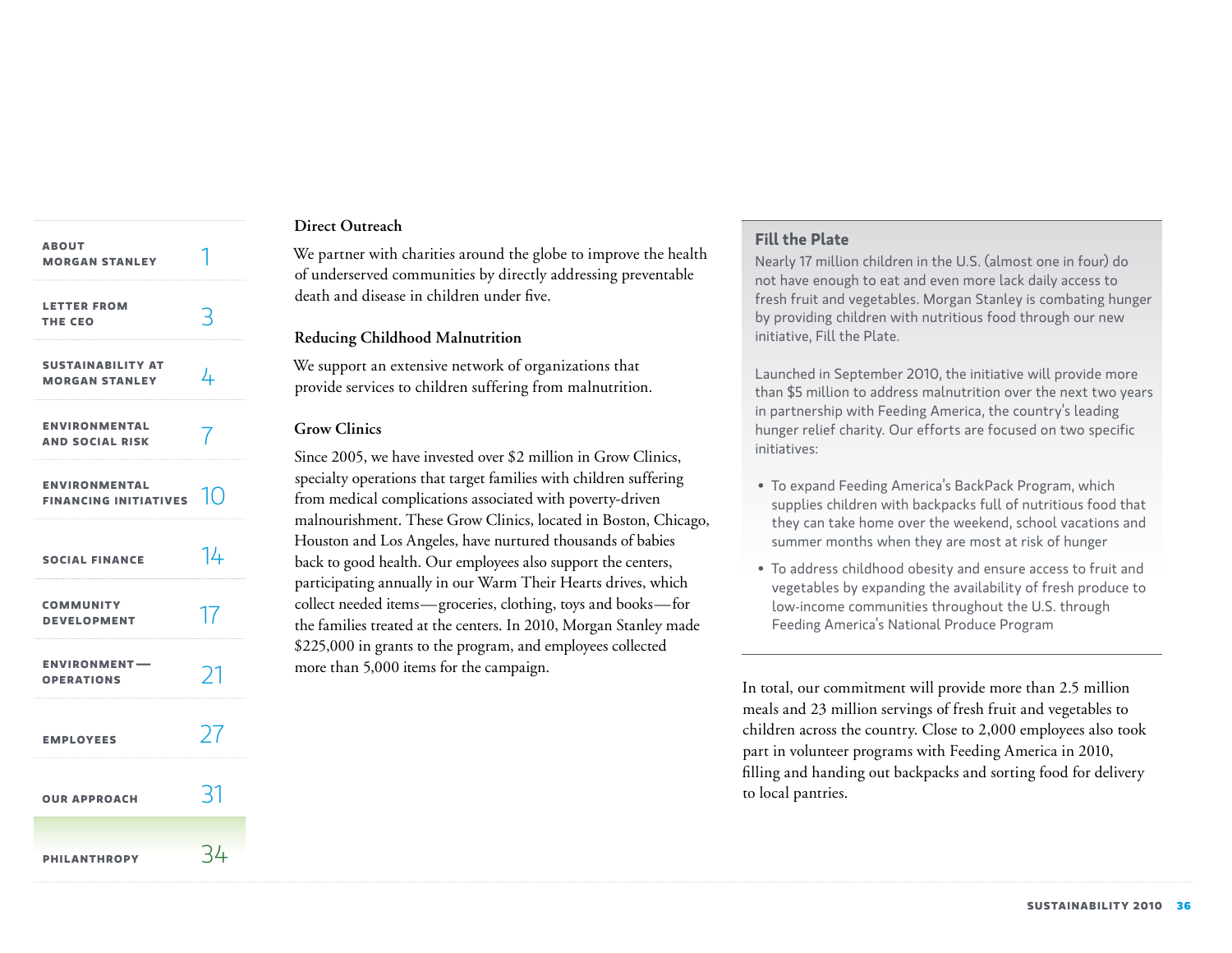| <b>ABOUT</b><br><b>MORGAN STANLEY</b>                   |    |
|---------------------------------------------------------|----|
| <b>LETTER FROM</b><br>THE CEO                           | 3  |
| <b>SUSTAINABILITY AT</b><br><b>MORGAN STANLEY</b>       | 4  |
| <b>ENVIRONMENTAL</b><br><b>AND SOCIAL RISK</b>          | 7  |
| <b>ENVIRONMENTAL</b><br>FINANCING INITIATIVES $\ket{0}$ |    |
| <b>SOCIAL FINANCE</b>                                   | 14 |
| <b>COMMUNITY</b><br><b>DEVELOPMENT</b>                  | 17 |
| <b>ENVIRONMENT-</b><br><b>OPERATIONS</b>                | 21 |
| <b>EMPLOYEES</b>                                        | 27 |
| <b>OUR APPROACH</b>                                     | 31 |
| <b>PHILANTHROPY</b>                                     | 34 |

# **Direct Outreach**

We partner with charities around the globe to improve the health of underserved communities by directly addressing preventable death and disease in children under five.

### **Reducing Childhood Malnutrition**

We support an extensive network of organizations that provide services to children suffering from malnutrition.

# **Grow Clinics**

Since 2005, we have invested over \$2 million in Grow Clinics, specialty operations that target families with children suffering from medical complications associated with poverty-driven malnourishment. These Grow Clinics, located in Boston, Chicago, Houston and Los Angeles, have nurtured thousands of babies back to good health. Our employees also support the centers, participating annually in our Warm Their Hearts drives, which collect needed items—groceries, clothing, toys and books—for the families treated at the centers. In 2010, Morgan Stanley made \$225,000 in grants to the program, and employees collected more than 5,000 items for the campaign.

# **Fill the Plate**

Nearly 17 million children in the U.S. (almost one in four) do not have enough to eat and even more lack daily access to fresh fruit and vegetables. Morgan Stanley is combating hunger by providing children with nutritious food through our new initiative, Fill the Plate.

Launched in September 2010, the initiative will provide more than \$5 million to address malnutrition over the next two years in partnership with Feeding America, the country's leading hunger relief charity. Our efforts are focused on two specific initiatives:

- To expand Feeding America's BackPack Program, which supplies children with backpacks full of nutritious food that they can take home over the weekend, school vacations and summer months when they are most at risk of hunger
- To address childhood obesity and ensure access to fruit and vegetables by expanding the availability of fresh produce to low-income communities throughout the U.S. through Feeding America's National Produce Program

In total, our commitment will provide more than 2.5 million meals and 23 million servings of fresh fruit and vegetables to children across the country. Close to 2,000 employees also took part in volunteer programs with Feeding America in 2010, filling and handing out backpacks and sorting food for delivery to local pantries.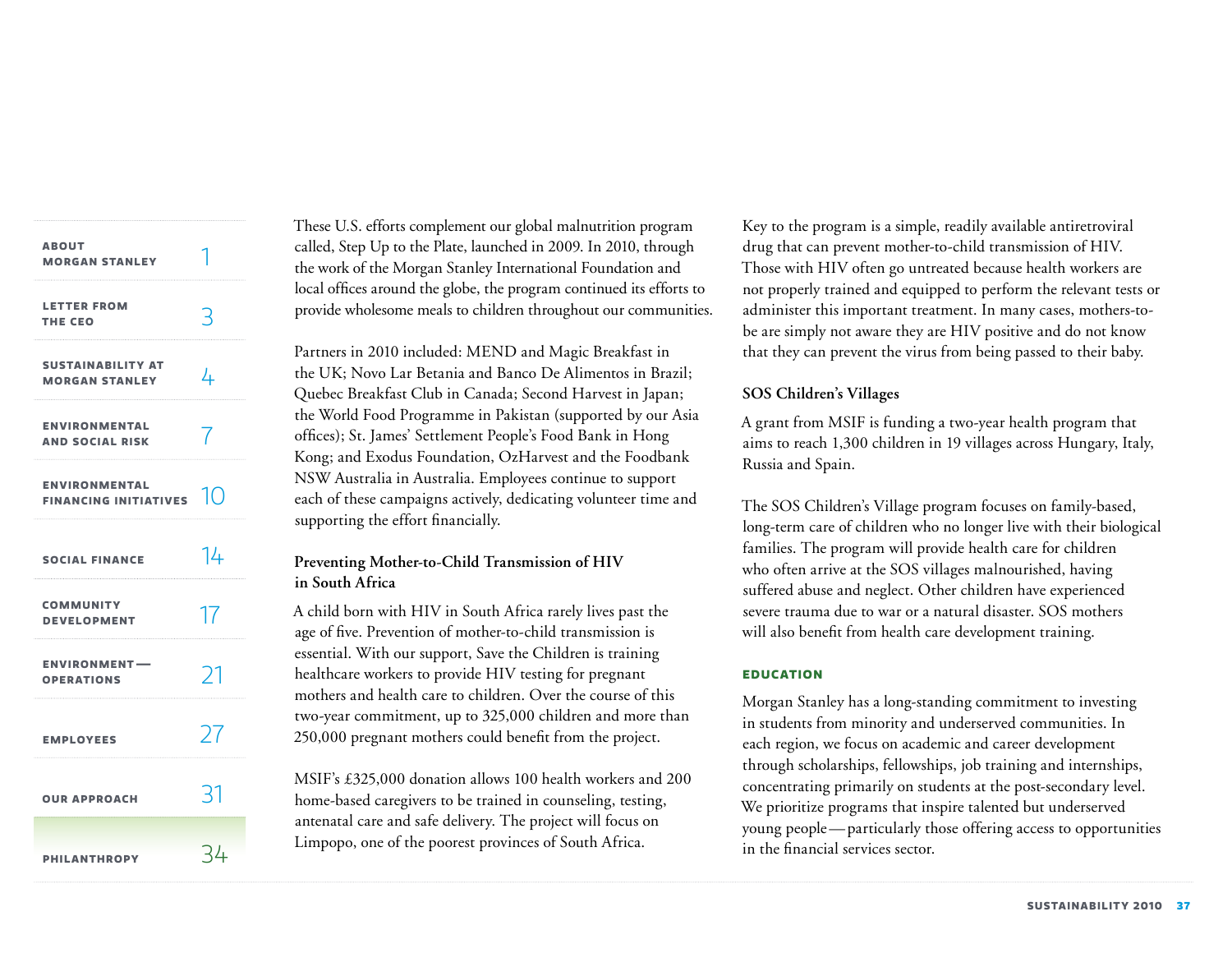| <b>ABOUT</b><br><b>MORGAN STANLEY</b>                |    |
|------------------------------------------------------|----|
| <b>LETTER FROM</b><br>THE CEO                        | 3  |
| <b>SUSTAINABILITY AT</b><br><b>MORGAN STANLEY</b>    | 4  |
| <b>ENVIRONMENTAL</b><br><b>AND SOCIAL RISK</b>       | 7  |
| <b>ENVIRONMENTAL</b><br>FINANCING INITIATIVES $\Box$ |    |
| <b>SOCIAL FINANCE</b>                                | 14 |
| <b>COMMUNITY</b><br><b>DEVELOPMENT</b>               | 17 |
| <b>ENVIRONMENT-</b><br><b>OPERATIONS</b>             | 21 |
| <b>EMPLOYEES</b>                                     | 27 |
| <b>OUR APPROACH</b>                                  | 31 |
| <b>PHILANTHROPY</b>                                  | 34 |

These U.S. efforts complement our global malnutrition program called, Step Up to the Plate, launched in 2009. In 2010, through the work of the Morgan Stanley International Foundation and local offices around the globe, the program continued its efforts to provide wholesome meals to children throughout our communities.

Partners in 2010 included: MEND and Magic Breakfast in the UK; Novo Lar Betania and Banco De Alimentos in Brazil; Quebec Breakfast Club in Canada; Second Harvest in Japan; the World Food Programme in Pakistan (supported by our Asia offices); St. James' Settlement People's Food Bank in Hong Kong; and Exodus Foundation, OzHarvest and the Foodbank NSW Australia in Australia. Employees continue to support each of these campaigns actively, dedicating volunteer time and supporting the effort financially.

# **Preventing Mother-to-Child Transmission of HIV in South Africa**

A child born with HIV in South Africa rarely lives past the age of five. Prevention of mother-to-child transmission is essential. With our support, Save the Children is training healthcare workers to provide HIV testing for pregnant mothers and health care to children. Over the course of this two-year commitment, up to 325,000 children and more than 250,000 pregnant mothers could benefit from the project.

MSIF's £325,000 donation allows 100 health workers and 200 home-based caregivers to be trained in counseling, testing, antenatal care and safe delivery. The project will focus on Limpopo, one of the poorest provinces of South Africa.

Key to the program is a simple, readily available antiretroviral drug that can prevent mother-to-child transmission of HIV. Those with HIV often go untreated because health workers are not properly trained and equipped to perform the relevant tests or administer this important treatment. In many cases, mothers-tobe are simply not aware they are HIV positive and do not know that they can prevent the virus from being passed to their baby.

# **SOS Children's Villages**

A grant from MSIF is funding a two-year health program that aims to reach 1,300 children in 19 villages across Hungary, Italy, Russia and Spain.

The SOS Children's Village program focuses on family-based, long-term care of children who no longer live with their biological families. The program will provide health care for children who often arrive at the SOS villages malnourished, having suffered abuse and neglect. Other children have experienced severe trauma due to war or a natural disaster. SOS mothers will also benefit from health care development training.

# **Education**

Morgan Stanley has a long-standing commitment to investing in students from minority and underserved communities. In each region, we focus on academic and career development through scholarships, fellowships, job training and internships, concentrating primarily on students at the post-secondary level. We prioritize programs that inspire talented but underserved young people—particularly those offering access to opportunities in the financial services sector.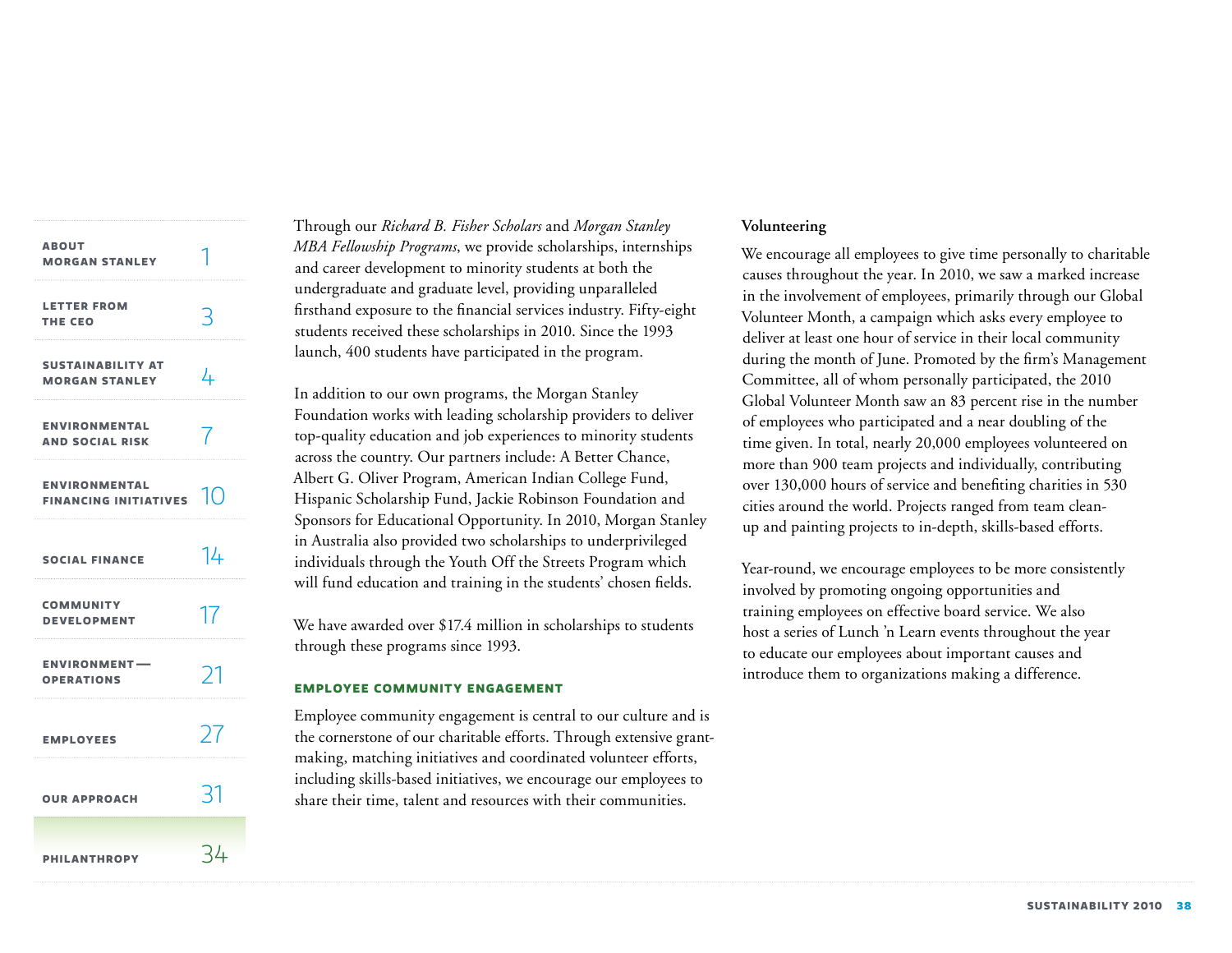| <b>ABOUT</b><br><b>MORGAN STANLEY</b>                |    |
|------------------------------------------------------|----|
| <b>LETTER FROM</b><br>THE CEO                        | 3  |
| <b>SUSTAINABILITY AT</b><br><b>MORGAN STANLEY</b>    | 4  |
| <b>ENVIRONMENTAL</b><br><b>AND SOCIAL RISK</b>       | 7  |
| <b>ENVIRONMENTAL</b><br>FINANCING INITIATIVES $\Box$ |    |
| <b>SOCIAL FINANCE</b>                                | 14 |
| <b>COMMUNITY</b><br><b>DEVELOPMENT</b>               | 17 |
| <b>ENVIRONMENT-</b><br><b>OPERATIONS</b>             | 21 |
| <b>EMPLOYEES</b>                                     | 27 |
| <b>OUR APPROACH</b>                                  | 31 |
| <b>PHILANTHROPY</b>                                  | 34 |

Through our *Richard B. Fisher Scholars* and *Morgan Stanley MBA Fellowship Programs*, we provide scholarships, internships and career development to minority students at both the undergraduate and graduate level, providing unparalleled firsthand exposure to the financial services industry. Fifty-eight students received these scholarships in 2010. Since the 1993 launch, 400 students have participated in the program.

In addition to our own programs, the Morgan Stanley Foundation works with leading scholarship providers to deliver top-quality education and job experiences to minority students across the country. Our partners include: A Better Chance, Albert G. Oliver Program, American Indian College Fund, Hispanic Scholarship Fund, Jackie Robinson Foundation and Sponsors for Educational Opportunity. In 2010, Morgan Stanley in Australia also provided two scholarships to underprivileged individuals through the Youth Off the Streets Program which will fund education and training in the students' chosen fields.

We have awarded over \$17.4 million in scholarships to students through these programs since 1993.

#### **Employee community engagement**

Employee community engagement is central to our culture and is the cornerstone of our charitable efforts. Through extensive grantmaking, matching initiatives and coordinated volunteer efforts, including skills-based initiatives, we encourage our employees to share their time, talent and resources with their communities.

# **Volunteering**

We encourage all employees to give time personally to charitable causes throughout the year. In 2010, we saw a marked increase in the involvement of employees, primarily through our Global Volunteer Month, a campaign which asks every employee to deliver at least one hour of service in their local community during the month of June. Promoted by the firm's Management Committee, all of whom personally participated, the 2010 Global Volunteer Month saw an 83 percent rise in the number of employees who participated and a near doubling of the time given. In total, nearly 20,000 employees volunteered on more than 900 team projects and individually, contributing over 130,000 hours of service and benefiting charities in 530 cities around the world. Projects ranged from team cleanup and painting projects to in-depth, skills-based efforts.

Year-round, we encourage employees to be more consistently involved by promoting ongoing opportunities and training employees on effective board service. We also host a series of Lunch 'n Learn events throughout the year to educate our employees about important causes and introduce them to organizations making a difference.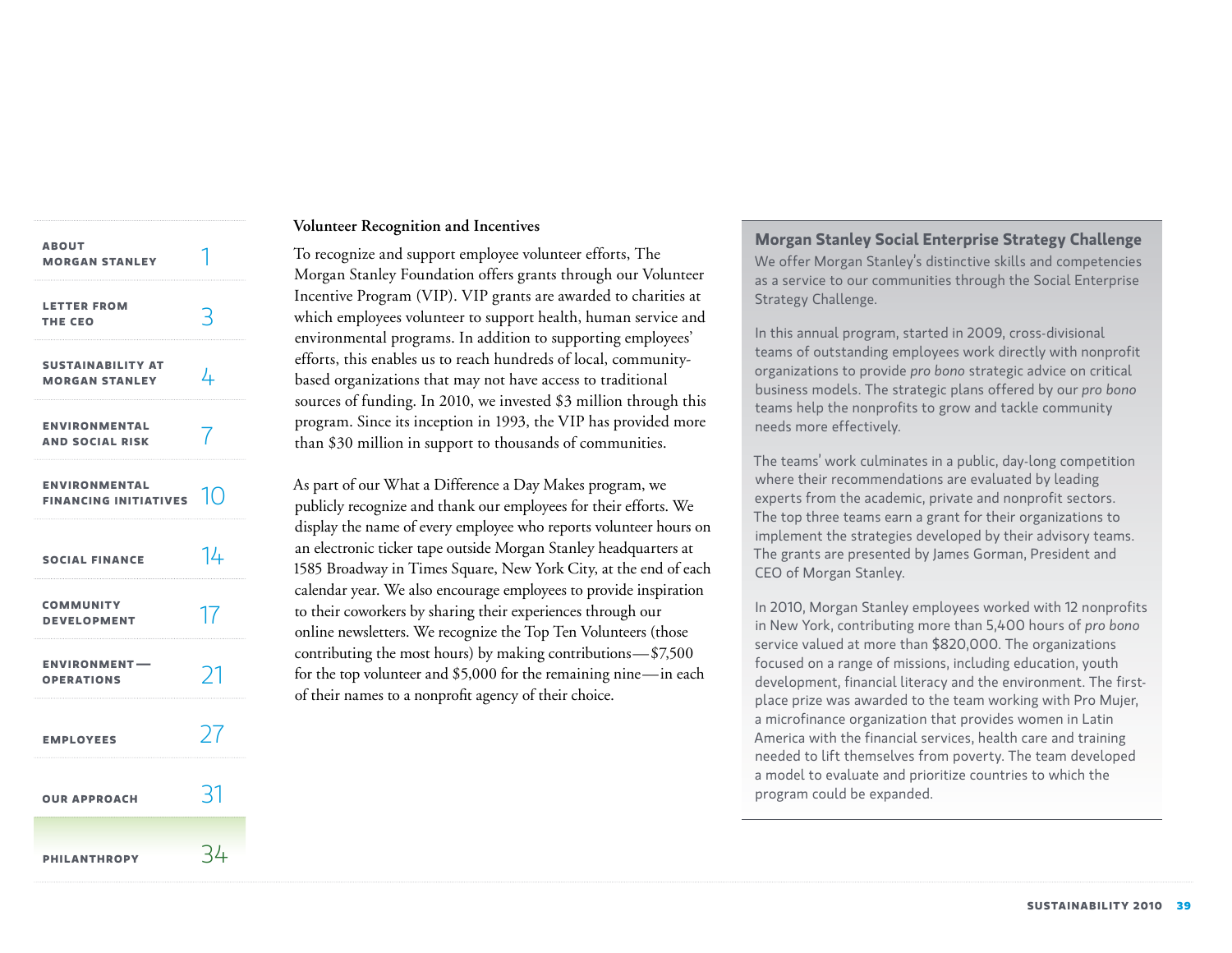| <b>ABOUT</b><br><b>MORGAN STANLEY</b>              |                |
|----------------------------------------------------|----------------|
| <b>LETTER FROM</b><br>THE CEO                      | 3              |
| <b>SUSTAINABILITY AT</b><br><b>MORGAN STANLEY</b>  | 4              |
| <b>ENVIRONMENTAL</b><br><b>AND SOCIAL RISK</b>     | $\overline{7}$ |
| <b>ENVIRONMENTAL</b><br>FINANCING INITIATIVES $10$ |                |
| <b>SOCIAL FINANCE</b>                              | 14             |
| <b>COMMUNITY</b><br><b>DEVELOPMENT</b>             | 17             |
| <b>ENVIRONMENT-</b><br><b>OPERATIONS</b>           | 71             |
| <b>EMPLOYEES</b>                                   | 27             |
| <b>OUR APPROACH</b>                                | 31             |
| <b>PHILANTHROPY</b>                                | 34             |

### **Volunteer Recognition and Incentives**

To recognize and support employee volunteer efforts, The Morgan Stanley Foundation offers grants through our Volunteer Incentive Program (VIP). VIP grants are awarded to charities at which employees volunteer to support health, human service and environmental programs. In addition to supporting employees' efforts, this enables us to reach hundreds of local, communitybased organizations that may not have access to traditional sources of funding. In 2010, we invested \$3 million through this program. Since its inception in 1993, the VIP has provided more than \$30 million in support to thousands of communities.

As part of our What a Difference a Day Makes program, we publicly recognize and thank our employees for their efforts. We display the name of every employee who reports volunteer hours on an electronic ticker tape outside Morgan Stanley headquarters at 1585 Broadway in Times Square, New York City, at the end of each calendar year. We also encourage employees to provide inspiration to their coworkers by sharing their experiences through our online newsletters. We recognize the Top Ten Volunteers (those contributing the most hours) by making contributions—\$7,500 for the top volunteer and \$5,000 for the remaining nine—in each of their names to a nonprofit agency of their choice.

# **Morgan Stanley Social Enterprise Strategy Challenge**

We offer Morgan Stanley's distinctive skills and competencies as a service to our communities through the Social Enterprise Strategy Challenge.

In this annual program, started in 2009, cross-divisional teams of outstanding employees work directly with nonprofit organizations to provide *pro bono* strategic advice on critical business models. The strategic plans offered by our *pro bono* teams help the nonprofits to grow and tackle community needs more effectively.

The teams' work culminates in a public, day-long competition where their recommendations are evaluated by leading experts from the academic, private and nonprofit sectors. The top three teams earn a grant for their organizations to implement the strategies developed by their advisory teams. The grants are presented by James Gorman, President and CEO of Morgan Stanley.

In 2010, Morgan Stanley employees worked with 12 nonprofits in New York, contributing more than 5,400 hours of *pro bono* service valued at more than \$820,000. The organizations focused on a range of missions, including education, youth development, financial literacy and the environment. The firstplace prize was awarded to the team working with Pro Mujer, a microfinance organization that provides women in Latin America with the financial services, health care and training needed to lift themselves from poverty. The team developed a model to evaluate and prioritize countries to which the program could be expanded.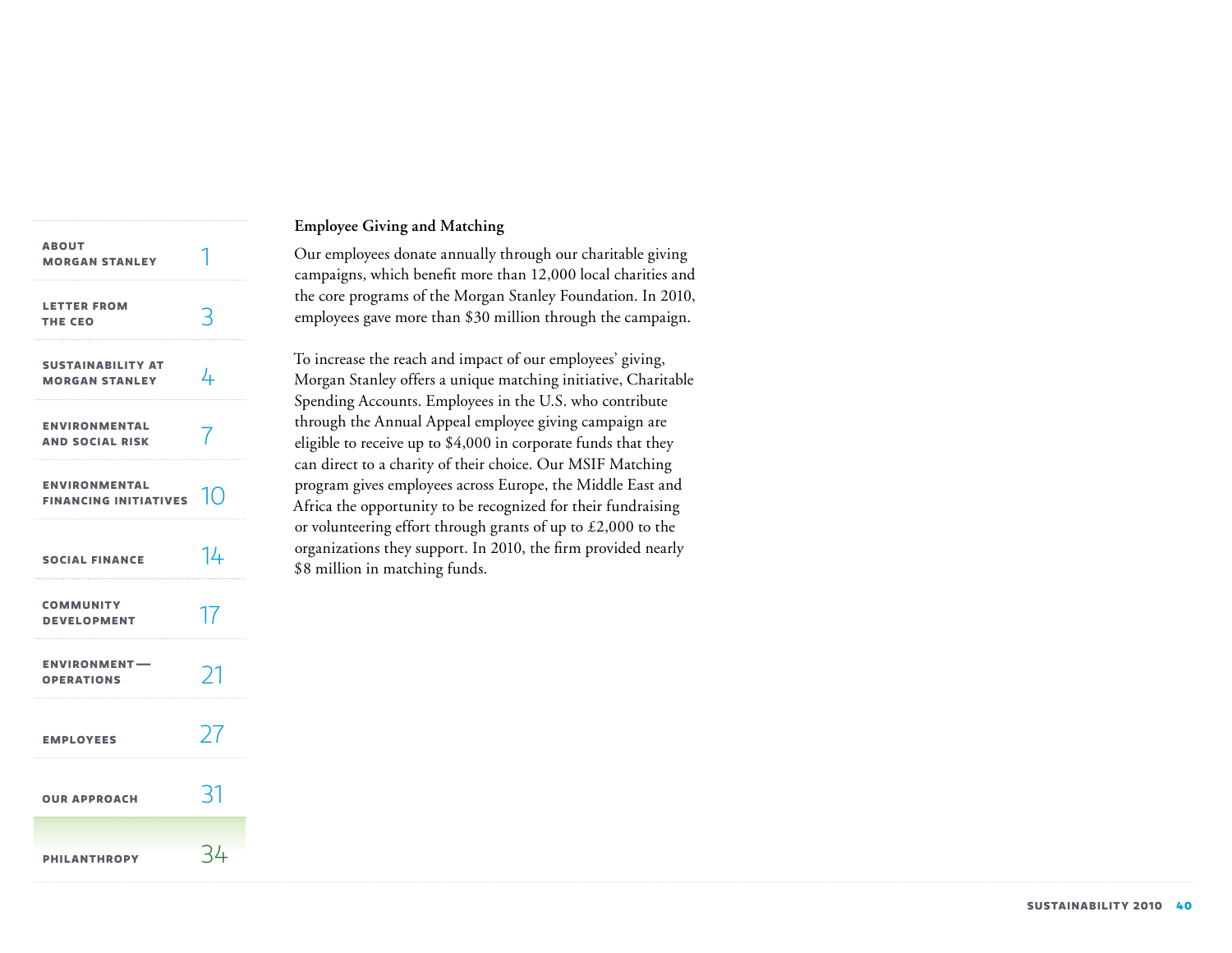| <b>ABOUT</b><br><b>MORGAN STANLEY</b>                |     |
|------------------------------------------------------|-----|
| <b>LETTER FROM</b><br><b>THE CEO</b>                 | 3   |
| <b>SUSTAINABILITY AT</b><br><b>MORGAN STANLEY</b>    | 4   |
| <b>ENVIRONMENTAL</b><br><b>AND SOCIAL RISK</b>       |     |
| <b>ENVIRONMENTAL</b><br>FINANCING INITIATIVES $\Box$ |     |
| <b>SOCIAL FINANCE</b>                                | 14  |
| <b>COMMUNITY</b><br><b>DEVELOPMENT</b>               | 17  |
| <b>ENVIRONMENT-</b><br><b>OPERATIONS</b>             | 21  |
| <b>EMPLOYEES</b>                                     | 27  |
| <b>OUR APPROACH</b>                                  | 31  |
| <b>PHILANTHROPY</b>                                  | -34 |

# **Employee Giving and Matching**

Our employees donate annually through our charitable giving campaigns, which benefit more than 12,000 local charities and the core programs of the Morgan Stanley Foundation. In 2010, employees gave more than \$30 million through the campaign.

To increase the reach and impact of our employees' giving, Morgan Stanley offers a unique matching initiative, Charitable Spending Accounts. Employees in the U.S. who contribute through the Annual Appeal employee giving campaign are eligible to receive up to \$4,000 in corporate funds that they can direct to a charity of their choice. Our MSIF Matching program gives employees across Europe, the Middle East and Africa the opportunity to be recognized for their fundraising or volunteering effort through grants of up to £2,000 to the organizations they support. In 2010, the firm provided nearly \$8 million in matching funds.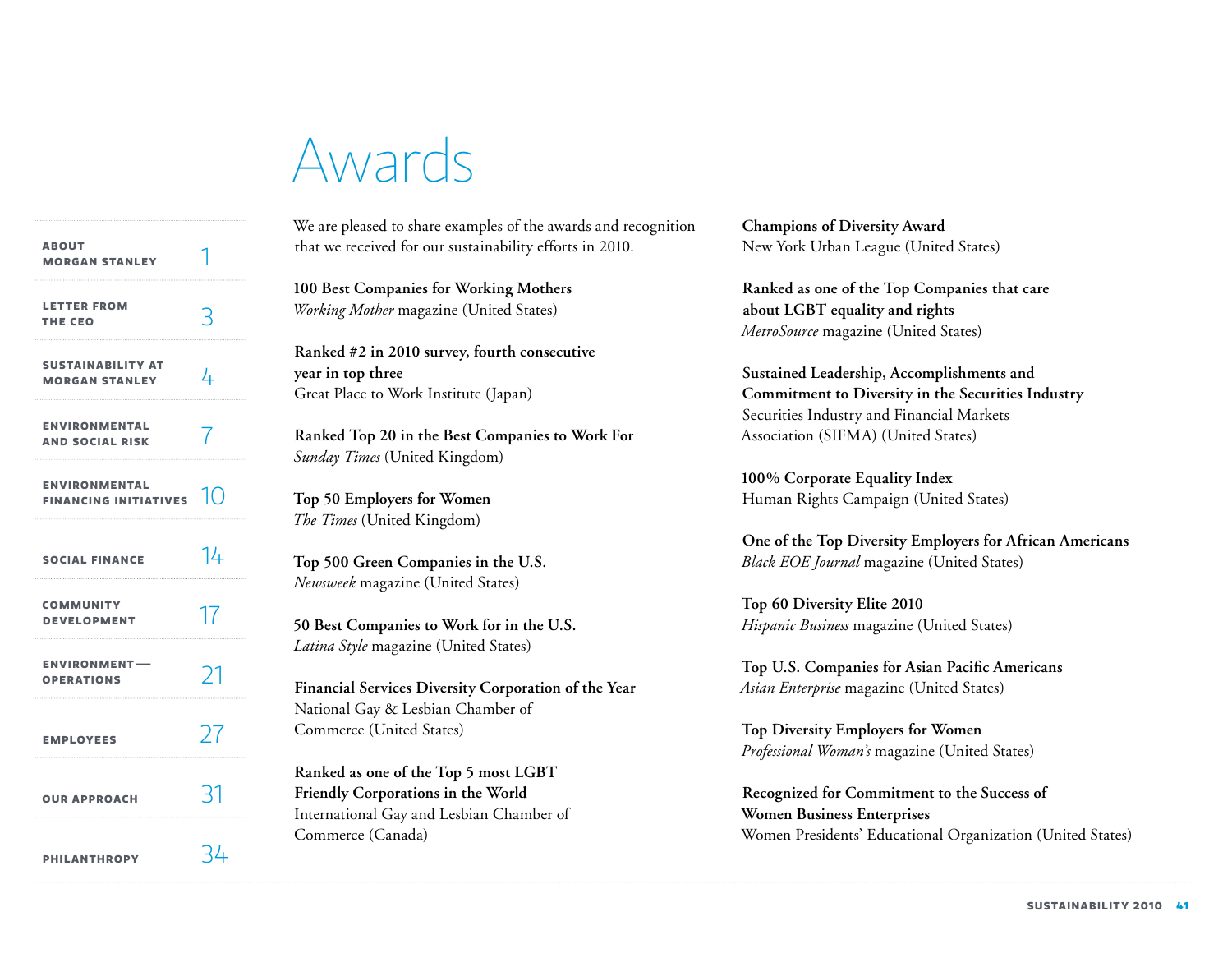# Awards

| <b>ABOUT</b><br><b>MORGAN STANLEY</b>                                      |    |
|----------------------------------------------------------------------------|----|
| <b>LETTER FROM</b><br>THE CEO                                              |    |
| <b>SUSTAINABILITY AT</b><br><b>MORGAN STANLEY</b>                          | 4  |
| <b>ENVIRONMENTAL</b><br><b>AND SOCIAL RISK</b>                             |    |
| <b>ENVIRONMENTAL</b><br>FINANCING INITIATIVES $\left \left(\right)\right $ |    |
| <b>SOCIAL FINANCE</b>                                                      | 14 |
| <b>COMMUNITY</b><br><b>DEVELOPMENT</b>                                     | 17 |
| <b>ENVIRONMENT-</b><br><b>OPERATIONS</b>                                   | 71 |
| <b>EMPLOYEES</b>                                                           | 27 |
| <b>OUR APPROACH</b>                                                        | रा |
| <b>PHILANTHROPY</b>                                                        | ጓሥ |

We are pleased to share examples of the awards and recognition that we received for our sustainability efforts in 2010.

**100 Best Companies for Working Mothers** *Working Mother* magazine (United States)

**Ranked #2 in 2010 survey, fourth consecutive year in top three** Great Place to Work Institute (Japan)

**Ranked Top 20 in the Best Companies to Work For** *Sunday Times* (United Kingdom)

**Top 50 Employers for Women**  *The Times* (United Kingdom)

**Top 500 Green Companies in the U.S.** *Newsweek* magazine (United States)

**50 Best Companies to Work for in the U.S.** *Latina Style* magazine (United States)

**Financial Services Diversity Corporation of the Year**  National Gay & Lesbian Chamber of Commerce (United States)

**Ranked as one of the Top 5 most LGBT Friendly Corporations in the World** International Gay and Lesbian Chamber of Commerce (Canada)

**Champions of Diversity Award**  New York Urban League (United States)

**Ranked as one of the Top Companies that care about LGBT equality and rights** *MetroSource* magazine (United States)

**Sustained Leadership, Accomplishments and Commitment to Diversity in the Securities Industry** Securities Industry and Financial Markets Association (SIFMA) (United States)

**100% Corporate Equality Index** Human Rights Campaign (United States)

**One of the Top Diversity Employers for African Americans** *Black EOE Journal* magazine (United States)

**Top 60 Diversity Elite 2010** *Hispanic Business* magazine (United States)

**Top U.S. Companies for Asian Pacific Americans** *Asian Enterprise* magazine (United States)

**Top Diversity Employers for Women** *Professional Woman's* magazine (United States)

**Recognized for Commitment to the Success of Women Business Enterprises** Women Presidents' Educational Organization (United States)